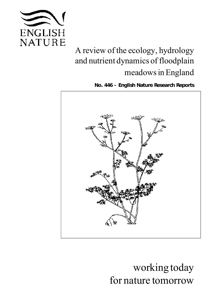

# A review of the ecology, hydrology and nutrient dynamics of floodplain meadows in England

*English Nature Research Reports No. 446 -*



working today for nature tomorrow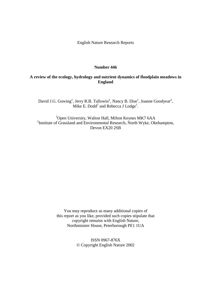English Nature Research Reports

#### **Number 446**

#### **A review of the ecology, hydrology and nutrient dynamics of floodplain meadows in England**

David J.G. Gowing<sup>1</sup>, Jerry R.B. Tallowin<sup>2</sup>, Nancy B. Dise<sup>1</sup>, Joanne Goodyear<sup>2</sup>, Mike E. Dodd<sup>1</sup> and Rebecca J Lodge<sup>1</sup>.

<sup>1</sup>Open University, Walton Hall, Milton Keynes MK7 6AA <sup>2</sup> Institute of Grassland and Environmental Research, North Wyke, Okehampton, Devon EX20 2SB

> You may reproduce as many additional copies of this report as you like, provided such copies stipulate that copyright remains with English Nature, Northminster House, Peterborough PE1 1UA

> > ISSN 0967-876X © Copyright English Nature 2002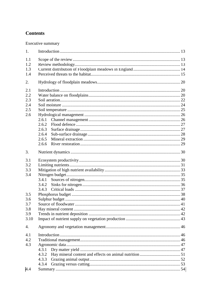## **Contents**

Executive summary

| 1.                                     |                |  |
|----------------------------------------|----------------|--|
| 1.1<br>1.2<br>1.3<br>1.4               |                |  |
| 2.                                     |                |  |
|                                        |                |  |
| 2.1<br>2.2<br>2.3<br>2.4<br>2.5<br>2.6 | 2.6.1<br>2.6.2 |  |
|                                        | 2.6.3          |  |
|                                        | 2.6.4          |  |
|                                        | 2.6.5          |  |
|                                        | 2.6.6          |  |
| 3.                                     |                |  |
| 3.1                                    |                |  |
| 3.2                                    |                |  |
| 3.3                                    |                |  |
| 3.4                                    |                |  |
|                                        | 3.4.1          |  |
|                                        | 3.4.2          |  |
|                                        | 3.4.3          |  |
| 3.5                                    |                |  |
| 3.6                                    |                |  |
| 3.7<br>3.8                             |                |  |
| 3.9                                    |                |  |
| 3.10                                   |                |  |
|                                        |                |  |
| 4.                                     |                |  |
| 4.1                                    |                |  |
| 4.2                                    |                |  |
| 4.3                                    |                |  |
|                                        | 4.3.1          |  |
|                                        | 4.3.2          |  |
|                                        | 4.3.3          |  |
|                                        | 4.3.4          |  |
| 4.4                                    |                |  |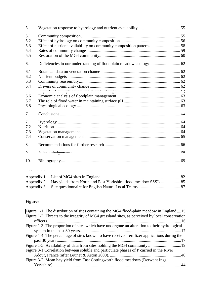| 5.  |                                                                      |                                                                 |  |  |  |  |
|-----|----------------------------------------------------------------------|-----------------------------------------------------------------|--|--|--|--|
| 5.1 |                                                                      |                                                                 |  |  |  |  |
| 5.2 |                                                                      |                                                                 |  |  |  |  |
| 5.3 | Effect of nutrient availability on community composition patterns 58 |                                                                 |  |  |  |  |
| 5.4 |                                                                      |                                                                 |  |  |  |  |
| 5.5 |                                                                      |                                                                 |  |  |  |  |
| 6.  |                                                                      |                                                                 |  |  |  |  |
| 6.1 |                                                                      |                                                                 |  |  |  |  |
| 6.2 |                                                                      |                                                                 |  |  |  |  |
| 6.3 |                                                                      |                                                                 |  |  |  |  |
| 6.4 |                                                                      |                                                                 |  |  |  |  |
| 6.5 |                                                                      |                                                                 |  |  |  |  |
| 6.6 |                                                                      |                                                                 |  |  |  |  |
| 6.7 |                                                                      |                                                                 |  |  |  |  |
| 6.8 |                                                                      |                                                                 |  |  |  |  |
| 7.  |                                                                      |                                                                 |  |  |  |  |
| 7.1 |                                                                      |                                                                 |  |  |  |  |
| 7.2 |                                                                      |                                                                 |  |  |  |  |
| 7.3 |                                                                      |                                                                 |  |  |  |  |
| 7.4 |                                                                      |                                                                 |  |  |  |  |
| 8.  |                                                                      |                                                                 |  |  |  |  |
| 9.  |                                                                      |                                                                 |  |  |  |  |
| 10. |                                                                      |                                                                 |  |  |  |  |
|     | Appendices                                                           | 82                                                              |  |  |  |  |
|     | Appendix 1                                                           |                                                                 |  |  |  |  |
|     | Appendix 2                                                           | Hay yields from North and East Yorkshire flood meadow SSSIs  85 |  |  |  |  |
|     | Appendix 3                                                           |                                                                 |  |  |  |  |

## **Figures**

| Figure 1-1 The distribution of sites containing the MG4 flood-plain meadow in England15        |
|------------------------------------------------------------------------------------------------|
| Figure 1-2 Threats to the integrity of MG4 grassland sites, as perceived by local conservation |
|                                                                                                |
| Figure 1-3 The proportion of sites which have undergone an alteration to their hydrological    |
|                                                                                                |
| Figure 1-4 The percentage of sites known to have received fertilizer applications during the   |
|                                                                                                |
|                                                                                                |
| Figure 3-1 Correlation between soluble and particulate phases of P carried in the River        |
|                                                                                                |
| Figure 3-2 Mean hay yield from East Cottingworth flood meadows (Derwent Ings,                  |
|                                                                                                |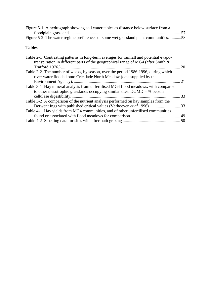| Figure 5-1 A hydrograph showing soil water tables as distance below surface from a |  |
|------------------------------------------------------------------------------------|--|
|                                                                                    |  |
| Figure 5-2 The water regime preferences of some wet grassland plant communities58  |  |

#### **Tables**

| Table 2-1 Contrasting patterns in long-term averages for rainfall and potential evapo-<br>transpiration in different parts of the geographical range of MG4 (after Smith $\&$ |  |
|-------------------------------------------------------------------------------------------------------------------------------------------------------------------------------|--|
| Table 2-2 The number of weeks, by season, over the period 1986-1996, during which                                                                                             |  |
| river water flooded onto Cricklade North Meadow (data supplied by the                                                                                                         |  |
|                                                                                                                                                                               |  |
| Table 3-1 Hay mineral analysis from unfertilised MG4 flood meadows, with comparison                                                                                           |  |
| to other mesotrophic grasslands occupying similar sites. DOMD = $%$ pepsin                                                                                                    |  |
|                                                                                                                                                                               |  |
| Table 3-2 A comparison of the nutrient analysis performed on hay samples from the                                                                                             |  |
|                                                                                                                                                                               |  |
| Table 4-1 Hay yields from MG4 communities, and of other unfertilised communities                                                                                              |  |
|                                                                                                                                                                               |  |
|                                                                                                                                                                               |  |
|                                                                                                                                                                               |  |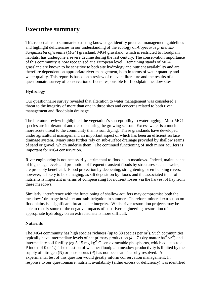## **Executive summary**

This report aims to summarise existing knowledge, identify practical management guidelines and highlight deficiencies in our understanding of the ecology of *Alopecurus pratensis-Sanguisorba officinalis* (MG4) grassland. MG4 grassland, which is restricted to floodplain habitats, has undergone a severe decline during the last century. The conservation importance of this community is now recognised at a European level. Remaining stands of MG4 grassland are known to be sensitive to both site hydrology and nutrient availability and are therefore dependent on appropriate river management, both in terms of water quantity and water quality. This report is based on a review of relevant literature and the results of a questionnaire survey of conservation officers responsible for floodplain meadow sites.

#### **Hydrology**

Our questionnaire survey revealed that alteration to water management was considered a threat to the integrity of more than one in three sites and concerns related to both river management and floodplain drainage.

The literature review highlighted the vegetation's susceptibility to waterlogging. Most MG4 species are intolerant of anoxic soils during the growing season. Excess water is a much more acute threat to the community than is soil drying. These grasslands have developed under agricultural management, an important aspect of which has been an efficient surface drainage system. Many sites further rely on sub-surface drainage provided by shallow seams of sand or gravel, which underlie them. The continued functioning of such minor aquifers is important for MG4 conservation.

River engineering is not necessarily detrimental to floodplain meadows. Indeed, maintenance of high stage levels and promotion of frequent transient floods by structures such as weirs, are probably beneficial. Flood protection by deepening, straightening or embanking rivers, however, is likely to be damaging, as silt deposition by floods and the associated input of nutrients is important in terms of compensating for nutrient losses via the harvest of hay from these meadows.

Similarly, interference with the functioning of shallow aquifers may compromise both the meadows' drainage in winter and sub-irrigation in summer. Therefore, mineral extraction on floodplains is a significant threat to site integrity. Whilst river restoration projects may be able to rectify some of the negative impacts of past river engineering, restoration of appropriate hydrology on an extracted site is more difficult.

#### **Nutrients**

The MG4 community has high species richness (up to 38 species per  $m<sup>2</sup>$ ). Such communities typically have intermediate levels of net primary production  $(4 - 7t)$  dry matter ha<sup>-1</sup> yr<sup>-1</sup>) and intermediate soil fertility (eg 5-15 mg  $kg^{-1}$  Olsen extractable phosphorus, which equates to a P index of 0 or 1.) The question of whether floodplain meadow productivity is limited by the supply of nitrogen (N) or phosphorus (P) has not been satisfactorily resolved. An experimental test of this question would greatly inform conservation management. In response to our questionnaire, nutrient availability (either excess or deficiency) was identified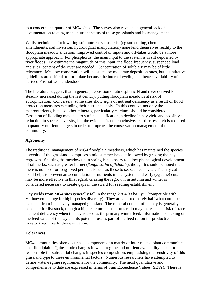as a concern at a quarter of MG4 sites. The survey also revealed a general lack of documentation relating to the nutrient status of these grasslands and its management.

Whilst techniques for lowering soil nutrient status exist (eg sod cutting, chemical amendments, soil inversion, hydrological manipulation) none lend themselves readily to the floodplain meadow situation. Improved control of inputs and off-takes would be a more appropriate approach. For phosphorus, the main input to the system is in silt deposited by river floods. To estimate the magnitude of this input, the flood frequency, suspended load and silt P content of the river are needed. Concentration of soluble P may be of little relevance. Meadow conservation will be suited by moderate deposition rates, but quantitative guidelines are difficult to formulate because the internal cycling and hence availability of siltderived P is not well understood.

The literature suggests that in general, deposition of atmospheric N and river derived P steadily increased during the last century, putting floodplain meadows at risk of eutrophication. Conversely, some sites show signs of nutrient deficiency as a result of flood protection measures excluding their nutrient supply. In this context, not only the macronutrients, but also other minerals, particularly calcium, should be considered. Cessation of flooding may lead to surface acidification, a decline in hay yield and possibly a reduction in species diversity, but the evidence is not conclusive. Further research is required to quantify nutrient budgets in order to improve the conservation management of the community.

#### **Agronomy**

The traditional management of MG4 floodplain meadows, which has maintained the species diversity of the grassland, comprises a mid summer hay cut followed by grazing the hay regrowth. Shutting the meadow up in spring is necessary to allow phenological development of tall herbs, such as greater burnet (*Sanguisorba officinalis*), though it should be noted that there is no need for long-lived perennials such as these to set seed each year. The hay cut itself helps to prevent an accumulation of nutrients in the system, and early (eg June) cuts may be more effective in this regard. Grazing the regrowth in autumn and winter is considered necessary to create gaps in the sward for seedling establishment.

Hay yields from MG4 sites generally fall in the range 2.8-4.9 t ha<sup>-1</sup> yr<sup>-1</sup> (compatible with Verhoeven's range for high species diversity). They are approximately half what could be expected from intensively managed grassland. The mineral content of the hay is generally adequate for livestock, though a high calcium: phosphorus ratio may increase the risk of trace element deficiency when the hay is used as the primary winter feed. Information is lacking on the feed value of the hay and its potential use as part of the feed ration for productive livestock requires further evaluation.

#### **Tolerances**

MG4 communities often occur as a component of a matrix of inter-related plant communities on a floodplain. Quite subtle changes in water regime and nutrient availability appear to be responsible for substantial changes in species composition, emphasising the sensitivity of this grassland type to these environmental factors. Numerous researchers have attempted to define water-regime requirements for the community. The most quantitative and comprehensive to date are expressed in terms of Sum Exceedence Values (SEVs). There is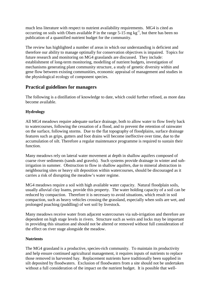much less literature with respect to nutrient availability requirements. MG4 is cited as occurring on soils with Olsen available P in the range  $5-15$  mg kg<sup>-1</sup>, but there has been no publication of a quantified nutrient budget for the community.

The review has highlighted a number of areas in which our understanding is deficient and therefore our ability to manage optimally for conservation objectives is impaired. Topics for future research and monitoring on MG4 grasslands are discussed. They include: establishment of long-term monitoring, modelling of nutrient budgets, investigation of mechanisms generating plant community structure, a study of genetic diversity within and gene flow between existing communities, economic appraisal of management and studies in the physiological ecology of component species.

### **Practical guidelines for managers**

The following is a distillation of knowledge to date, which could further refined, as more data become available.

#### **Hydrology**

All MG4 meadows require adequate surface drainage, both to allow water to flow freely back to watercourses, following the cessation of a flood, and to prevent the retention of rainwater on the surface, following storms. Due to the flat topography of floodplains, surface drainage features such as grips, gutters and foot drains will become ineffective over time, due to the accumulation of silt. Therefore a regular maintenance programme is required to sustain their function.

Many meadows rely on lateral water movement at depth in shallow aquifers composed of coarse river sediments (sands and gravels). Such systems provide drainage in winter and subirrigation in summer. Obstruction to flow in shallow aquifers, due to mineral abstraction in neighbouring sites or heavy silt deposition within watercourses, should be discouraged as it carries a risk of disrupting the meadow's water regime.

MG4 meadows require a soil with high available water capacity. Natural floodplain soils, usually alluvial clay loams, provide this property. The water holding capacity of a soil can be reduced by compaction. Therefore it is necessary to avoid situations, which result in soil compaction, such as heavy vehicles crossing the grassland, especially when soils are wet, and prolonged poaching (puddling) of wet soil by livestock.

Many meadows receive water from adjacent watercourses via sub-irrigation and therefore are dependent on high stage levels in rivers. Structure such as weirs and locks may be important in providing this situation and should not be altered or removed without full consideration of the effect on river stage alongside the meadow.

#### **Nutrients**

The MG4 grassland is a productive, species-rich community. To maintain its productivity and help ensure continued agricultural management, it requires inputs of nutrients to replace those removed in harvested hay. Replacement nutrients have traditionally been supplied in silt deposited by floodwaters. Exclusion of floodwaters from a site should not be undertaken without a full consideration of the impact on the nutrient budget. It is possible that well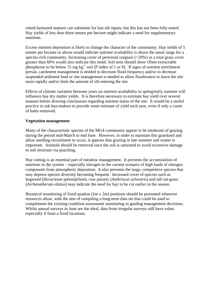rotted farmyard manure can substitute for lost silt inputs, but this has not been fully tested. Hay yields of less than three tonnes per hectare might indicate a need for supplementary nutrients.

Excess nutrient deposition is likely to change the character of the community. Hay yields of 5 tonnes per hectare or above would indicate nutrient availability is above the usual range for a species-rich community. Increasing cover of perennial ryegrass (>20%) or a total grass cover greater than 60% would also indicate this trend. Soil tests should show Olsen extractable phosphorus to be below 15 mg  $kg^{-1}$  soil (P index of 1 or 0). If signs of nutrient enrichment persist, catchment management is needed to decrease flood frequency and/or to decrease suspended sediment load or site management is needed to allow floodwaters to leave the site more rapidly and/or limit the amount of silt entering the site.

Effects of climate variation between years on nutrient availability in spring/early summer will influence hay dry matter yields. It is therefore necessary to estimate hay yield over several seasons before drawing conclusions regarding nutrient status of the site. It would be a useful practice to ask hay-makers to provide some estimate of yield each year, even if only a count of bales removed.

#### **Vegetation management**

Many of the characteristic species of the MG4 community appear to be intolerant of grazing during the period mid-March to end June. However, in order to maintain this grassland and allow seedling recruitment to occur, it appears that grazing in late summer and winter is important. Animals should be removed once the soil is saturated to avoid excessive damage to soil structure via poaching.

Hay cutting is an essential part of meadow management. It prevents the accumulation of nutrients in the system – especially nitrogen in the current scenario of high loads of nitrogen compounds from atmospheric deposition. It also prevents the large, competitive species that may depress species diversity becoming frequent. Increased cover of species such as hogweed (*Heracleum sphondylium*), cow parsely (*Anthriscus sylvestris*) and tall oat-grass (*Arrhenatherum elatius*) may indicate the need for hay to be cut earlier in the season.

Botanical monitoring of fixed quadrat (2m x 2m) positions should be promoted wherever resources allow, with the aim of compiling a long-term data set that could be used to complement the existing condition assessment monitoring in guiding management decisions. Whilst annual surveys in June are the ideal, data from irregular surveys still have value. especially if from a fixed locations.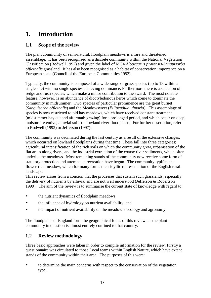## <span id="page-9-0"></span>**1. Introduction**

## **1.1 Scope of the review**

The plant community of semi-natural, floodplain meadows is a rare and threatened assemblage. It has been recognised as a discrete community within the National Vegetation Classification (Rodwell 1992) and given the label of MG4 *Alopecurus pratensis-Sanguisorba officinalis* grassland. It has also been recognised as a habitat of conservation importance on a European scale (Council of the European Communities 1992).

Typically, the community is composed of a wide range of grass species (up to 18 within a single site) with no single species achieving dominance. Furthermore there is a selection of sedge and rush species, which make a minor contribution to the sward. The most notable feature, however, is an abundance of dicotyledonous herbs which come to dominate the community in midsummer. Two species of particular prominence are the great burnet (*Sanguisorba officinalis*) and the Meadowsweet (*Filipendula ulmaria*). This assemblage of species is now restricted to old hay meadows, which have received constant treatment (midsummer hay cut and aftermath grazing) for a prolonged period, and which occur on deep, moisture retentive, alluvial soils on lowland river floodplains. For further description, refer to Rodwell (1992) or Jefferson (1997).

The community was decimated during the last century as a result of the extensive changes, which occurred on lowland floodplains during that time. These fall into three categories; agricultural intensification of the rich soils on which the community grew, urbanisation of the flat areas along rivers, and the industrial extraction of the coarse river sediments, which often underlie the meadows. Most remaining stands of the community now receive some form of statutory protection and attempts at recreation have begun. The community typifies the flower-rich meadow, which for many forms their idyllic representation of the English rural landscape.

This review arises from a concern that the processes that sustain such grasslands, especially the delivery of nutrients by alluvial silt, are not well understood (Jefferson & Robertson 1999). The aim of the review is to summarise the current state of knowledge with regard to:

- the nutrient dynamics of floodplain meadows,
- the influence of hydrology on nutrient availability, and
- the impact of nutrient availability on the meadow's ecology and agronomy.

The floodplains of England form the geographical focus of this review, as the plant community in question is almost entirely confined to that country.

## **1.2 Review methodology**

Three basic approaches were taken in order to compile information for the review. Firstly a questionnaire was circulated to those Local teams within English Nature, which have extant stands of the community within their area. The purposes of this were:

• to determine the main concerns with respect to the conservation of the vegetation type,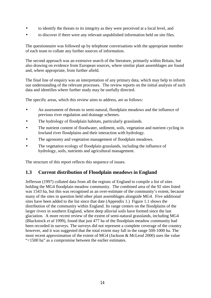- <span id="page-10-0"></span>• to identify the threats to its integrity as they were perceived at a local level, and
- to discover if there were any relevant unpublished information held on site files.

The questionnaire was followed up by telephone conversations with the appropriate member of each team to collate any further sources of information.

The second approach was an extensive search of the literature, primarily within Britain, but also drawing on evidence from European sources, where similar plant assemblages are found and, where appropriate, from further afield.

The final line of enquiry was an interpretation of any primary data, which may help to inform our understanding of the relevant processes. The review reports on the initial analysis of such data and identifies where further study may be usefully directed.

The specific areas, which this review aims to address, are as follows:

- An assessment of threats to semi-natural, floodplain meadows and the influence of previous river regulation and drainage schemes.
- The hydrology of floodplain habitats, particularly grasslands.
- The nutrient content of floodwater, sediment, soils, vegetation and nutrient cycling in lowland river floodplains and their interaction with hydrology.
- The agronomy and vegetation management of floodplain meadows.
- The vegetation ecology of floodplain grasslands, including the influence of hydrology, soils, nutrients and agricultural management.

The structure of this report reflects this sequence of issues.

#### **1.3 Current distribution of Floodplain meadows in England**

Jefferson (1997) collated data from all the regions of England to compile a list of sites holding the MG4 floodplain meadow community. The combined area of the 92 sites listed was 1543 ha, but this was recognised as an over-estimate of the community's extent, because many of the sites in question held other plant assemblages alongside MG4. Five additional sites have been added to the list since that date (Appendix 1.) Figure 1.1 shows the distribution of the community within England. Its range centers on the floodplains of the larger rivers in southern England, where deep alluvial soils have formed since the last glaciation. A more recent review of the extent of semi-natural grasslands, including MG4 (Blackstock *et al* 1999), found that just 477 ha of the floodplain meadow community had been recorded in surveys. The surveys did not represent a complete coverage of the country however, and it was suggested that the total extent may fall in the range 500-1000 ha. The most recent approximation of the extent of MG4 (Jackson & McLeod 2000) uses the value "<1500 ha" as a compromise between the earlier estimates.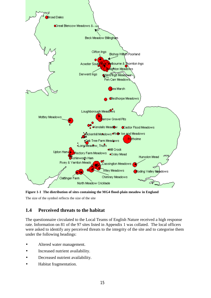<span id="page-11-0"></span>

**Figure 1-1 The distribution of sites containing the MG4 flood-plain meadow in England** 

The size of the symbol reflects the size of the site

## **1.4 Perceived threats to the habitat**

The questionnaire circulated to the Local Teams of English Nature received a high response rate. Information on 81 of the 97 sites listed in Appendix 1 was collated. The local officers were asked to identify any perceived threats to the integrity of the site and to categorise them under the following headings:

- Altered water management.
- Increased nutrient availability.
- Decreased nutrient availability.
- Habitat fragmentation.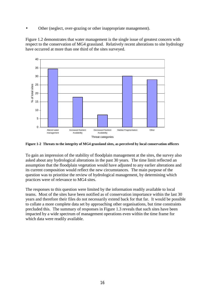<span id="page-12-0"></span>• Other (neglect, over-grazing or other inappropriate management).

Figure 1.2 demonstrates that water management is the single issue of greatest concern with respect to the conservation of MG4 grassland. Relatively recent alterations to site hydrology have occurred at more than one third of the sites surveyed.



**Figure 1-2 Threats to the integrity of MG4 grassland sites, as perceived by local conservation officers** 

To gain an impression of the stability of floodplain management at the sites, the survey also asked about any hydrological alterations in the past 30 years. The time limit reflected an assumption that the floodplain vegetation would have adjusted to any earlier alterations and its current composition would reflect the new circumstances. The main purpose of the question was to prioritise the review of hydrological management, by determining which practices were of relevance to MG4 sites.

The responses to this question were limited by the information readily available to local teams. Most of the sites have been notified as of conservation importance within the last 30 years and therefore their files do not necessarily extend back for that far. It would be possible to collate a more complete data set by approaching other organisations, but time constraints precluded this. The summary of responses in Figure 1.3 reveals that such sites have been impacted by a wide spectrum of management operations even within the time frame for which data were readily available.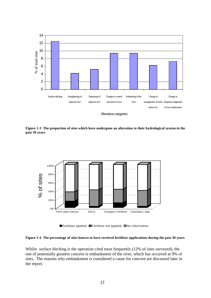<span id="page-13-0"></span>

**Figure 1-3 The proportion of sites which have undergone an alteration to their hydrological system in the** 

**past 30 years** 



**E**Fertiliser applied **O**Fertiliser not applied **O**No information

#### **Figure 1-4 The percentage of sites known to have received fertilizer applications during the past 30 years**

Whilst surface ditching is the operation cited most frequently (12% of sites surveyed), the one of potentially greatest concern is embankment of the river, which has occurred at 9% of sites. The reasons why embankment is considered a cause for concern are discussed later in the report.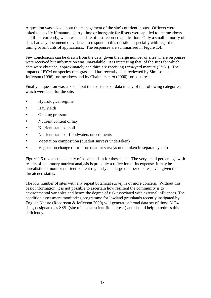A question was asked about the management of the site's nutrient inputs. Officers were asked to specify if manure, slurry, lime or inorganic fertilisers were applied to the meadows and if not currently, when was the date of last recorded application. Only a small minority of sites had any documented evidence to respond to this question especially with regard to timing or amounts of applications. The responses are summarised in Figure 1.4.

Few conclusions can be drawn from the data, given the large number of sites where responses were received but information was unavailable. It is interesting that, of the sites for which data were obtained, approximately one third are receiving farm-yard manure (FYM). The impact of FYM on species-rich grassland has recently been reviewed by Simpson and Jefferson (1996) for meadows and by Chalmers *et al* (2000) for pastures.

Finally, a question was asked about the existence of data in any of the following categories, which were held for the site:

- Hydrological regime
- Hay yields
- Grazing pressure
- Nutrient content of hay
- Nutrient status of soil
- Nutrient status of floodwaters or sediments
- Vegetation composition (quadrat surveys undertaken)
- Vegetation change (2 or more quadrat surveys undertaken in separate years)

Figure 1.5 reveals the paucity of baseline data for these sites. The very small percentage with results of laboratory nutrient analysis is probably a reflection of its expense. It may be unrealistic to monitor nutrient content regularly at a large number of sites, even given their threatened status.

The low number of sites with any repeat botanical survey is of more concern. Without this basic information, it is not possible to ascertain how resilient the community is to environmental variables and hence the degree of risk associated with external influences. The condition assessment monitoring programme for lowland grasslands recently instigated by English Nature (Robertson & Jefferson 2000) will generate a broad data set of those MG4 sites, designated as SSSI (site of special scientific interest,) and should help to redress this deficiency.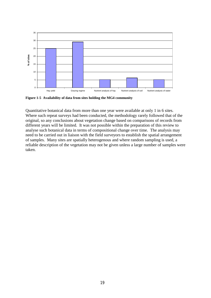<span id="page-15-0"></span>

**Figure 1-5 Availability of data from sites holding the MG4 community**

Quantitative botanical data from more than one year were available at only 1 in 6 sites. Where such repeat surveys had been conducted, the methodology rarely followed that of the original, so any conclusions about vegetation change based on comparisons of records from different years will be limited. It was not possible within the preparation of this review to analyse such botanical data in terms of compositional change over time. The analysis may need to be carried out in liaison with the field surveyors to establish the spatial arrangement of samples. Many sites are spatially heterogenous and where random sampling is used, a reliable description of the vegetation may not be given unless a large number of samples were taken.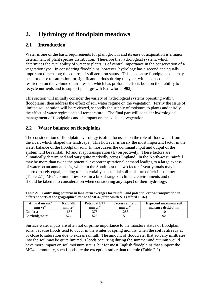## <span id="page-16-0"></span>**2. Hydrology of floodplain meadows**

## **2.1 Introduction**

Water is one of the basic requirements for plant growth and its ease of acquisition is a major determinant of plant species distribution. Therefore the hydrological system, which determines the availability of water to plants, is of central importance in the conservation of a vegetation type. In considering floodplains, however, hydrology has a second and equally important dimension; the control of soil aeration status. This is because floodplain soils may be at or close to saturation for significant periods during the year, with a consequent restriction on the volume of air present, which has profound effects both on their ability to recycle nutrients and to support plant growth (Crawford 1982).

This section will initially consider the variety of hydrological systems operating within floodplains, then address the effect of soil water regime on the vegetation. Firstly the issue of limited soil aeration will be reviewed, secondly the supply of moisture to plants and thirdly the effect of water regime on soil temperature. The final part will consider hydrological management of floodplains and its impact on the soils and vegetation.

## **2.2 Water balance on floodplains**

The consideration of floodplain hydrology is often focussed on the role of floodwater from the river, which shaped the landscape. This however is rarely the most important factor in the water balance of the floodplain soil. In most cases the dominant input and output of the system will be rainfall (R) and evapotranspiration (E) respectively. These factors are climatically determined and vary quite markedly across England. In the North-west, rainfall may be more than twice the potential evapotranspirational demand leading to a large excess of water on an annual basis, whilst in the South-east the two factors' yearly totals may be approximately equal, leading to a potentially substantial soil moisture deficit in summer (Table 2.1) MG4 communities exist in a broad range of climatic environments and this should be taken into consideration when considering any aspect of their hydrology.

| Annual means/<br>mm vr | <b>Potential ET/</b><br>Rainfall/<br>mmvr<br>mm vr |     | <b>Excess rainfall/</b><br>mm vr | <b>Expected maximum soil</b><br>moisture deficit/mm |  |  |
|------------------------|----------------------------------------------------|-----|----------------------------------|-----------------------------------------------------|--|--|
| ∖umbria                | 1663                                               | 375 | 1288                             |                                                     |  |  |
| Cambridgeshire         | 574                                                |     |                                  |                                                     |  |  |

**Table 2-1 Contrasting patterns in long-term averages for rainfall and potential evapo-transpiration in different parts of the geographical range of MG4 (after Smith & Trafford 1976.)** 

Surface water inputs are often not of prime importance to the moisture status of floodplain soils, because floods tend to occur in the winter or spring months, when the soil is already at or close to saturation due to excess rainfall. The amount of floodwater that actually infiltrates into the soil may be quite limited. Floods occurring during the summer and autumn would have more impact on soil moisture status, but for most English floodplains that support the MG4 community, such floods are the exception rather than the rule (Table 2.2)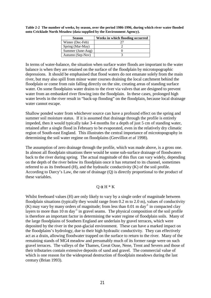<span id="page-17-0"></span>**Table 2-2 The number of weeks, by season, over the period 1986-1996, during which river water flooded onto Cricklade North Meadow (data supplied by the Environment Agency).** 

| <b>Season</b>     | Weeks in which flooding occurred |
|-------------------|----------------------------------|
| Winter (Dec-Feb)  |                                  |
| Spring (Mar-May)  |                                  |
| Summer (June-Aug) |                                  |
| Autumn (Sep-Nov)  |                                  |

In terms of water-balance, the situation when surface water floods are important to the water balance is when they are retained on the surface of the floodplain by microtopographic depressions. It should be emphasised that flood waters do not emanate solely from the main river, but may also spill from minor water courses draining the local catchment behind the floodplain or come from rain falling directly on the site, creating areas of standing surface water. On some floodplains water drains to the river via valves that are designed to prevent water from an embanked river flowing into the floodplain. In these cases, prolonged high water levels in the river result in "back-up flooding" on the floodplain, because local drainage water cannot escape.

Shallow ponded water from whichever source can have a profound effect on the spring and summer soil moisture status. If it is assumed that drainage through the profile is entirely impeded, then it would typically take 3-4 months for a depth of just 5 cm of standing water, retained after a single flood in February to be evaporated, even in the relatively dry climatic region of South-east England. This illustrates the central importance of microtopography in determining the soil water regime on floodplains (Grevilliot *et al* 1998).

The assumption of zero drainage through the profile, which was made above, is a gross one. In almost all floodplain situations there would be some sub-surface drainage of floodwaters back to the river during spring. The actual magnitude of this flux can vary widely, depending on the depth of the river below its floodplain once it has returned to its channel, sometimes referred to as its freeboard (H), and the hydraulic conductivity (K) of the soil profile. According to Darcy's Law, the rate of drainage (Q) is directly proportional to the product of these variables.

#### $Q \alpha H * K$

Whilst freeboard values (H) are only likely to vary by a single order of magnitude between floodplain situations (typically they would range from 0.2 m to 2.0 m), values of conductivity (K) may vary by many orders of magnitude; from less than  $0.01 \text{ m day}^{-1}$  in compacted clay layers to more than  $10 \text{ m day}^{-1}$  in gravel seams. The physical composition of the soil profile is therefore an important factor in determining the water regime of floodplain soils. Many of the large floodplains of Southern England are underlain by gravel terraces, which were deposited by the river in the post-glacial environment. These can have a marked impact on the floodplains's hydrology, due to their high hydraulic conductivity. They can effectively act as a drain, allowing floodwater trapped on the surface to return to the river. Many of the remaining stands of MG4 meadow and presumably much of its former range were on such gravel terraces. The valleys of the Thames, Great Ouse, Nene, Trent and Severn and those of their tributaries contain extensive deposits of sand and gravel. The commercial value of which is one reason for the widespread destruction of floodplain meadows during the last century (Brian 1993).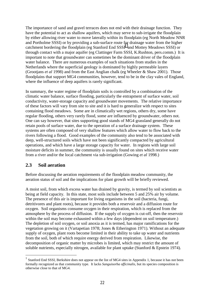<span id="page-18-0"></span>The importance of sand and gravel terraces does not end with their drainage function. They have the potential to act as shallow aquifers, which may serve to sub-irrigate the floodplain by either allowing river water to move laterally within its floodplain (eg North Meadow NNR and Portholme SSSI) or by providing a sub-surface route for drainage water from the higher catchment bordering the floodplain (eg Stanford End  $SSSI<sup>1</sup>$  and Mottey Meadows SSSI) or through contact with a major aquifer (eg Clattinger Farm SSSI, K.Rushton, pers.comm.) It is important to note that groundwater can sometimes be the dominant driver of the floodplain water balance. There are numerous examples of such situations from studies in the Netherlands where the superficial geology is dominated by highly permeable layers (Grootjans *et al* 1998) and from the East Anglian chalk (eg Wheeler & Shaw 2001). Those floodplains that support MG4 communities, however, tend to be in the clay vales of England, where the influence of deep aquifers is rarely significant.

In summary, the water regime of floodplain soils is controlled by a combination of the climatic water balance, surface flooding, particularly the entrapment of surface water, soil conductivity, water-storage capacity and groundwater movements. The relative importance of these factors will vary from site to site and it is hard to generalize with respect to sites containing flood meadows. Some are in climatically wet regions, others dry, some have regular flooding, others very rarely flood, some are influenced by groundwater, others not. One can say however, that sites supporting good stands of MG4 grassland generally do not retain pools of surface water, due to the operation of a surface drainage system. These systems are often composed of very shallow features which allow water to flow back to the rivers following a flood. Good examples of the community also tend to be associated with deep, well-structured soils which have not been significantly compacted by agricultural operations, and which have a large storage capacity for water. In regions with large soil moisture deficits in summer, the community is usually found on sites which receive water from a river and/or the local catchment via sub-irrigation (Gowing *et al* 1998.)

#### **2.3 Soil aeration**

 $\overline{a}$ 

Before discussing the aeration requirements of the floodplain meadow community, the aeration status of soil and the implications for plant growth will be briefly reviewed.

A moist soil, from which excess water has drained by gravity, is termed by soil scientists as being at field capacity. In this state, most soils include between 5 and 25% air by volume. The presence of this air is important for living organisms in the soil (bacteria, fungi, detritivores and plant roots), because it provides both a reservoir and a diffusion route for oxygen. Soil organisms consume oxygen in their respiration, which is replaced from the atmosphere by the process of diffusion. If the supply of oxygen is cut-off, then the reservoir within the soil may become exhausted within a few days (dependent on soil temperature.) The depletion of soil oxygen, or soil anoxia as it is termed, has major ramifications for the vegetation growing on it (Vartapetian 1978; Jones & Etherington 1971). Without an adequate supply of oxygen, plant roots become limited in their ability to take up water and nutrients from the soil, both of which require energy derived from respiration. Likewise, the decomposition of organic matter by microbes is limited, which may restrict the amount of soluble nutrients, especially nitrogen, available for plant uptake (Stanford & Epstein 1974).

<sup>&</sup>lt;sup>1</sup> Stanford End SSSI, Berkshire does not appear on the list of MG4 sites in Appendix 1, because it has not been formally recognized as that community type. It lacks *Sanguisorba officinalis*, but its species composition is otherwise close to that of MG4.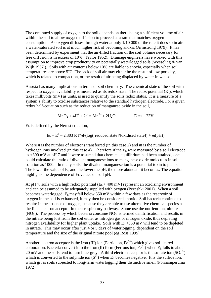The continued supply of oxygen to the soil depends on there being a sufficient volume of air within the soil to allow oxygen diffusion to proceed at a rate that matches oxygen consumption. As oxygen diffuses through water at only 1/10 000 of the rate it does so in air, a water-saturated soil is at much higher risk of becoming anoxic (Armstrong 1979). It has been determined by experiment that the air-filled fraction of the soil volume necessary for free diffusion is in excess of 10% (Taylor 1952). Drainage engineers have worked with this assumption to improve crop productivity on potentially waterlogged soils (Wesseling & van Wijk 1957 ). Soils with air contents below 10% are liable to anoxia, especially when soil temperatures are above  $5^{\circ}$ C. The lack of soil air may either be the result of low porosity, which is related to compaction, or the result of air being displaced by water in wet soils.

Anoxia has many implications in terms of soil chemistry. The chemical state of the soil with respect to oxygen availability is measured as its redox state. The redox potential  $(E_h)$ , which takes millivolts (mV) as units, is used to quantify the soils redox status. It is a measure of a system's ability to oxidise substances relative to the standard hydrogen electrode. For a given redox half-equation such as the reduction of manganese oxide in the soil,

$$
MnO_2 + 4H^+ + 2e = Mn^{2+} + 2H_2O
$$
  $E^0 = +1.23V$ 

 $E_h$  is defined by the Nernst equation,

$$
E_h = E^{\circ} - 2.303 \text{ RT}/nF(\log([reduced state]/[oxidised state]) + m(pH))
$$

Where *n* is the number of electrons transferred (in this case 2) and *m* is the number of hydrogen ions involved (in this case 4). Therefore if the  $E_h$  were measured by a soil electrode as +300 mV at pH 7 and it were assumed that chemical equilibrium had been attained, one could calculate the ratio of divalent manganese ions to manganese oxide molecules in soil solution as 1000. In many soils, the divalent manganese ion is a potential toxin to plants. The lower the value of  $E<sub>h</sub>$  and the lower the pH, the more abundant it becomes. The equation highlights the dependence of Eh values on soil pH.

At pH 7, soils with a high redox potential  $(E_h > 400 \text{ mV})$  represent an oxidising environment and can be assumed to be adequately supplied with oxygen (Pezeshki 2001). When a soil becomes waterlogged,  $E_h$  may fall below 350 mV within a few days as the reservoir of oxygen in the soil is exhausted, it may then be considered anoxic. Soil bacteria continue to respire in the absence of oxygen, because they are able to use alternative chemical species as the final electron acceptor in their respiratory pathway. Some use the nutrient ion, nitrate  $(NO<sub>3</sub>)$ . The process by which bacteria consume  $NO<sub>3</sub>$  is termed denitrification and results in the nitrate being lost from the soil either as nitrogen gas or nitrogen oxide, thus depleting nitrogen availability for higher plant uptake. Soils with  $E_h < 350$  mV will tend to be depleted in nitrate. This may occur after just 4 or 5 days of waterlogging, dependent on the soil temperature and the size of the original nitrate pool (eg Ross 1995).

Another electron acceptor is the Iron (III) ion (Ferric ion,  $Fe^{3+}$ ) which gives soil its red colouration. Bacteria convert it to the Iron (II) form (Ferrous ion,  $Fe^{2+}$ ) when E<sub>h</sub> falls to about 20 mV and the soils tend to turn blue-grey. A third electron acceptor is the sulfate ion  $(SO_4^2)$ which is converted to the sulphide ion  $(S^2)$  when E<sub>h</sub> becomes negative. It is the sulfide ion, which gives soils subjected to long-term waterlogging their distinctive smell (Ponnamperuma 1972).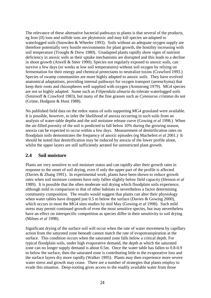<span id="page-20-0"></span>The relevance of these alternative bacterial pathways to plants is that several of the products, eg Iron (II) ions and sulfide ions are phytotoxic and may kill species un-adapted to waterlogged soils (Snowden & Wheeler 1993). Soils without an adequate oxygen supply are therefore potentially very hostile environments for plant growth, the hostility increasing with soil temperature (Trought & Drew 1980). Unadapted plants rapidly show signs of nutrient deficiency in anoxic soils as their uptake mechanisms are disrupted and this leads to a decline in shoot growth (Atwell & Steer 1990). Species not regularly exposed to anoxic soils, can survive a few days (or weeks at low soil temperatures) without soil oxygen by relying on fermentation for their energy and chemical protectants to neutralize toxins (Crawford 1993.) Species of swamp communities are more highly adapted to anoxic soils. They have evolved anatomical adaptations, providing internal pathways for oxygen transport (aerenchyma) that keep their roots and rhizospheres well supplied with oxygen (Armstrong 1979). MG4 species are not so highly adapted. Some such as *Filipendula ulmaria* do tolerate waterlogged soils (Smirnoff & Crawford 1983), but many of the fine grasses such as *Cynosurus cristatus* do not (Grime, Hodgson & Hunt 1988).

No published field data on the redox status of soils supporting MG4 grassland were available. It is possible, however, to infer the likelihood of anoxia occurring in such soils from an analysis of water-table depths and the soil moisture release curve (Gowing *et al* 1998.) When the air-filled porosity of the soil is predicted to fall below 10% during the growing season, anoxia can be expected to occur within a few days. Measurement of denitrification rates on floodplain soils demonstrates the frequency of anoxic episodes (eg Machefert *et al* 2001.) It should be noted that denitrification may be induced by anoxia of the lower profile alone, whilst the upper layers are still sufficiently aerated for unrestricted plant growth.

### **2.4 Soil moisture**

Plants are very sensitive to soil moisture status and can rapidly alter their growth rates in response to the onset of soil drying, even if only the upper part of the profile is affected (Davies & Zhang 1991). In experimental work, plants have been shown to reduce growth rates when soil moisture contents have only fallen slightly below field capacity (Henson *et al* 1989). It is possible that the often moderate soil drying which floodplain soils experience, although mild in comparison to that of other habitats is nevertheless a factor determining community composition. The results would suggest that plants can alter their physiology when water tables have dropped just 0.5 m below the surface (Davies & Gowing 2000), which occurs in most the MG4 sites studies by mid May (Gowing *et al* 1998). Such mild stress may permit continued growth of even the most sensitive species, but may nevertheless have an effect on interspecific competition as species differ in their sensitivity to soil drying (Milnes *et al* 1998).

Significant drying of the surface soil will occur when the rate of water movement by capillary action from the saturated zone beneath cannot match the rate of evapotranspiration at the surface. This condition occurs when the saturated zone falls below a critical depth. For typical floodplain soils, under high evaporative demand, the depth at which the saturated zone can no longer supply demand is about 0.5m. Once the water table has fallen to 0.8-0.9 m below the surface, then the saturated zone is contributing little to the evaporative loss and the surface layers dry more rapidly (Walker 1995). Plants may then experience more severe water stress and growth may cease. There are a number of strategies that plants employ to evade this situation. Deep-rooting gives access to the readily available water from those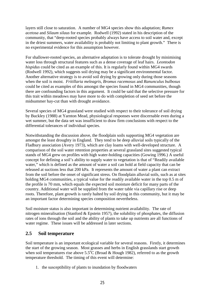<span id="page-21-0"></span>layers still close to saturation. A number of MG4 species show this adaptation; *Rumex acetosa* and *Silaum silaus* for example*.* Rodwell (1992) stated in his description of the community, that "deep-rooted species probably always have access to soil water and, except in the driest summers, water availability is probably not limiting to plant growth." There is no experimental evidence for this assumption however.

For shallower-rooted species, an alternative adaptation is to tolerate drought by minimising water loss through structural features such as a dense coverage of leaf hairs. *Leontodon hispidus* could be cited as an example of this. It is regularly found within MG4 swards (Rodwell 1992), which suggests soil drying may be a significant environmental factor. Another alternative strategy is to avoid soil drying by growing only during those seasons when the soil is moist. *Fritillaria meleagris, Bromus racemosus* and *Ranunculus bulbosus*  could be cited as examples of this amongst the species found in MG4 communities, though there are confounding factors in this argument. It could be said that the selective pressure for this trait within meadows may have more to do with completion of seed set before the midsummer hay-cut than with drought avoidance.

Several species of MG4 grassland were studied with respect to their tolerance of soil drying by Buckley (1988) at Yarnton Mead, physiological responses were discernable even during a wet summer, but the data set was insufficient to draw firm conclusions with respect to the differential tolerances of individual species.

Notwithstanding the discussion above, the floodplain soils supporting MG4 vegetation are amongst the least droughty in England. They tend to be deep alluvial soils typically of the Fladbury association (Avery 1973), which are clay loams with well-developed structure. A comparison of the soil water retention properties at several grassland sites suggested typical stands of MG4 grew on profiles with high water-holding capacities (Gowing 1996.) A useful concept for defining a soil's ability to supply water to vegetation is that of "Readily available water," which is defined as the amount of water a soil can hold at field capacity that can be released at suctions less that 200 kPa. It represents the amount of water a plant can extract from the soil before the onset of significant stress. On floodplain alluvial soils, such as at sites holding MG4 communities, a typical value for the readily available water in the top 0.5 m of the profile is 70 mm, which equals the expected soil moisture deficit for many parts of the country. Additional water will be supplied from the water table via capillary rise or deep roots. Therefore, plant growth is rarely halted by soil drying in this community, but it may be an important factor determining species composition nevertheless.

Soil moisture status is also important in determining nutrient availability. The rate of nitrogen mineralisation (Stanford & Epstein 1957), the solubility of phosphates, the diffusion rates of ions through the soil and the ability of plants to take up nutrients are all functions of water regime. These issues will be addressed in later sections.

### **2.5 Soil temperature**

Soil temperature is an important ecological variable for several reasons. Firstly, it determines the start of the growing season. Most grasses and herbs in English grasslands start growth when soil temperatures rise above  $5.5^{\circ}C$  (Broad & Hough 1982), referred to as the growth temperature threshold. The timing of this event will determine:

1. the susceptibility of plants to inundation by floodwaters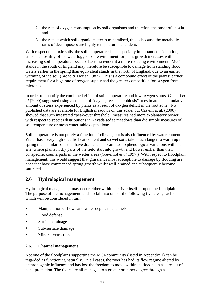- <span id="page-22-0"></span>2. the rate of oxygen consumption by soil organisms and therefore the onset of anoxia and
- 3. the rate at which soil organic matter is mineralised, this is because the metabolic rates of decomposers are highly temperature dependent.

With respect to anoxic soils, the soil temperature is an especially important consideration, since the hostility of the waterlogged soil environment for plant growth increases with increasing soil temperature, because bacteria render it a more reducing environment. MG4 stands in the south of England may therefore be susceptible to damage from standing flood waters earlier in the spring than equivalent stands in the north of England, due to an earlier warming of the soil (Broad & Hough 1982). This is a compound effect of the plants' earlier requirement for a high rate of oxygen supply and the greater competition for oxygen from microbes.

In order to quantify the combined effect of soil temperature and low oxygen status, Castelli *et al* (2000) suggested using a concept of "day degrees anaerobiosis" to estimate the cumulative amount of stress experienced by plants as a result of oxygen deficit in the root zone. No published data are available for English meadows on this scale, but Castelli at al. (2000) showed that such integrated "peak-over threshold" measures had more explanatory power with respect to species distributions in Nevada sedge meadows than did simple measures of soil temperature or mean water-table depth alone.

Soil temperature is not purely a function of climate, but is also influenced by water content. Water has a very high specific heat content and so wet soils take much longer to warm up in spring than similar soils that have drained. This can lead to phenological variations within a site, where plants in dry parts of the field start into growth and flower earlier than their conspecific counterparts in the wetter areas (Grevilliot *et al* 1997.) With respect to floodplain management, this would suggest that grasslands most susceptible to damage by flooding are ones that have commenced spring growth whilst well-drained and subsequently become saturated.

## **2.6 Hydrological management**

Hydrological management may occur either within the river itself or upon the floodplain. The purpose of the management tends to fall into one of the following five areas, each of which will be considered in turn:

- Manipulation of flows and water depths in channels
- Flood defense
- Surface drainage
- Sub-surface drainage
- Mineral extraction

#### **2.6.1 Channel management**

Not one of the floodplains supporting the MG4 community (listed in Appendix 1) can be regarded as functioning naturally. In all cases, the river has had its flow regime altered by anthropogenic influence and has lost the freedom to move within its floodplain as a result of bank protection. The rivers are all managed to a greater or lesser degree through a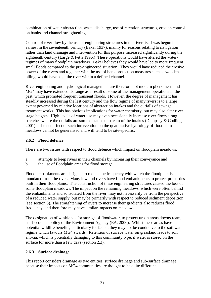<span id="page-23-0"></span>combination of water abstraction, waste discharge, use of retention structures, erosion control on banks and channel straightening.

Control of river flow by the use of engineering structures in the river itself was begun in earnest in the seventeenth century (Baker 1937), mainly for reasons relating to navigation rather than land drainage and intervention for this purpose increased significantly during the eighteenth century (Large & Petts 1996.) These operations would have altered the waterregimes of many floodplain meadows. Baker believes they would have led to more frequent small floods compared to the pre-engineered situation. They would have reduced the erosive power of the rivers and together with the use of bank protection measures such as wooden piling, would have kept the river within a defined channel.

River engineering and hydrological management are therefore not modern phenomena and MG4 may have extended its range as a result of some of the management operations in the past, which promoted frequent transient floods. However, the degree of management has steadily increased during the last century and the flow regime of many rivers is to a large extent governed by relative locations of abstraction intakes and the outfalls of sewage treatment works. This has obvious implications for water chemistry, but may also alter river stage heights. High levels of water use may even occasionally increase river flows along stretches where the outfalls are some distance upstream of the intakes (Dempsey & Codling 2001). The net effect of such intervention on the quantitative hydrology of floodplain meadows cannot be generalised and will tend to be site-specific.

#### **2.6.2 Flood defence**

There are two issues with respect to flood defence which impact on floodplain meadows:

- a. attempts to keep rivers in their channels by increasing their conveyance and
- b. the use of floodplain areas for flood storage.

Flood embankments are designed to reduce the frequency with which the floodplain is inundated from the river. Many lowland rivers have flood embankments to protect properties built in their floodplains. The construction of these engineering structures caused the loss of some floodplain meadows. The impact on the remaining meadows, which were often behind the embankments and so isolated from the river, may not necessarily be from the perspective of a reduced water supply, but may be primarily with respect to reduced sediment deposition (see section 3). The straightening of rivers to increase their gradients also reduces flood frequency, and therefore may have similar impacts on meadows.

The designation of washlands for storage of floodwater, to protect urban areas downstream, has become a policy of the Environment Agency (EA, 2000). Whilst these areas have potential wildlife benefits, particularly for fauna, they may not be conducive to the soil water regime which favours MG4 swards. Retention of surface water on grassland leads to soil anoxia, which is potentially damaging to this community type, if water is stored on the surface for more than a few days (section 2.3).

#### **2.6.3 Surface drainage**

This report considers drainage as two entities, surface drainage and sub-surface drainage because their impacts on MG4 communities are thought to be quite different.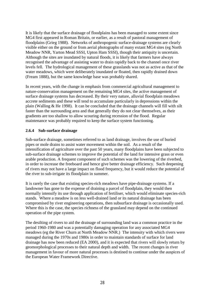<span id="page-24-0"></span>It is likely that the surface drainage of floodplains has been managed to some extent since MG4 first appeared in Roman Britain, or earlier, as a result of pastoral management of floodplains (Grieg 1988). Networks of anthropogenic surface-drainage systems are clearly visible either on the ground or from aerial photographs of many extant MG4 sites (eg North Meadow NNR, Yarton Mead SSSI, Upton Ham SSSI), though their antiquity is uncertain. Although the sites are inundated by natural floods, it is likely that farmers have always recognised the advantage of assisting water to drain rapidly back to the channel once river levels fell. The hydrological management of these grasslands was not as active as that of the water meadows, which were deliberately inundated or floated, then rapidly drained down (Fream 1888), but the same knowledge base was probably shared.

In recent years, with the change in emphasis from commercial agricultural management to nature-conservation management on the remaining MG4 sites, the active management of surface drainage systems has decreased. By their very nature, alluvial floodplain meadows accrete sediments and these will tend to accumulate particularly in depressions within the plain (Walling & He 1998). It can be concluded that the drainage channels will fill with silt faster than the surrounding area and that generally they do not clear themselves, as their gradients are too shallow to allow scouring during recession of the flood. Regular maintenance was probably required to keep the surface system functioning.

#### **2.6.4 Sub-surface drainage**

Sub-surface drainage, sometimes referred to as land drainage, involves the use of buried pipes or mole drains to assist water movement within the soil. As a result of the intensification of agriculture over the past 50 years, many floodplains have been subjected to sub-surface drainage schemes to improve the potential of the land for intensive grass or even arable production. A frequent component of such schemes was the lowering of the riverbed, in order to increase the freeboard and hence give better drainage efficiency. Such deepening of rivers may not have a large impact on flood frequency, but it would reduce the potential of the river to sub-irrigate its floodplain in summer.

It is rarely the case that existing species-rich meadows have pipe-drainage systems. If a landowner has gone to the expense of draining a parcel of floodplain, they would then normally intensify its use through application of fertiliser, which would eliminate species-rich stands. Where a meadow is on less well-drained land or its natural drainage has been compromised by river engineering operations, then subsurface drainage is occasionally used. Where this is the case, the species richness of the grassland may depend on the continued operation of the pipe system.

The desilting of rivers to aid the drainage of surrounding land was a common practice in the period 1960-1980 and was a potentially damaging operation for any associated MG4 meadows (eg the River Churn at North Meadow NNR.) The intensity with which rivers were managed during the 1970s and 1980s in order to maintain standards of surface for land drainage has now been reduced (EA 2000), and it is expected that rivers will slowly return by geomorphological processes to their natural depth and width. The recent changes in river management in favour of more natural processes is destined to continue under the auspices of the European Water Framework Directive.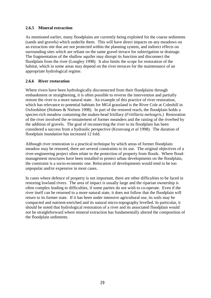#### <span id="page-25-0"></span>**2.6.5 Mineral extraction**

As mentioned earlier, many floodplains are currently being exploited for the coarse sediments (sands and gravels) which underlie them. This will have direct impacts on any meadows on an extraction site that are not protected within the planning system, and indirect effects on surrounding sites which are reliant on the same gravel terrace for subirrigation or drainage. The fragmentation of the shallow aquifer may disrupt its function and disconnect the floodplain from the river (Longley 1998). It also limits the scope for restoration of the habitat, which in some areas may depend on the river terraces for the maintenance of an appropriate hydrological regime.

#### **2.6.6 River restoration**

Where rivers have been hydrologically disconnected from their floodplains through embankment or straightening, it is often possible to reverse the intervention and partially restore the river to a more natural state. An example of this practice of river restoration, which has relevance to potential habitats for MG4 grassland is the River Cole at Coleshill in Oxfordshire (Holmes & Nielsen 1998). In part of the restored reach, the floodplain holds a species-rich meadow containing the snakes-head fritillary (*Fritillaria meleagris.)* Restoration of the river involved the re-instatement of former meanders and the raising of the riverbed by the addition of gravels. The goal of reconnecting the river to its floodplain has been considered a success from a hydraulic perspective (Kronvang *et al* 1998). The duration of floodplain inundation has increased 12 fold.

Although river restoration is a practical technique by which areas of former floodplain meadow may be restored, there are several constraints to its use. The original objectives of a river-engineering project often relate to the protection of property from floods. Where floodmanagement structures have been installed to protect urban developments on the floodplain, the constraint is a socio-economic one. Relocation of developments would tend to be too unpopular and/or expensive in most cases.

In cases where defence of property is not important, there are other difficulties to be faced in restoring lowland rivers. The area of impact is usually large and the riparian ownership is often complex leading to difficulties, if some parties do not wish to co-operate. Even if the river itself can be returned to a more natural state, it does not follow that the floodplain will return to its former state. If it has been under intensive agricultural use, its soils may be compacted and nutrient-enriched and its natural micro-topography levelled. In particular, it should be noted that hydrological restoration of a river and its associated floodplain would not be straightforward where mineral extraction has fundamentally altered the composition of the floodplain sediments.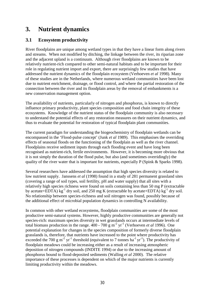## <span id="page-26-0"></span>**3. Nutrient dynamics**

## **3.1 Ecosystem productivity**

River floodplains are unique among wetland types in that they have a linear form along rivers and streams. When not modified by ditching, the linkage between the river, its riparian zone and the adjacent upland is a continuum. Although river floodplains are known to be relatively nutrient-rich compared to other semi-natural habitats and to be important for their role in regulating nutrient import and export, there are surprisingly few studies that have addressed the nutrient dynamics of the floodplain ecosystem (Verhoeven *et al* 1998). Many of these studies are in the Netherlands, where numerous wetland communities have been lost due to nutrient enrichment, drainage, or flood control, and where the partial restoration of the connection between the river and its floodplain areas by the removal of embankments is a new conservation management option.

The availability of nutrients, particularly of nitrogen and phosphorus, is known to directly influence primary productivity, plant species composition and food chain integrity of these ecosystems. Knowledge of the nutrient status of the floodplain community is also necessary to understand the potential effects of any restoration measures on their nutrient dynamics, and thus to evaluate the potential for restoration of typical floodplain plant communities.

The current paradigm for understanding the biogeochemistry of floodplain wetlands can be encompassed in the 'Flood-pulse concept' (Junk *et al* 1989). This emphasises the overriding effects of seasonal floods on the functioning of the floodplain as well as the river channel. Floodplains receive sediment inputs through each flooding event and have long been recognised as nutrient-rich, fertile environments. However, it is becoming more obvious that it is not simply the duration of the flood pulse, but also (and sometimes overridingly) the quality of the river water that is important for nutrients, especially P (Spink & Sparks 1998).

Several researchers have addressed the assumption that high species diversity is related to low nutrient supply. Janssens *et al* (1998) found in a study of 281 permanent grassland sites (covering a range of soil types, soil fertility, pH and water supply) that all sites with a relatively high species richness were found on soils containing less than 50 mg P (extractable by acetate+EDTA) kg<sup>-1</sup> dry soil, and 250 mg K (extractable by acetate+EDTA) kg<sup>-1</sup> dry soil. No relationship between species-richness and soil nitrogen was found, possibly because of the additional effect of microbial population dynamics in controlling N availability.

In common with other wetland ecosystems, floodplain communities are some of the most productive semi-natural systems. However, highly productive communities are generally not species-rich: maximum species diversity in wet grasslands occurs at intermediate levels of total biomass production in the range.  $400 - 700$  g m<sup>-2</sup> yr<sup>-1</sup> (Verhoeven *et al* 1996). One potential explanation for changes in the species composition of formerly diverse floodplain grasslands is, therefore, that nutrients have increased to the point where productivity has exceeded the 700 g m<sup>-2</sup> yr<sup>-1</sup> threshold (equivalent to 7 tonnes ha<sup>-1</sup> yr<sup>-1</sup>). The productivity of floodplain meadows could be increasing either as a result of increasing atmospheric deposition of nitrogen compounds (INDITE 1994) or due to the increasing amount of phosphorus bound to flood-deposited sediments (Walling *et al* 2000). The relative importance of these processes is dependent on which of the major nutrients is currently limiting productivity within the meadows.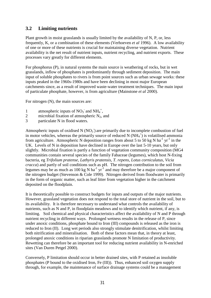## <span id="page-27-0"></span>**3.2 Limiting nutrients**

Plant growth in moist grasslands is usually limited by the availability of N, P, or, less frequently, K, or a combination of these elements (Verhoeven *et al* 1996). A low availability of one or more of these nutrients is crucial for maintaining diverse vegetation. Nutrient availability is the net result of nutrient inputs, nutrient recycling, and nutrient exports. These processes vary greatly for different elements.

For phosphorus (P), in natural systems the main source is weathering of rocks, but in wet grasslands, inflow of phosphates is predominantly through sediment deposition. The main input of soluble phosphates to rivers is from point sources such as urban sewage works: these inputs peaked in the 1960s-1980s and have been declining in most major European catchments since, as a result of improved waste-water treatment techniques. The main input of particulate phosphate, however, is from agriculture (Mainstone *et al* 2000).

For nitrogen (N), the main sources are:

- 1 atmospheric inputs of  $NO_3^-$  and  $NH_4^+$ ,
- 2 microbial fixation of atmospheric  $N_2$ , and
- 3 particulate N in flood waters.

Atmospheric inputs of oxidised  $N (NO<sub>3</sub>)$  are primarily due to incomplete combustion of fuel in motor vehicles, whereas the primarily source of reduced N  $(NH_4^+)$  is volatilised ammonia from agriculture. Atmospheric N deposition ranges from about 5 to 50 kg N ha<sup>-1</sup> yr<sup>-1</sup> in the UK. Levels of N in deposition have declined in Europe over the last 5-10 years, but only slightly. Microbial fixation is partly a function of vegetation community composition (MG4 communities contain several species of the family Fabaceae (legumes), which host N-fixing bacteria, eg *Trifolium pratense, Lathyris pratensis, T. repens, Lotus corniculatus, Vicia cracca*) and partly of soil conditions such as pH. The nitrogen contribution to the soil from legumes may be as much as 100 kg N ha<sup>-1</sup> yr<sup>-1</sup> and may therefore be a major component of the nitrogen budget (Stevenson & Cole 1999). Nitrogen derived from floodwater is primarily in the form of organic matter, such as leaf litter from vegetation higher in the catchment deposited on the floodplain.

It is theoretically possible to construct budgets for inputs and outputs of the major nutrients. However, grassland vegetation does not respond to the total store of nutrient in the soil, but to its availability. It is therefore necessary to understand what controls the availability of nutrients, such as N and P, in floodplain meadows and to identify which nutrient, if any, is limiting. Soil chemical and physical characteristics affect the availability of N and P through nutrient recycling in different ways. Prolonged wetness results in the release of P, since under anoxic conditions, phosphate bound to Iron (III) compounds is released as the iron is reduced to Iron (II). Long wet periods also strongly stimulate denitrification, whilst limiting both nitrification and mineralisation. Both of these factors mean that, in theory at least, prolonged anoxic conditions in riparian grasslands promote N limitation of productivity. Rewetting can therefore be an important tool for reducing nutrient availability in N-enriched sites (Van Duren Petgel 2000).

Conversely, P limitation should occur in better drained sites, with P retained as insoluble phosphates (P bound to the oxidised Iron, Fe (III)). Thus, enhanced soil oxygen supply through, for example, the maintenance of surface drainage systems could be a management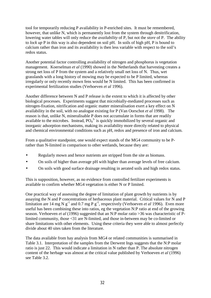tool for temporarily reducing P availability in P-enriched sites. It must be remembered, however, that unlike N, which is permanently lost from the system through denitrification, lowering water tables will only reduce the *availability* of P, but not the *store* of P. The ability to *lock up* P in this way is also dependent on soil pH. In soils of high pH, P is bound to calcium rather than iron and its availability is then less variable with respect to the soil's redox status.

Another potential factor controlling availability of nitrogen and phosphorus is vegetation management. Koerselman *et al* (1990) showed in the Netherlands that harvesting creates a strong net loss of P from the system and a relatively small net loss of N. Thus, wet grasslands with a long history of mowing may be expected to be P limited, whereas irregularly or only recently mown fens would be N limited. This has been confirmed in experimental fertilization studies (Verhoeven *et al* 1996).

Another difference between N and P release is the extent to which it is affected by other biological processes. Experiments suggest that microbially-mediated processes such as nitrogen-fixation, nitrification and organic matter mineralisation exert a key effect on N availability in the soil, with no analogue existing for P (Van Oorschot *et al* 1998). The reason is that, unlike N, mineralisable P does not accumulate in forms that are readily available to the microbes. Instead,  $PO<sub>4</sub><sup>3</sup>$  is quickly immobilized by several organic and inorganic adsorption mechanisms, making its availability more directly related to physical and chemical environmental conditions such as pH, redox and presence of iron and calcium.

From a qualitative standpoint, one would expect stands of the MG4 community to be Prather than N-limited in comparison to other wetlands, because they are:

- Regularly mown and hence nutrients are stripped from the site as biomass.
- On soils of higher than average pH with higher than average levels of free calcium.
- On soils with good surface drainage resulting in aerated soils and high redox status.

This is supposition, however, as no evidence from controlled fertilizer experiments is available to confirm whether MG4 vegetation is either N or P limited.

One practical way of assessing the degree of limitation of plant growth by nutrients is by assaying the N and P concentrations of herbaceous plant material. Critical values for N and P limitation are 14 mg N  $g^{-1}$  and 0.7 mg P  $g^{-1}$ , respectively (Verhoeven *et al* 1996). Even more useful has been combining these into ratios, eg the vegetation N:P ratio at end of the growing season. Verhoeven *et al* (1996) suggested that an N:P molar ratio >36 was characteristic of Plimited community, those <31 are N-limited, and those in-between may be co-limited or share limitations with other elements. Using these criteria they were able to almost perfectly divide about 40 sites taken from the literature.

The data available from hay analysis from MG4 or related communities is summarised in Table 3.1. Interpretation of the samples from the Derwent Ings suggests that the N:P molar ratio is just 22. This would indicate a limitation in N rather than P. The absolute nitrogen content of the herbage was almost at the critical value published by Verhoeven *et al* (1996) see Table 3.2.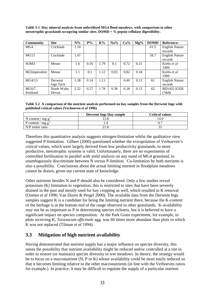<span id="page-29-0"></span>

| Table 3-1 Hay mineral analysis from unfertilised MG4 flood meadows, with comparison to other |
|----------------------------------------------------------------------------------------------|
| mesotrophic grasslands occupying similar sites. $DOMD = \%$ pepsin cellulase digestibility.  |

| <b>Community</b>   | <b>Site</b> | $N\%$ | $P\%$ | $K\%$ | Na%  | $Ca\%$ | $Mg\%$ | <b>DOMD</b> | <b>Reference:</b>     |
|--------------------|-------------|-------|-------|-------|------|--------|--------|-------------|-----------------------|
| MG4                | Cricklade   | 1.10  |       |       |      |        |        | 61.5        | <b>English Nature</b> |
|                    |             |       |       |       |      |        |        |             | records               |
| MG13               | Cricklade   | 1.47  |       |       |      |        |        | 58.7        | <b>English Nature</b> |
|                    |             |       |       |       |      |        |        |             | records               |
| SOM <sub>3</sub>   | Meuse       | 1.6   | 0.16  | 1.79  | 0.1  | 0.72   | 0.21   |             | Krebs et al.          |
|                    |             |       |       |       |      |        |        |             | 1999                  |
| M22equivalent      | Meuse       | 1.1   | 0.1   | 1.12  | 0.03 | 0.82   | 0.34   |             | Krebs et al.          |
|                    |             |       |       |       |      |        |        |             | 1999                  |
| MG <sub>4/13</sub> | Derwent     | 1.38  | 0.14  | 1.11  |      | 0.40   | 0.13   | 61          | <b>English Nature</b> |
|                    | Ings TatA   |       |       |       |      |        |        |             | records               |
| MG6/7              | North Wyke, | 2.22  | 0.27  | 1.78  | 0.38 | 0.28   | 0.13   | 62          | BD1425 IGER           |
| fertilised         | Devon       |       |       |       |      |        |        |             | (7&8)                 |

**Table 3-2 A comparison of the nutrient analysis performed on hay samples from the Derwent Ings with published critical values (Verhoeven** *et al* **1996)** 

|                      | <b>Derwent Ings Hay sample</b> | Critical values |
|----------------------|--------------------------------|-----------------|
| N content $/mg g$    |                                | 14.0            |
| P content / $mg g''$ |                                |                 |
| N:P molar ratio      |                                |                 |

Therefore this quantitative analysis suggests nitrogen-limitation whilst the qualitative view suggested P-limitation. Gilbert (2000) questioned whether the extrapolation of Verhoeven's critical values, which were largely derived from low productivity grasslands, to more productive, mesotrophic systems is valid. Unfortunately, there are no experiments of controlled fertilisation in parallel with yield analysis on any stand of MG4 grassland, to unambiguously discriminate between N versus P-limition. Co-limitation by both nutrients is also a possibility. Conclusions about the actual limiting nutrient in floodplain meadows cannot be drawn, given our current state of knowledge.

Other nutrients besides N and P should also be considered. Only a few studies reveal potassium (K) limitation to vegetation; this is restricted to sites that have been severely drained in the past and mostly used for hay cropping as well, which resulted in K removal (Oomes *et al* 1996; Van Duren & Petgel 2000). The available data from the Derwent Ings samples suggest K is a candidate for being the limiting nutrient there, because the K-content of the herbage is at the bottom end of the range observed in other grasslands. K-availability may not be as important as P in determining species richness, but it is believed to have a significant impact on species composition. At the Park Grass experiment, for example, in plots receiving K, *Taraxacum officinale* agg. was 60 times more abundant than plots in which K was not replaced (Tilman *et al* 1994).

### **3.3 Mitigation of high nutrient availability**

Having demonstrated that nutrient supply has a major influence on species diversity, this raises the possibility that nutrient availability might be reduced and/or controlled at a site in order to restore (or maintain) species diversity in wet meadows. In theory, the strategy would be to focus on a macronutrient (N, P or K) whose availability could be most easily reduced so that it becomes limiting relative to the other macronutrients (in line with the Verhoeven ratios for example.) In practice, it may be difficult to regulate the supply of a particular nutrient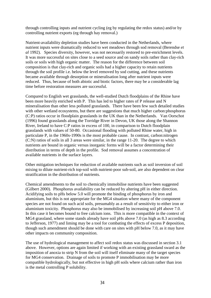through controlling inputs and nutrient cycling (eg by regulating the redox status) and/or by controlling nutrient exports (eg through hay removal.)

Nutrient-availability depletion studies have been conducted in the Netherlands, where nutrient inputs were dramatically reduced to wet meadows through sod removal (Berendse *et al* 1992). Species diversity, however, was not necessarily restored to pre-enrichment levels. It was more successful on sites close to a seed source and on sandy soils rather than clay-rich soils or soils with high organic matter. The reason for the difference between soil composition is that clay-rich and organic soils had a higher capacity to retain nutrients through the soil profile i.e. below the level removed by sod cutting, and these nutrients became available through desorption or mineralisation long after nutrient inputs were reduced. Thus, because of both abiotic and biotic factors, there may be a considerable lag time before restoration measures are successful.

Compared to English wet grasslands, the well-studied Dutch floodplains of the Rhine have been more heavily enriched with P. This has led to higher rates of P release and N mineralisation than other less polluted grasslands. There have been few such detailed studies with other wetland ecosystems, but there are suggestions that much higher carbon: phosphorus (C:P) ratios occur in floodplain grasslands in the UK than in the Netherlands. Van Oorschot (1996) found grasslands along the Torridge River in Devon, UK those along the Shannon River, Ireland to have C:P ratios in excess of 100, in comparison to Dutch floodplain grasslands with values of 50-80. Occasional flooding with polluted Rhine water, high in particulate P, in the 1960s-1990s is the most probable cause. In contrast, carbon:nitrogen (C:N) ratios of soils in all 3 areas were similar, in the range 11-20. The degree to which nutrients are bound in organic versus inorganic forms will be a factor determining their distribution in terms of depth in the profile. Sod removal assumes a concentration of available nutrients in the surface layers.

Other mitigation techniques for reduction of available nutrients such as soil inversion of soil mixing to dilute nutrient-rich top-soil with nutrient-poor sub-soil, are also dependent on clear stratification in the distribution of nutrients.

Chemical amendments to the soil to chemically immobilise nutrients have been suggested (Gilbert 2000). Phosphorus availability can be reduced by altering pH in either direction. Acidifying soils to pHs below 5.0 will promote the binding of phosphorus by iron and aluminium, but this is not appropriate for the MG4 situation where many of the component species are not found on such acid soils, presumably as a result of sensitivity to either iron or aluminium toxicity. Phosphorus may also be immobilised by increasing soil pH above 7.0. In this case it becomes bound to free calcium ions. This is more compatible in the context of MG4 grassland, where some stands already have soil pHs above 7.0 (as high as 8.3 according to Jefferson, 1977) and liming may be a tool for combating the effects of excess P deposition, though such amendment should be done with care on sites with pH below 7.0, as it may have other impacts on community composition.

The use of hydrological management to affect soil redox status was discussed in section 3.1 above. However, options are again limited if working with an existing grassland sward as the imposition of anoxia to strip N from the soil will itself eliminate many of the target species for MG4 conservation. Drainage of soils to promote P immobilisation may be more compatible hydrologically, but not effective in high pH soils where calcium rather than iron is the metal controlling P solubility.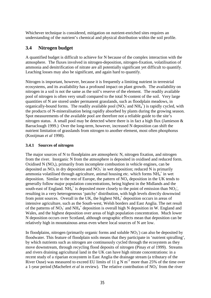<span id="page-31-0"></span>Whichever technique is considered, mitigation on nutrient-enriched sites requires an understanding of the nutrient's chemical and physical distribution within the soil profile.

## **3.4 Nitrogen budget**

A quantified budget is difficult to achieve for N because of the complex interaction with the atmosphere. The fluxes involved in nitrogen-deposition, nitrogen-fixation, volatilisation of ammonia and denitrification of nitrate are all potentially significant yet difficult to quantify. Leaching losses may also be significant, and again hard to quantify.

Nitrogen is important, however, because it is frequently a limiting nutrient in terrestrial ecosystems, and its availability has a profound impact on plant growth. The availability on nitrogen in a soil is not the same as the soil's reserve of the element. The readily available pool of nitrogen is often very small compared to the total N-content of the soil. Very large quantities of N are stored under permanent grasslands, such as floodplain meadows, in organically-bound forms. The readily available pool ( $NO<sub>3</sub>$  and  $NH<sub>4</sub>$ <sup> $+$ </sup>) is rapidly cycled, with the products of N-mineralisation being rapidly absorbed by plants during the growing season. Spot measurements of the available pool are therefore not a reliable guide to the site's nitrogen status. A small pool may be detected where there is in fact a high flux (Jamieson  $\&$ Barraclough 1999.) Over the long-term, however, increased N deposition can shift the nutrient limitation of grasslands from nitrogen to another element, most often phosphorus (Kooijman *et al* 1998).

#### **3.4.1 Sources of nitrogen**

The major sources of N to floodplains are atmospheric N, nitrogen fixation, and nitrogen from the river. Inorganic N from the atmosphere is deposited in oxidised and reduced form. Oxidised N ( $NO<sub>x</sub>$ ), primarily from incomplete combustion in vehicle engines, can be deposited as  $NO_2$  in dry deposition and  $NO_3$  in wet deposition; reduced N is primarily ammonia volatilised through agriculture, animal housing etc. which forms  $NH_4^+$  in wet deposition. Similar to the rest of Europe, the pattern of  $NO<sub>x</sub>$  deposition in the UK tends to generally follow major population concentrations, being highest in the Midlands and the south-east of England.  $\overline{NH_4}^+$  is deposited more closely to the point of emission than  $NO_3$ , resulting in a very heterogeneous 'patchy' distribution, with high levels directly downwind from point sources. Overall in the UK, the highest  $NH_4^+$  deposition occurs in areas of intensive agriculture, such as the South-west, Welsh borders and East Anglia. The net result of the patterns of NO<sub>3</sub><sup>-</sup> and NH<sub>4</sub><sup>+</sup> deposition is overall high N deposition in W. England and Wales, and the highest deposition over areas of high population concentration. Much lower N deposition occurs over Scotland, although orographic effects mean that deposition can be relatively high in mountainous areas even where local sources of N are low.

In floodplains, nitrogen (primarily organic forms and soluble  $NO<sub>3</sub>$ ) can also be deposited by floodwater. This feature of floodplain soils means that they participate in 'nutrient spiralling', by which nutrients such as nitrogen are continuously cycled through the ecosystem as they move downstream, through recycling flood deposits of nitrogen (Pinay *et al* 1999). Streams and rivers draining agricultural land in the UK can have high nitrate concentrations: in a recent study of a riparian ecosystem in East Anglia the drainage stream (a tributary of the River Ouse) was measured to exceed EU limits of 11 g N  $\text{m}^{-3}$  more than 25% of the time over a 1-year period (Machefert *et al* in review). The relative contribution of  $NO<sub>3</sub>$ <sup>-</sup> from the river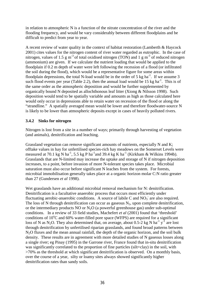<span id="page-32-0"></span>in relation to atmospheric N is a function of the nitrate concentration of the river and the flooding frequency, and would be vary considerably between different floodplains and be difficult to predict from year to year.

A recent review of water quality in the context of habitat restoration (Lamberth & Haycock 2001) cites values for the nitrogen content of river water regarded as eutrophic. In the case of nitrogen, values of 1.5 g m<sup>-3</sup> of total oxidised nitrogen (TON) and 1 g m<sup>-3</sup> of reduced nitrogen (ammonium) are given. If we calculate the nutrient loading that would be applied to the floodplain if 0.2 m depth of water were left following the recession of a flood (or infiltrated the soil during the flood), which would be a representative figure for some areas within floodplain depressions, the total N-load would be in the order of 5 kg ha<sup>-1</sup>. If we assume 3 such flood events per year (Table 2.2), then the annual load would be 15 kg ha<sup>-1</sup>. This is of the same order as the atmospheric deposition and would be further supplemented by organically bound N deposited as allochthonous leaf litter (Xiong & Nilsson 1998). Such deposition would tend to be spatially variable and amounts as high as those calculated here would only occur in depressions able to retain water on recession of the flood or along the "strandline." A spatially averaged mean would be lower and therefore floodwater-source N is likely to be lower than atmospheric deposits except in cases of heavily polluted rivers.

#### **3.4.2 Sinks for nitrogen**

Nitrogen is lost from a site in a number of ways; primarily through harvesting of vegetation (and animals), denitrification and leaching.

Grassland vegetation can remove significant amounts of nutrients, especially N and K; offtake values in hay for unfertilised species-rich hay meadows on the Somerset Levels were measured at 70.1 kg N ha<sup>-1</sup>, 5.5 kg P ha<sup>-1</sup> and 39.4 kg K ha<sup>-1</sup> (Kirkham & Wilkins 1994b). Grasslands that are N-limited may increase the uptake and storage of N if nitrogen deposition increases, to a point, before invasion of more N-tolerant species takes place. Microbial saturation must also occur before significant N leaches from the system. For forests, microbial immobilisation generally takes place at a organic horizon molar C:N ratio greater than 27 (Gundersen *et al* 1998).

Wet grasslands have an additional microbial removal mechanism for N: denitrification. Denitrification is a facultative anaerobic process that occurs most efficiently under fluctuating aerobic-anaerobic conditions. A source of labile C and  $NO<sub>3</sub>$  are also required. The loss of N through denitrification can occur as gaseous  $N_2$ , upon complete denitrification, or the intermediary products NO or  $N_2O$  (a powerful greenhouse gas) under sub-optimal conditions. In a review of 33 field studies, Machefert *et al* (2001) found that 'threshold' conditions of  $10^{\circ}$ C and 60% water-filled pore space (WFPS) are required for a significant loss of N as N<sub>2</sub>O. They also determined that, on average, about 0.5-2 kg N ha<sup>-1</sup> y<sup>-1</sup> are lost through denitrification by unfertilised riparian grasslands, and found broad patterns between N<sub>2</sub>O fluxes and the mean annual rainfall, the depth of the organic horizon, and the soil bulk density. These results are in agreement with more detailed studies of N gaseous losses along a single river; eg Pinay (1995) in the Garrone river, France found that in-situ denitrification was significantly correlated to the proportion of fine particles (silt+clay) in the soil, with >70% as the threshold at which significant denitrification is observed. On a monthly basis, over the course of a year, silty or loamy sites always showed significantly higher denitrification rates than sandy soils.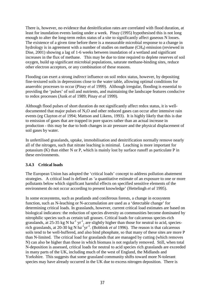<span id="page-33-0"></span>There is, however, no evidence that denitrification rates are correlated with flood duration, at least for inundation events lasting under a week. Pinay (1995) hypothesised this is not long enough to alter the long-term redox status of a site to significantly affect gaseous N losses. The existence of a given time before there is a measurable microbial response to a change in hydrology is in agreement with a number of studies on methane  $(CH_4)$  emission (reviewed in Dise, 2001) showing a lag of 1-6 weeks between inundation of a wetland and significant increases in the flux of methane. This may be due to time required to deplete reserves of soil oxygen, build up significant microbial populations, saturate methane-binding sites, reduce other electron acceptors, or any combination of these reasons.

Flooding can exert a strong *indirect* influence on soil redox status, however, by depositing fine-textured soils in depressions close to the water table, allowing optimal conditions for anaerobic processes to occur (Pinay *et al* 1999). Although irregular, flooding is essential to providing the 'pulses' of soil and nutrients, and maintaining the landscape features conducive to redox processes (Junk *et al* 1989; Pinay *et al* 1999).

Although flood pulses of short duration do not significantly affect redox status, it is welldocumented that major pulses of  $N_2O$  and other reduced gases can occur after intensive rain events (eg Clayton *et al* 1994; Mattson and Likens, 1993). It is highly likely that this is due to emission of gases that are trapped in pore spaces rather than an actual increase in production - this may be due to both changes in air pressure and the physical displacement of soil gases by water.

In unfertilised grasslands, uptake, immobilisation and denitrification normally remove nearly all of the nitrogen, such that nitrate leaching is minimal. Leaching is more important for potassium (K) than either N or P, which is mainly lost by surface runoff as particulate P in these environments.

#### **3.4.3 Critical loads**

The European Union has adopted the 'critical loads' concept to address pollution abatement strategies. A critical load is defined as 'a quantitative estimate of an exposure to one or more pollutants below which significant harmful effects on specified sensitive elements of the environment do not occur according to present knowledge' (Hettelingh *et al* 1995).

In some ecosystems, such as peatlands and coniferous forests, a change in ecosystem function, such as N-leaching or N-accumulation are used as a 'detectable change' for determining critical loads. In grasslands, however, current critical load estimates are based on biological indicators: the reduction of species diversity as communities become dominated by nitrophilic species such as certain tall grasses. Critical loads for calcareous species-rich grasslands, at 25-35 kg N ha<sup>-1</sup> yr<sup>-1</sup>, are slightly higher than those for neutral to acid, speciesrich grasslands, at 20-30 kg N ha<sup>-1</sup>yr<sup>-1</sup>. (Bobbink *et al* 1996). The reason is that calcareous soils tend to be well-buffered, and also bind phosphate, so that many of these sites are more P than N-limited. The critical load for grasslands that are managed by cutting (which removes N) can also be higher than those in which biomass is not regularly removed. Still, when total N-deposition is assessed, critical loads for neutral to acid species rich grasslands are exceeded in many parts of the UK, including much of the west of England, the Midlands and Yorkshire. This suggests that some grassland community shifts toward more N-tolerant species may have already occurred in the UK due to excess nitrogen deposition. There is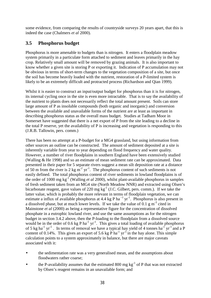<span id="page-34-0"></span>some evidence, from comparing the results of countryside surveys 20 years apart, that this is indeed the case (Chalmers *et al* 2000).

## **3.5 Phosphorus budget**

Phosphorus is more amenable to budgets than is nitrogen. It enters a floodplain meadow system primarily in a particulate form attached to sediment and leaves primarily in the hay crop. Relatively small amount will be removed by grazing animals. It is also important to know whether a given site is storing P or exporting it. Indication of P accumulation may not be obvious in terms of short-term changes to the vegetation composition of a site, but once the soil has become heavily loaded with the nutrient, restoration of a P-limited system is likely to be an extremely difficult and protracted process (Richardson and Qian 1999).

Whilst it is easier to construct an input/output budget for phosphorus than it is for nitrogen, its internal cycling once in the site is even more intractable. That is to say the availability of the nutrient to plants does not necessarily reflect the total amount present. Soils can store large amount of P as insoluble compounds (both organic and inorganic) and conversion between the available and unavailable forms of the nutrient are at least as important in describing phosphorus status as the overall mass budget. Studies at Tadham Moor in Somerset have suggested that there is a net export of P from the site leading to a decline in the total P reserve, yet the availability of P is increasing and vegetation is responding to this (J.R.B. Tallowin, pers. comm.)

There has been no attempt at a P-budget for a MG4 grassland, but using information from other sources an outline can be constructed. The amount of sediment deposited at a site is inherently variable from year to year depending on flood frequency and water quality. However, a number of river floodplains in southern England have been extensively studied (Walling & He 1998) and so an estimate of mean sediment rate can be approximated. Data presented in their paper for 5 separate rivers suggest a mean silt deposition rate at a distance of 50 m from the river is 2 kg  $m^{-2}$  yr<sup>-1</sup>. The phosphorus content of such sediments is not easily defined. The total phosphorus content of river sediments in lowland floodplains is of the order of 1000 mg kg-1 (Walling *et al* 2000), whilst plant-available phosphorus in samples of fresh sediment taken from an MG4 site (North Meadow NNR) and extracted using Olsen's bicarbonate reagent, gave values of 220 mg  $kg^{-1}$  (J.C. Gilbert, pers. comm.). If we take the latter value, which is probably the more relevant in terms of floodplain vegetation, we can estimate a influx of available phosphorus at 4.4 kg P ha<sup> $-1$ </sup> yr<sup> $-1$ </sup>. Phosphorus is also present in a dissolved phase, but at much lower levels. If we take the value of 0.1 g  $m<sup>-3</sup>$  cited in Mainstone *et al* (2000) as being a representative figure for the concentration of dissolved phosphate in a eutrophic lowland river, and use the same assumptions as for the nitrogen budget in section 3.4.2 above, then the P-loading to the floodplain from a dissolved source would be in the order of 0.6 kg P ha<sup>-1</sup> yr<sup>-1</sup>. This gives a total loading of available phosphorus of 5 kg ha<sup>-1</sup> yr<sup>-1</sup>. In terms of removal we have a typical hay yield of 4 tonnes ha<sup>-1</sup> yr<sup>-1</sup> and a P content of 0.14%. This gives an export of 5.6 kg P ha<sup>-1</sup> yr<sup>-1</sup> in the hay alone. This simple calculation points to a system approximately in balance, but there are major caveats associated with it:

- the sedimentation rate was a very generalised mean, and the assumptions about floodwaters rather coarse;
- the P-availability assumes that the estimated 800 mg  $kg^{-1}$  of P that was not extracted by Olsen's reagent remains in an unavailable form; and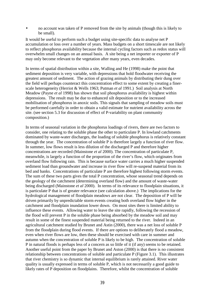• no account was taken of P removed from the site by animals (though this is likely to be small).

It would be useful to perform such a budget using site-specific data to analyse net P accumulation or loss over a number of years. Mass budgets on a short timescale are not likely to reflect phosphorus availability because the internal cycling factors such as redox status will overwhelm small changes on an annual basis. A site being a net importer or exporter of P may only become relevant to the vegetation after many years, even decades.

In terms of spatial distribution within a site, Walling and He (1998) make the point that sediment deposition is very variable, with depressions that hold floodwater receiving the greatest amount of sediment. The action of grazing animals by distributing their dung over the field will perhaps counteract this concentration effect to some extent by creating a finerscale heterogeneity (Herriot & Wells 1963; Putman *et al* 1991.) Soil analysis at North Meadow (Payne *et al* 1998) has shown that soil phosphorus availability is highest within depressions. The result may be due to enhanced silt deposition or to the increased mobilisation of phosphorus in anoxic soils. This signals that sampling of meadow soils must be performed carefully in order to obtain a valid estimate for nutrient availability across the site. (see section 5.3 for discussion of effect of P-variability on plant community composition.)

In terms of seasonal variation in the phosphorus loadings of rivers, there are two factors to consider, one relating to the soluble phase the other to particulate P. In lowland catchments dominated by waste-water discharges, the loading of soluble phosphorus is relatively constant through the year. The concentration of soluble P is therefore largely a function of river flow. In summer, low flows result is less dilution of the discharged P and therefore higher concentrations are recorded (Mainstone *et al* 2000). The concentration of particulate P, meanwhile, is largely a function of the proportion of the river's flow, which originates from overland flow following rain. This is because surface water carries a much higher suspended sediment load than groundwater and increase in river flow will re-suspend material from its bed and banks. Concentrations of particulate P are therefore highest following storm events. The sum of these two parts gives the total P concentration, whose seasonal trend depends on the geology of the catchment (determining overland flow) and the amount of waste-water being discharged (Mainstone *et al* 2000). In terms of its relevance to floodplain situations, it is particulate P that is of greater relevance (see calculation above.) The implications for the hydrological management of floodplain meadows are not clear. The deposition of P will be driven primarily by unpredictable storm events creating both overland flow higher in the catchment and floodplain inundation lower down. On most sites there is limited ability to influence these events. Allowing water to leave the site rapidly, following the recession of the flood will prevent P in the soluble phase being absorbed by the meadow soil and may result in some of the finest suspended material being returned to the river. Indeed in an agricultural catchment studied by Brunet and Astin (2000), there was a net loss of soluble P from the floodplain during flood events. If there are options to deliberately flood a meadow, even when river flows are low, then these should be exercised with care in summer and autumn when the concentration of soluble P is likely to be high. The concentration of soluble P in natural floods is perhaps less of a concern as so little of it (if any) seems to be retained. Another useful point from the paper by Brunet and Aston (2000) is that there is no consistent relationship between concentrations of soluble and particulate P (Figure 3.1). This illustrates that river chemistry is so dynamic that internal equilibrium is rarely attained. River water quality is usually expressed in terms of soluble P, which is not necessarily a good guide to likely rates of P deposition on floodplains. Therefore, whilst the concentration of soluble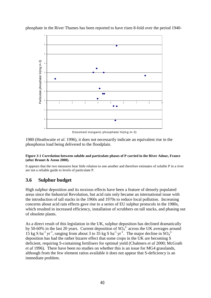

phosphate in the River Thames has been reported to have risen 8-fold over the period 1940-

1980 (Heathwaite *et al*. 1996), it does not necessarily indicate an equivalent rise in the phosphorus load being delivered to the floodplain.

#### **Figure 3-1 Correlation between soluble and particulate phases of P carried in the River Adour, France (after Brunet & Aston 2000).**

It appears that the two measures bear little relation to one another and therefore estimates of soluble P in a river are not a reliable guide to levels of particulate P.

#### **3.6 Sulphur budget**

High sulphur deposition and its noxious effects have been a feature of densely populated areas since the Industrial Revolution, but acid rain only became an international issue with the introduction of tall stacks in the 1960s and 1970s to reduce local pollution. Increasing concerns about acid rain effects gave rise to a series of EU sulphur protocols in the 1980s, which resulted in increased efficiency, installation of scrubbers on tall stacks, and phasing out of obsolete plants.

As a direct result of this legislation in the UK, sulphur deposition has declined dramatically by 50-60% in the last 20 years. Current deposition of  $SO_4^2$  across the UK averages around 15 kg S ha<sup>-1</sup> yr<sup>-1</sup>, ranging from about 3 to  $35$  kg S ha<sup>-1</sup> yr<sup>-1</sup>. The major decline in  $SO_4^2$ <sup>-1</sup> deposition has had the rather bizarre effect that some crops in the UK are becoming S deficient, requiring S-containing fertilisers for optimal yield (Chalmers *et al* 2000; McGrath *et al* 1996). There have been no studies on whether this is an issue for MG4 grasslands, although from the few element ratios available it does not appear that S-deficiency is an immediate problem.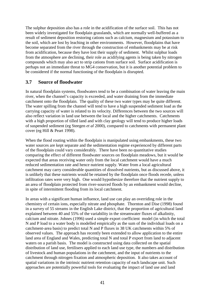The sulphur deposition also has a role in the acidification of the surface soil. This has not been widely investigated for floodplain grasslands, which are normally well-buffered as a result of sediment deposition restoring cations such as calcium, magnesium and potassium to the soil, which are lost by leaching in other environments. However, floodplains that have become separated from the river through the construction of embankments may be at risk from acidification, because they have lost their supply of sediment. Whilst sulphur loads from the atmosphere are declining, their role as acidifying agents is being taken by nitrogen compounds which may also act to strip cations from surface soil. Surface acidification is perhaps not an immediate threat to MG4 conservation, but it is another potential problem to be considered if the normal functioning of the floodplain is disrupted.

#### **3.7 Source of floodwater**

In natural floodplain systems, floodwaters tend to be a combination of water leaving the main river, when the channel's capacity is exceeded, and water draining from the immediate catchment onto the floodplain. The quality of these two water types may be quite different. The water spilling from the channel will tend to have a high suspended sediment load as the carrying capacity of water is related to its velocity. Differences between the two sources will also reflect variation in land use between the local and the higher catchments. Catchments with a high proportion of tilled land and with clay geology will tend to produce higher loads of suspended sediment (eg Steegen *et al* 2000), compared to catchments with permanent plant cover (eg Hill & Peart 1998).

When the flood routing within the floodplain is manipulated using embankments, these two water sources are kept separate and the sedimentation regime experienced by different parts of the floodplain could vary considerably. There have been no quantitative studies comparing the effect of different floodwater sources on floodplain meadows, but it would be expected that areas receiving water only from the local catchment would have a much reduced sedimentation rate and hence nutrient supply. Water from a local agricultural catchment may carry considerable quantities of dissolved nutrients, but as discussed above, it is unlikely that these nutrients would be retained by the floodplain once floods recede, unless infiltration rates were very high. One would hypothesize therefore that the nutrient supply to an area of floodplain protected from river-sourced floods by an embankment would decline, in spite of intermittent flooding from its local catchment.

In areas with a significant human influence, land use can play an overriding role in the chemistry of certain ions, especially nitrate and phosphate. Thornton and Dise (1998) found in a survey of 55 streams in the English Lake district, that the proportion of agricultural land explained between 40 and 55% of the variability in the streamwater fluxes of alkalinity, calcium and nitrate. Johnes (1996) used a simple export coefficient model (in which the total N and P load to a water body is modelled empirically as the sum of the individual loads on a catchment-area basis) to predict total N and P fluxes in 38 UK catchments within 5% of observed values. The approach has recently been extended to allow application to the entire land area of England and Wales, predicting total N and total P export from land to adjacent waters on a parish basis. The model is constructed using data collected on the spatial distribution of land use, fertilisers applied to each land use type, the numbers and distribution of livestock and human populations in the catchment, and the input of nutrients to the catchment through nitrogen fixation and atmospheric deposition. It also takes account of spatial variations in the intrinsic nutrient retention capacity of each landscape unit. Such approaches are potentially powerful tools for evaluating the impact of land use and land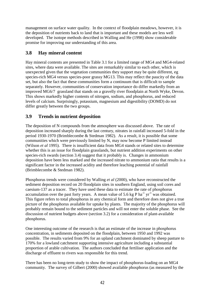management on surface water quality. In the context of floodplain meadows, however, it is the deposition of nutrients back to land that is important and these models are less well developed. The isotope methods described in Walling and He (1998) show considerable promise for improving our understanding of this area.

## **3.8 Hay mineral content**

Hay mineral contents are presented in Table 3.1 for a limited range of MG4 and MG4-related sites, where data were available. The sites are remarkably similar to each other, which is unexpected given that the vegetation communities they support may be quite different, eg species-rich MG4 versus species-poor grassy MG13. This may reflect the paucity of the data set, but also the fact that these communities form a continuum that is difficult to sample separately. However, communities of conservation importance do differ markedly from an improved MG6/7 grassland that stands on a gravelly river floodplain at North Wyke, Devon. This shows markedly higher contents of nitrogen, sodium, and phosphorus, and reduced levels of calcium. Surprisingly, potassium, magnesium and digestibility (DOMD) do not differ greatly between the two groups.

## **3.9 Trends in nutrient deposition**

The deposition of N compounds from the atmosphere was discussed above. The rate of deposition increased sharply during the last century, nitrates in rainfall increased 5-fold in the period 1930-1970 (Brimblecombe & Stedman 1982). As a result, it is possible that some communities which were previously limited by N, may now become P limited instead (Wilson *et al* 1995). There is insufficient data from MG4 stands or related sites to determine whether this is an issue for floodplain grasslands, but nutrient addition experiments on other species-rich swards (section 3.4) suggest that it probably is. Changes in ammonium deposition have been less marked and the increased nitrate to ammonium ratio that results is a significant factor in the increased acidity and therefore leaching potential of rainfall (Brimblecombe & Stedman 1982).

Phosphorus trends were considered by Walling *et al* (2000), who have reconstructed the sediment deposition record on 20 floodplain sites in southern England, using soil cores and caesium-137 as a tracer. They have used these data to estimate the rate of phosphorus accumulation over the past forty years. A mean value of 5.6 kg P ha<sup>-1</sup> yr<sup>-1</sup> was obtained. This figure refers to total phosphorus in any chemical form and therefore does not give a true picture of the phosphorus available for uptake by plants. The majority of the phosphorus will probably remain bound to the sediment particles and will not enter the soluble phase. See the discussion of nutrient budgets above (section 3.2) for a consideration of plant-available phosphorus.

One interesting outcome of the research is that an estimate of the increase in phosphorus concentration, in sediments deposited on the floodplain, between 1950 and 1992 was possible. The results varied from 9% for an upland catchment dominated by sheep pasture to 170% for a lowland catchment supporting intensive agriculture including a substantial proportion of arable cultivation. The authors concluded that fertiliser application and the discharge of effluent to rivers was responsible for this trend.

There has been no long-term study to show the impact of phosphorus-loading on an MG4 community. The survey of Gilbert (2000) showed available phosphorus (as measured by the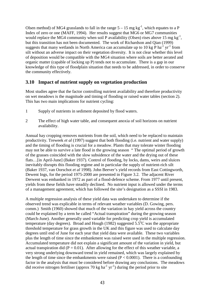Olsen method) of MG4 grasslands to fall in the range  $5 - 15$  mg kg<sup>-1</sup>, which equates to a P Index of zero or one (MAFF, 1994). Her results suggest that MG6 or MG7 communities would replace the MG4 community when soil P availability (Olsen) rises above 15 mg kg<sup>-1</sup>, but this transition has not been documented. The work of Richardson and Qian (1999) suggests that many wetlands in North America can accumulate up to 10 kg  $\overline{P}$  ha<sup>-1</sup> yr<sup>-1</sup> from silt without an adverse impact on their vegetation diversity. It is not clear whether this level of deposition would be compatible with the MG4 situation where soils are better aerated and organic matter (capable of locking up P) tends not to accumulate. There is a gap in our knowledge of this type of floodplain situation that needs to be addressed, in order to conserve the community effectively.

#### **3.10 Impact of nutrient supply on vegetation production**

Most studies agree that the factor controlling nutrient availability and therefore productivity on wet meadows is the magnitude and timing of flooding or raised water tables (section 2). This has two main implications for nutrient cycling:

- 1 Supply of nutrients in sediment deposited by flood waters.
- 2 The effect of high water table, and consequent anoxia of soil horizons on nutrient availability.

Annual hay cropping removes nutrients from the soil, which need to be replaced to maintain productivity. Treweek *et al* (1997) suggest that both flooding (i.e. nutrient and water supply) and the timing of flooding is crucial for a meadow. Plants that may tolerate winter flooding may not be able to survive a late flood in the growing season " The optimal period of growth of the grasses coincided with the slow subsidence of the water and the drying out of these flats…[in April-June] (Baker 1937). Control of flooding, by locks, dams, weirs and sluices inevitably disrupts this flooding regime and in particular the supply of nutrient-rich silt (Baker 1937, van Oorschot *et al* 1998). John Beever's yield records from East Cottingworth, Dewent Ings, for the period 1975-2000 are presented in Figure 3.2. The adjacent River Derwent was embanked in 1972 as part of a flood-defence scheme. From 1977 until present, yields from these fields have steadily declined. No nutrient input is allowed under the terms of a management agreement, which has followed the site's designation as a SSSI in 1983.

A multiple regression analysis of these yield data was undertaken to determine if the observed trend was explicable in terms of relevant weather variables (D. Gowing, pers. comm.) Smith (1960) showed that much of the variation in hay yield across the country could be explained by a term he called "Actual transpiration" during the growing season (March-June). Another generally used variable for predicting crop yield is accumulated temperature (day degrees). Broad and Hough (1982) suggested  $5.5^{\circ}$ C was the appropriate threshold temperature for grass growth in the UK and this figure was used to calculate day degrees until end of June for each year that yield data were available. These two variables plus the length of time since the embankment was raised were used in the multiple regression. Accumulated temperature did not explain a significant amount of the variation in yield, but actual transpiration did ( $P = 0.01$ ). After allowing for the effect of this weather variable, a very strong underlying downward trend in yield remained, which was largely explained by the length of time since the embankments were raised  $(P < 0.0001)$ . There is a confounding factor in the analysis that must be considered before drawing any conclusions. The meadows did receive nitrogen fertiliser (approx 70 kg ha<sup>-1</sup> yr<sup>-1</sup>) during the period prior to site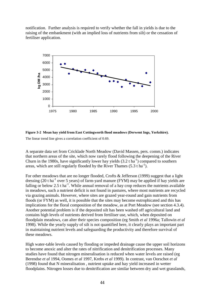notification. Further analysis is required to verify whether the fall in yields is due to the raising of the embankment (with an implied loss of nutrients from silt) or the cessation of fertiliser application.



**Figure 3-2 Mean hay yield from East Cottingworth flood meadows (Derwent Ings, Yorkshire).** The linear trend line gives a correlation coefficient of 0.69.

A separate data set from Cricklade North Meadow (David Massen, pers. comm.) indicates that northern areas of the site, which now rarely flood following the deepening of the River Churn in the 1980s, have significantly lower hay yields  $(3.2 \text{ t} \text{ ha}^{-1})$  compared to southern areas, which are still regularly flooded by the River Thames  $(5.3 \text{ tha}^{-1})$ .

For other meadows that are no longer flooded, Crofts & Jefferson (1999) suggest that a light dressing (20 t ha<sup>-1</sup> over 5 years) of farm-yard manure (FYM) may be applied if hay yields are falling or below 2.5 t ha<sup>-1</sup>. While annual removal of a hay crop reduces the nutrients available in meadows, such a nutrient deficit is not found in pastures, where most nutrients are recycled via grazing animals. However, where sites are grazed year-round and gain nutrients from floods (or FYM) as well, it is possible that the sites may become eutrophicated and this has implications for the floral composition of the meadow, as at Port Meadow (see section 4.3.4). Another potential problem is if the deposited silt has been washed off agricultural land and contains high levels of nutrients derived from fertiliser use, which, when deposited on floodplain meadows, can alter their species composition (eg Smith *et al* 1996a; Tallowin *et al* 1998). While the yearly supply of silt is not quantified here, it clearly plays an important part in maintaining nutrient levels and safeguarding the productivity and therefore survival of these meadows.

High water-table levels caused by flooding or impeded drainage cause the upper soil horizons to become anoxic and alter the rates of nitrification and denitrification processes. Many studies have found that nitrogen mineralisation is reduced when water levels are raised (eg Berendse *et al* 1994, Oomes *et al* 1997, Krebs *et al* 1999). In contrast, van Oorschot *et al* (1998) found that N mineralisation , nutrient uptake and hay yield increased in wetter floodplains. Nitrogen losses due to denitrification are similar between dry and wet grasslands,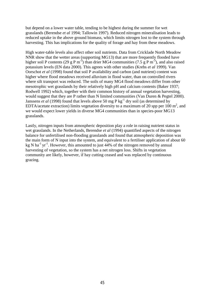but depend on a lower water table, tending to be highest during the summer for wet grasslands (Berendse *et al* 1994; Tallowin 1997). Reduced nitrogen mineralisation leads to reduced uptake in the above ground biomass, which limits nitrogen lost to the system through harvesting. This has implications for the quality of forage and hay from these meadows.

High water-table levels also affect other soil nutrients. Data from Cricklade North Meadow NNR show that the wetter areas (supporting MG13) that are more frequently flooded have higher soil P contents (29 g P m<sup>-3</sup>) than drier MG4 communities (7.5 g P m<sup>-3</sup>), and also raised potassium levels (EN data 2000). This agrees with other studies (Krebs *et al* 1999). Van Oorschot *et al* (1998) found that soil P availability and carbon (and nutrient) content was higher where flood meadows received alluvium in flood water, than on controlled rivers where silt transport was reduced. The soils of many MG4 flood meadows differ from other mesotrophic wet grasslands by their relatively high pH and calcium contents (Baker 1937; Rodwell 1992) which, together with their common history of annual vegetation harvesting, would suggest that they are P rather than N limited communities (Van Duren & Pegtel 2000). Janssens *et al* (1998) found that levels above 50 mg P kg<sup>-1</sup> dry soil (as determined by EDTA/acetate extraction) limits vegetation diversity to a maximum of 20 spp per 100  $m^2$ , and we would expect lower yields in diverse MG4 communities than in species-poor MG13 grasslands.

Lastly, nitrogen inputs from atmospheric deposition play a role in raising nutrient status in wet grasslands. In the Netherlands, Berendse *et al* (1994) quantified aspects of the nitrogen balance for unfertilised non-flooding grasslands and found that atmospheric deposition was the main form of N input into the system, and equivalent to a fertiliser application of about 60 kg N ha<sup>-1</sup> yr<sup>-1</sup>. However, this amounted to just  $44%$  of the nitrogen removed by annual harvesting of vegetation, so the system has a net nitrogen loss. Shifts in vegetation community are likely, however, if hay cutting ceased and was replaced by continuous grazing.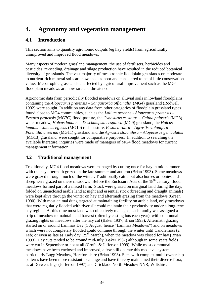# **4. Agronomy and vegetation management**

### **4.1 Introduction**

This section aims to quantify agronomic outputs (eg hay yields) from agriculturally unimproved and improved flood meadows.

Many aspects of modern grassland management, the use of fertilisers, herbicides and pesticides, re-seeding, drainage and silage production have resulted in the reduced botanical diversity of grasslands. The vast majority of mesotrophic floodplain grasslands on moderateto nutrient-rich mineral soils are now species-poor and considered to be of little conservation value. Mesotrophic grasslands unaffected by agricultural improvement such as the MG4 floodplain meadows are now rare and threatened.

Agronomic data from periodically flooded meadows on alluvial soils in lowland floodplains containing the *Alopecurus pratensis – Sanguisorba officinalis* (MG4) grassland (Rodwell 1992) were sought. In addition any data from other categories of floodplain grassland types found close to MG4 communities, such as the *Lolium perenne* - *Alopecurus pratensis* – *Festuca pratensis* (MG7C) flood-pasture, the *Cynosurus cristatus* – *Caltha palustris* (MG8) water meadow, *Holcus lanatus* – *Deschampsia cespitosa* (MG9) grassland, the *Holcus lanatus* – *Juncus effusus* (MG10) rush pasture, *Festuca rubra* – *Agrostis stolonifera* – *Potentilla anserina* (MG11) grassland and the *Agrostis stolonifera* – *Alopecurus geniculatus* (MG13) grassland, were sought for comparative purposes. In addition to searching the available literature, inquiries were made of managers of MG4 flood meadows for current management information.

## **4.2 Traditional management**

Traditionally, MG4 flood meadows were managed by cutting once for hay in mid-summer with the hay aftermath grazed in the late summer and autumn (Brian 1993). Some meadows were grazed through much of the winter. Traditionally cattle but also horses or ponies and sheep were grazed on these meadows. Before the Enclosure Acts of the 18<sup>th</sup> century, flood meadows formed part of a mixed farm. Stock were grazed on marginal land during the day, folded on unenclosed arable land at night and essential stock (breeding and draught animals) were kept alive through the winter on hay and aftermath grazing from the meadows (Green 1990). With most animal dung targeted at maintaining fertility on arable land, only meadows that were regularly flooded with river silt could maintain their productivity under a long-term hay regime. At this time most land was collectively managed, each family was assigned a strip of meadow to maintain and harvest (often by casting lots each year), with communal grazing rights on meadows after the hay cut (Baker 1937; Brian 1993). Aftermath grazing started on or around Lammas Day (1 August; hence "Lammas Meadows") and on meadows which were not completely flooded could continue through the winter until Candlemass (2 Feb) or even as late as Lady day  $(25<sup>th</sup> March)$ , when the meadow was closed for hay (Brian 1993). Hay cuts tended to be around mid-July (Baker 1937) although in some years fields were cut in September or not at all (Crofts & Jefferson 1999). While most communal meadows have been enclosed and improved, a few still operate this medieval system, particularly Lugg Meadow, Herefordshire (Brian 1993). Sites with complex multi-ownership patterns have been more resistant to change and have thereby maintained their diverse flora, as at Derwent Ings (Jefferson 1997) and Cricklade North Meadow NNR, Wiltshire.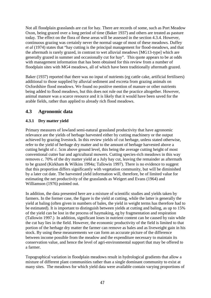Not all floodplain grasslands are cut for hay. There are records of some, such as Port Meadow Oxon, being grazed over a long period of time (Baker 1937) and others are treated as pasture today. The effect on the flora of these areas will be assessed in the section 4.3.4. However, continuous grazing was certainly never the normal usage of most of these meadows. Duffey *et al* (1974) states that "hay cutting is the principal management for flood-meadows, and that the aftermath is rarely grazed, in contrast to wet alluvial meadows [MG13-type] which are generally grazed in summer and occasionally cut for hay". This quote appears to be at odds with management information that has been obtained for this review from a number of floodplain sites with MG4 meadows, all of which have been traditionally aftermath grazed.

Baker (1937) reported that there was no input of nutrients (eg cattle cake, artificial fertilisers) additional to those supplied by alluvial sediment and excreta from grazing animals on Oxfordshire flood meadows. We found no positive mention of manure or other nutrients being added to flood meadows, but this does not rule out the practice altogether. However, animal manure was a scarce resource and it is likely that it would have been saved for the arable fields, rather than applied to already rich flood meadows.

## **4.3 Agronomic data**

#### **4.3.1 Dry matter yield**

Primary measures of lowland semi-natural grassland productivity that have agronomic relevance are the yields of herbage harvested either by cutting machinery or the output achieved by grazing livestock. In this review yields of cut herbage, unless stated otherwise, refer to the yield of herbage dry matter and to the amount of herbage harvested above a cutting height of *c*. 5cm above ground level, this being the average cutting height of most conventional cutter bar and agricultural mowers. Cutting species-rich meadows in this way removes c. 70% of the dry matter yield at a July hay cut, leaving the remainder as aftermath to be grazed (Kirkham & Wilkins 1994a; Tallowin 1997). There is no evidence to suggest that this proportion differs significantly with vegetation community, but will be diminished by a later cut date. The harvested yield information will, therefore, be of limited value for estimating the net productivity of the grasslands as Weigert and Evans (1964) and Williamson (1976) pointed out.

In addition, the data presented here are a mixture of scientific studies and yields taken by farmers. In the former case, the figure is the yield at cutting, while the latter is generally the yield at baling (often given in numbers of bales, the yield in weight terms has therefore had to be estimated). It is important to distinguish between yields at cutting and baling, as up to 15% of the yield can be lost in the process of haymaking, eg by fragmentation and respiration (Tallowin 1997.) In addition, significant loses in nutrient content can be caused by rain while the cut hay lies in the field. However, the economic productivity of the field is limited to that portion of the herbage dry matter the farmer can remove as bales and as liveweight gain in his stock. By using these measurements we can form an accurate picture of the difference between income possible from the meadow and the expenditure necessary to maintain its conservation value, and hence the level of agri-environmental support that may be offered to a farmer.

Topographical variation in floodplain meadows result in hydrological gradients that allow a mixture of different plant communities rather than a single dominant community to exist at many sites. The meadows for which yield data were available contain varying proportions of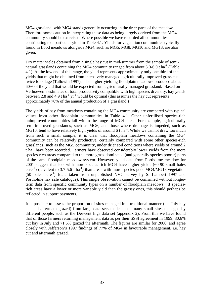MG4 grassland, with MG4 stands generally occurring in the drier parts of the meadow. Therefore some caution in interpreting these data as being largely derived from the MG4 community should be exercised. Where possible we have recorded all communities contributing to a particular yield in Table 4.1. Yields for vegetation communities typically found in flood meadows alongside MG4, such as MG5, MG8, MG10 and MG13, are also given.

Dry matter yields obtained from a single hay cut in mid-summer from the sample of seminatural grasslands containing the MG4 community ranged from about  $3.0$ -6.0 t ha<sup>-1</sup> (Table 4.1). At the low end of this range, the yield represents approximately only one third of the yields that might be obtained from intensively managed agriculturally improved grass cut twice for silage (Tallowin 1997). The higher-yielding floodplain meadows produced about 60% of the yield that would be expected from agriculturally managed grassland. Based on Verhoeven's estimates of total productivity compatible with high species diversity, hay yields between 2.8 and 4.9 t ha<sup>-1</sup> yr<sup>-1</sup> would be optimal (this assumes the hay cut represents approximately 70% of the annual production of a grassland.)

The yields of hay from meadows containing the MG4 community are compared with typical values from other floodplain communities in Table 4.1. Other unfertilised species-rich unimproved communities fall within the range of MG4 sites. For example, agriculturally semi-improved grasslands, such as MG6, and those where drainage is impeded, such as MG10, tend to have relatively high yields of around 6 t ha<sup>-1</sup>. While we cannot draw too much from such a small sample, it is clear that floodplain meadows containing the MG4 community can be relatively productive, certainly compared with some other species-rich grasslands, such as the MG5 community, under drier soil conditions where yields of around 2  $t$  ha<sup>-1</sup> have been recorded. Farmers have observed considerably lower vields from the more species-rich areas compared to the more grass-dominated (and generally species poorer) parts of the same floodplain meadow system. However, yield data from Portholme meadow for 2001 suggest that lots with more species-rich MG4 have higher yields (60-90 small bales acre<sup>-1</sup> equivalent to 3.7-5.6 t ha<sup>-1</sup>) than areas with more species-poor MG4/MG13 vegetation  $(50 \text{ bales acre}^{-1})$  (data taken from unpublished NVC survey by S. Lambert 1997 and Portholme hay sale catalogue). This single observation cannot be confirmed without longerterm data from specific community types on a number of floodplain meadows. If speciesrich areas have a lower or more variable yield than the grassy ones, this should perhaps be reflected in support payments.

It is possible to assess the proportion of sites managed in a traditional manner (i.e. July hay cut and aftermath grazed) from large data sets made up of many small sites managed by different people, such as the Derwent Ings data set (appendix 2). From this we have found that of those farmers returning management data as per their SSSI agreement in 1999, 80.6% cut hay in July and 71.6% grazed the aftermath. The figures are similar for 2000, and agree closely with Jefferson's 1997 findings of 77% of MG4 in favourable management, i.e. hay cut and aftermath grazed.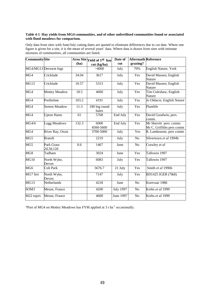#### **Table 4-1 Hay yields from MG4 communities, and of other unfertilised communities found or associated with flood meadows for comparison.**

Only data from sites with June/July cutting dates are quoted to eliminate differences due to cut date. Where one figure is given for a site, it is the mean of several years' data. Where data is drawn from sites with intimate mixtures of communities, all communities are listed.

| <b>Community</b> Site     |                           |       | Area Site Yield of 1st hay | Date of          | <b>Aftermath Reference</b> |                                                      |  |
|---------------------------|---------------------------|-------|----------------------------|------------------|----------------------------|------------------------------------------------------|--|
|                           |                           | (ha)  | cut (kg/ha)                | cut              | grazing?                   |                                                      |  |
|                           | MG4/MG13 Derwent Ings     |       | ~1000                      | July             | 70%                        | English Nature, York                                 |  |
| MG <sub>4</sub>           | Cricklade                 | 34.04 | 3617                       | July             | Yes                        | David Massen, English<br>Nature                      |  |
| MG13                      | Cricklade                 | 10.57 | 5313                       | July             | Yes                        | David Massen, English<br>Nature                      |  |
| MG4                       | Mottey Meadow             | 18.5  | 4600                       | July             | Yes                        | Tim Coleshaw, English<br>Nature                      |  |
| MG4                       | Portholme                 | 103.2 | 4191                       | July             | Yes                        | Jo Oldacre, English Nature                           |  |
| MG <sub>4</sub>           | <b>Seeton Meadow</b>      | 11.3  | 180 big round<br>bales     | July             | Yes                        | Plantlife                                            |  |
| MG <sub>4</sub>           | <b>Upton Hams</b>         | 61    | 5768                       | End July         | Yes                        | David Goodwin, pers.<br>comm.                        |  |
| MG4/6                     | Lugg Meadows              | 132.3 | 6000<br>4500-5600          | End July         | Yes                        | Mr Skerritt pers. comm.<br>Mr C. Griffiths pers comm |  |
| MG4                       | River Ray, Oxon           |       | 3700-5000                  | July             | Yes                        | R. Lambourne, pers comm                              |  |
| MG <sub>5</sub>           | <b>Bratoft</b>            |       | 2219                       | July             | No                         | Silvertown et al 1994b                               |  |
| MG5                       | Park Grass<br>2d, 3d, 12d | 0.6   | 1467                       | June             | N <sub>o</sub>             | Crawley et al                                        |  |
| $\overline{\mathrm{MG8}}$ | Tadham                    |       | 3024                       | June             | Yes                        | Tallowin 1997                                        |  |
| MG10                      | North Wyke,<br>Devon      |       | 6083                       | July             | Yes                        | Tallowin 1997                                        |  |
| MG6                       | Colt Park                 |       | 5676.7                     | 21 July          | Yes                        | Smith et al 1996b                                    |  |
| MG7 fert                  | North Wyke,<br>Devon      |       | 7147                       | July             | Yes                        | BD1425 IGER (7&8)                                    |  |
| MG13                      | Netherlands               |       | 4218                       | June             | No                         | Korevaar 1986                                        |  |
| SOM <sub>3</sub>          | Meuse, France             |       | 4200                       | <b>July 1997</b> | N <sub>o</sub>             | Krebs et al 1999                                     |  |
| $\overline{M}$ 22 equiv   | Meuse, France             |       | 4600                       | June 1997        | No                         | Krebs et al 1999                                     |  |

\*Part of MG4 on Mottey Meadows has FYM applied at 3 t ha-1 occasionally.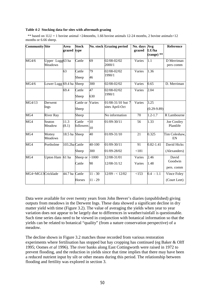#### **Table 4-2 Stocking data for sites with aftermath grazing**

\*\* based on  $1LU = 1$  bovine animal >24months, 1.66 bovine animals 12-24 months, 2 bovine animals  $\leq 12$ months or 6.66 sheep.

| <b>Community Site</b>   |                                   | Area<br>grazed type | <b>Stock</b>        |                        | No. stock Grazing period             | No. days<br>grazed | Avg<br>LU/ha<br>$(range)$ <sup>**</sup> | <b>Reference</b>               |
|-------------------------|-----------------------------------|---------------------|---------------------|------------------------|--------------------------------------|--------------------|-----------------------------------------|--------------------------------|
| MG4/6                   | Upper Lugg63 ha<br><b>Meadows</b> |                     | Cattle              | 69                     | 02/08-02/02<br>2000/1                | Varies             | $\overline{1.1}$                        | D Merriman<br>pers comm        |
|                         |                                   | 63                  | Cattle<br>Sheep     | 79<br>46               | 02/08-02/02<br>1990/1                | Varies             | 1.36                                    |                                |
| MG4/6                   | Lower Lugg 69.4 ha Sheep          |                     |                     | 300                    | 02/08-02/02                          | Varies             | 0.65                                    | D. Merriman                    |
|                         |                                   | 69.4                | Cattle<br>Sheep     | 47<br>630              | 02/08-02/02<br>1990/1                | Varies             | 2.04                                    |                                |
| MG4/13                  | Derwent<br>Ings                   |                     | Cattle or<br>Sheep  | Varies                 | 01/08-31/10 but 7<br>sites April-Oct | Varies             | 3.25<br>$(0.29-9.89)$                   |                                |
| MG <sub>4</sub>         | <b>River Ray</b>                  |                     | Sheep               |                        | No information                       | 70                 | $1.2 - 1.7$                             | R Lambourne                    |
| $\overline{\text{MG4}}$ | Seaton<br>Meadow                  | 11.3<br>(8.1)       | Cattle<br>followers | $+10$<br>10            | $01/09 - 30/11$                      | 56                 | 1.33                                    | Joe Costley<br>Plantlife       |
| MG4                     | Mottey<br>Meadows                 | 18.5 ha Sheep       |                     | 40                     | 01/09-31/10                          | 21                 | 0.325                                   | Tim Coleshaw,<br>EN            |
| MG4                     | Portholme                         | 103.2ha Cattle      | Sheep               | 40-100<br>300          | 01/09-30/11<br>01/09-28/02           | 91<br>< 181        | $0.82 - 1.41$                           | David Hicks<br>(Alexanders)    |
| MG4                     | Upton Ham 61 ha                   |                     | Sheep or<br>Cattle  | ~1000<br>90            | 12/08-31/01<br>12/08-31/12           | Varies<br>Varies   | 2.46<br>1.48                            | David<br>Goodwin<br>pers. comm |
| MG4+MG13Cricklade       |                                   | 44.7 ha Cattle      | <b>Horses</b>       | $11 - 30$<br>$11 - 29$ | $12/09 - 12/02$                      | <153               | $0.4 - 1.1$                             | Vince Foley<br>(Court Leet)    |

Data were available for over twenty years from John Beever's diaries (unpublished) giving outputs from meadows in the Derwent Ings. These data showed a significant decline in dry matter yield with time (Figure 3.2). The value of averaging the yields when year to year variation does not appear to be largely due to differences in weather/rainfall is questionable. Such time series data need to be viewed in conjunction with botanical information so that the yields can be related to botanical "quality" (from a nature conservation perspective) of a meadow.

The decline shown in Figure 3.2 matches those recorded from various restoration experiments where fertilisation has stopped but hay cropping has continued (eg Baker & Olff 1995; Oomes *et al* 1996). The river banks along East Cottingworth were raised in 1972 to prevent flooding, and the reduction in yields since that time implies that there may have been a reduced nutrient input by silt or other means during this period. The relationship between flooding and fertility was explored in section 3.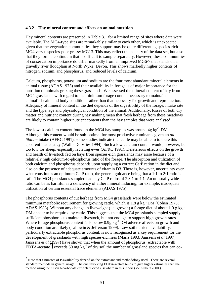#### **4.3.2 Hay mineral content and effects on animal nutrition**

Hay mineral contents are presented in Table 3.1 for a limited range of sites where data were available. The MG4-type sites are remarkably similar to each other, which is unexpected given that the vegetation communities they support may be quite different eg species-rich MG4 versus species-poor grassy MG13. This may reflect the paucity of the data set, but also that they form a continuum that is difficult to sample separately. However, these communities of conservation importance do differ markedly from an improved MG6/7 that stands on a gravelly river floodplain at North Wyke, Devon. This shows markedly higher contents of nitrogen, sodium, and phosphorus, and reduced levels of calcium.

Calcium, phosphorus, potassium and sodium are the four most abundant mineral elements in animal tissue (ADAS 1975) and their availability in forage is of major importance for the nutrition of animals grazing these grasslands. We assessed the mineral content of hay from MG4 grasslands with regard to the minimum forage content necessary to maintain an animal's health and body condition, rather than that necessary for growth and reproduction. Adequacy of mineral content in the diet depends of the digestibility of the forage, intake rate and the type, age and physiological condition of the animal. Additionally, losses of both dry matter and nutrient content during hay making mean that fresh herbage from these meadows are likely to contain higher nutrient contents than the hay samples that were analysed.

The lowest calcium content found in the MG4 hay samples was around  $4g \text{ kg}^{-1}$  DM. Although this content would be sub-optimal for most productive ruminants given an *ad libitum* intake (AFRC 1991), some studies indicate that cattle may be able to tolerate this apparent inadequacy (Wallis De Vries 1994). Such a low calcium content would, however, be too low for sheep, especially lactating ewes (AFRC 1991). Deleterious effects on the growth and health of livestock fed on hays from species-rich grasslands may arise because of a relatively high calcium-to-phosphorus ratio of the forage. The absorption and utilization of both calcium and phosphorus depends upon supplying a correct Ca:P ration in the diet and also on the presence of adequate amounts of vitamin D3. There is, however, uncertainty over what constitutes an optimum Ca:P ratio, the general guidance being that a 1:1 to 2:1 ratio is safe. The MG4 grasslands sampled had hay Ca:P ratios of 2.8:1 to 4:1. An unusually wide ratio can be as harmful as a deficiency of either mineral inducing, for example, inadequate utilization of certain essential trace elements (ADAS 1975).

The phosphorus contents of cut herbage from MG4 grasslands were below the estimated minimum metabolic requirement for growing cattle, which is  $1.8 \text{ g kg}^{-1}$  DM (Cohen 1975; ADAS 1983). Without any change in liveweight (i.e. growth) a forage diet of about 1.0 g kg<sup>-1</sup> DM appear to be required by cattle. This suggests that the MG4 grasslands sampled supply sufficient phosphorus to maintain livestock, but not enough to support high growth rates. Where forage phosphorus content falls below  $0.9g$  kg<sup>-1</sup> DM adverse affects on growth and body condition are likely (Tallowin & Jefferson 1999). Low soil nutrient availability, particularly extractable phosphorus content, is now recognised as a key requirement for the development of grasslands with high species-richness (Marrs 1993; Janssens *et al* 1997). Janssens *et al* (1997) have shown that when the amount of phosphorus (extractable with EDTA-acetate<sup>2</sup>) exceeds 50 mg kg<sup>-1</sup> of dry soil the number of grassland species that can co-

 $\overline{a}$ 

 $2^{2}$  Note that estimates of P-availability depend on the extractant and methodology used. There are several standard methods in general usage. The one involving EDTA-acetate tends to give higher estimates than the method using the Olsen bicarbonate extractant cited elsewhere in this report (see Gilbert 2000.)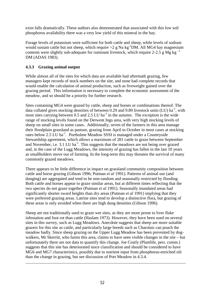exist falls dramatically. These authors also demonstrated that associated with this low soil phosphorus availability there was a very low yield of this mineral in the hay.

Forage levels of potassium were sufficient for both cattle and sheep, while levels of sodium would sustain cattle but not sheep, which require  $>2$  g Na kg<sup>-1</sup>DM. All MG4 hay magnesium contents were slightly sub-adequate for ruminant livestock, which require 2-2.5 g Mg kg<sup> $^{-1}$ </sup> DM (ADAS 1983).

#### **4.3.3 Grazing animal output**

 $\overline{a}$ 

While almost all of the sites for which data are available had aftermath grazing, few managers kept records of stock numbers on the site, and none had complete records that would enable the calculation of animal production, such as liveweight gained over the grazing period. This information is necessary to complete the economic assessment of the meadow, and so should be a priority for further research.

Sites containing MG4 were grazed by cattle, sheep and horses or combinations thereof. The data collated gives stocking densities of between 0.29 and 9.89 livestock units (LU)  $ha^{-1}$ , with most sites carrying between  $0.5$  and  $2.5$  LU ha<sup>-1</sup> in the autumn. The exception is the wide range of stocking levels found on the Derwent Ings area, with very high stocking levels of sheep on small sites in some cases. Additionally, seven of the farmers in this area manage their floodplain grassland as pasture, grazing from April to October in most cases at stocking rates below 2.5 LU ha<sup>-1</sup>. Portholme Meadow SSSI is managed under a Countryside Stewardship agreement, which allows a maximum of 281 cattle to graze between September and November, i.e.  $3.1 \text{ LU} \text{ ha}^{-1}$ . This suggests that the meadows are not being over grazed and, in the case of the Lugg Meadows, the intensity of grazing has fallen in the last 10 years as smallholders move out of farming. In the long-term this may threaten the survival of many commonly grazed meadows.

There appears to be little difference in impact on grassland community composition between cattle and horse grazing (Gibson 1996; Putman *et al* 1991). Patterns of animal use (and dunging) are aggregated and tend to be non-random and seasonally restricted by flooding. Both cattle and horses appear to graze similar areas, but at different times reflecting that the two species do not graze together (Putman *et al* 1991). Seasonally inundated areas had significantly shorter sward heights than dry areas (Putman *et al* 1991) implying that they were preferred grazing areas. Latrine sites tend to develop a distinctive flora, but grazing of these areas is only avoided when there are high dung densities (Gibson 1996).

Sheep are not traditionally used to graze wet sites, as they are more prone to liver fluke infestation and foot rot than cattle (Haslam 1973). However, they have been used on several sites in this survey, such as Lugg Meadows. Anecdote suggests that sheep are more suitable grazers for this site as cattle, and particularly large breeds such as Charolais can poach the meadow badly. Since sheep grazing on the Upper Lugg Meadow has been prevented by dogwalkers, Mr Skerritt, who farms this area, claims to have seen visible changes in the site – but unfortunately there are not data to quantify this change. Joe Costly (Plantlife, pers. comm.) suggests that this site has deteriorated since classification and should be considered to have MG6 and MG7 characteristics, possibly due to nutrient input from phosphorus-enriched silt than the change in grazing, but see discussion of Port Meadow in 4.3.4.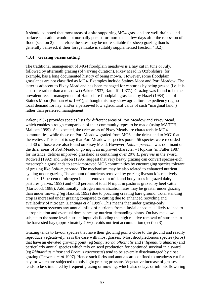It should be noted that most areas of a site supporting MG4 grassland are well-drained and surface saturation would not normally persist for more than a few days after the recession of a flood (section 2). Therefore the sites may be more suitable for sheep grazing than is generally believed, if their forage intake is suitably supplemented (section 4.3.2).

#### **4.3.4 Grazing versus cutting**

The traditional management of MG4 floodplain meadows is a hay cut in June or July, followed by aftermath grazing (of varying duration). Pixey Mead in Oxfordshire, for example, has a long documented history of being mown. However, some floodplain grasslands are not classified as MG4. Examples include Staines Moor and Port Meadow. The latter is adjacent to Pixey Mead and has been managed for centuries by being grazed (i.e. it is a pasture rather than a meadow) (Baker, 1937, Ratcliffe 1977.) Grazing was found to be the prevalent recent management of Hampshire floodplain grassland by Hazel (1984) and of Staines Moor (Putman *et al* 1991), although this may show agricultural expediency (eg no local demand for hay, and/or a perceived low agricultural value of such "marginal land") rather than preferred management.

Baker (1937) provides species lists for different areas of Port Meadow and Pixey Mead, which enables a rough comparison of their community types to be made (using MATCH; Malloch 1999). As expected, the drier areas of Pixey Meads are characteristic MG4 communities, while those on Port Meadow graded from MG6 at the driest end to MG10 at the wettest. This is not to say that Port Meadow is species poor – 56 species were recorded and 30 of those were also found on Pixey Mead. However, *Lolium perenne* was dominant on the drier areas of Port Meadow, giving it an improved character – Hopkins (in Fuller 1987), for instance, defines improved grassland as containing over 20% *L. perenne* in the sward. Rodwell (1992) and Gibson (1996) suggest that very heavy grazing can convert species-rich mesotrophic grasslands to semi-improved MG6 communities by encouraging species tolerant of grazing like *Lolium perenne*. The mechanism may be also related to enhanced nutrient cycling under grazing.The amount of nutrients removed by grazing livestock is relatively small, < 15 percent of nitrogen inputs removed in milk and body mass in grazed dairy pastures (Jarvis, 1999) and < 10 percent of total N input in pastures grazed by beef cattle (Garwood, 1988). Additionally, nitrogen mineralization rates may be greater under grazing than under mowing (eg Hassink 1992) due to poaching creating bare ground. Total standing crop is increased under grazing compared to cutting due to enhanced recycling and availability of nitrogen (Lantinga *et al* 1999). This means that under grazing-only management systems any annual influx of nutrients from alluvial deposits is likely to lead to eutrophication and eventual dominance by nutrient-demanding plants. On hay meadows subject to the same level nutrient input via flooding the high relative removal of nutrients in the harvested hay (approximately 70%) avoids nutrient accumulation (section 3).

Grazing tends to favour species that have their growing points close to the ground and readily reproduce vegetatively, as is the case with most grasses. Most dicotyledonous species (forbs) that have an elevated growing point (eg *Sanguisorba officinalis* and *Filipendula ulmaria*) and particularly annual species which rely on seed production for continued survival in a sward (eg *Rhinanthus minor* and *Bromus racemosus*) tend to be severely disadvantaged by close grazing (Treweek *et al* 1997). Hence such forbs and annuals are confined to meadows cut for hay, or which are subjected to only light grazing pressure. Vegetative increase of grasses tends to be stimulated by frequent grazing or mowing, which also delays or inhibits flowering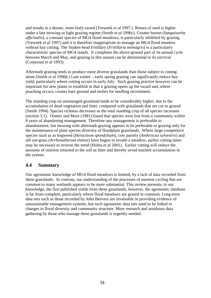and results in a denser, more leafy sward (Treweek *et al* 1997.) Return of seed is higher under a late mowing or light grazing regime (Smith *et al* 1996c). Greater burnet (*Sanguisorba officinalis*), a constant species of MG4 flood meadows, is particularly inhibited by grazing (Treweek *et al* 1997) and it is therefore inappropriate to manage an MG4 flood meadow without hay cutting. The Snakes-head Fritillary (*Fritillaria meleagris*) is a particularly characteristic species of MG4 stands. It completes the above-ground part of its annual cycle between March and May, and grazing in this season can be detrimental to its survival (Corporaal *et al* 1993).

Aftermath grazing tends to produce more diverse grasslands than those subject to cutting alone (Smith *et al* 1996b.) Late winter – early spring grazing can significantly reduce hay yield, particularly where cutting occurs in early July. Such grazing practice however can be important for new plants to establish in that it grazing opens up the sward and, where poaching occurs, creates bare ground and niches for seedling recruitment.

The standing crop on unmanaged grassland tends to be considerably higher, due to the accumulation of dead vegetation and litter, compared with grasslands that are cut or grazed (Smith 1994). Species richness decreases as the total standing crop of all species increases (section 3.1). Oomes and Mooi (1981) found that species were lost from a community within 8 years of abandoning management. Therefore any management is preferable to abandonment, but mowing with aftermath grazing appears to be preferable to grazing only for the maintenance of plant species diversity of floodplain grasslands. Where large competitive species such as as hogweed (*Heracleum spondylium*), cow parsely (*Anthriscus sylvestris*) and tall oat-grass (*Arrhenatherum elatius*) have begun to invade a meadow, earlier cutting dates may be necessary to reverse the trend (Huhta *et al* 2001). Earlier cutting will reduce the amounts of nutrient returned to the soil as litter and thereby avoid nutrient accumulation in the system.

#### **4.4 Summary**

Our agronomic knowledge of MG4 flood meadows is limited, by a lack of data recorded from these grasslands. In contrast, our understanding of the processes of nutrient cycling that are common to many wetlands appears to be more substantial. This review presents, to our knowledge, the first published yields from these grasslands, however, the agronomic database is far from complete, particularly where flood meadows are grazed in common. Long-term data sets such as those recorded by John Beevers are invaluable in providing evidence of unsustainable management systems, but such agronomic data sets need to be linked to changes in floral diversity and community structure. More research and assiduous data gathering by those who manage these grasslands is urgently needed.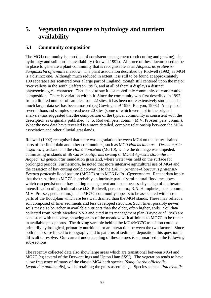# **5. Vegetation response to hydrology and nutrient availability**

### **5.1 Community composition**

The MG4 community is a product of consistent management (both cutting and grazing), site hydrology and soil nutrient availability (Rodwell 1992). All three of these factors need to be in place to generate a plant community that is recognisable as an *Alopecurus pratensis-Sanguisorba officinalis* meadow. The plant association described by Rodwell (1992) as MG4 is a distinct one. Although much reduced in extent, it is still to be found at approximately 100 separate sites scattered over a large part of England, though still centered upon the major river valleys in the south (Jefferson 1997), and at all of them it displays a distinct phytosociological character. That is not to say it is a monolithic community of conservative composition. There is variation within it. Since the community was first described in 1992, from a limited number of samples from 22 sites, it has been more extensively studied and a much larger data set has been amassed (eg Gowing *et al* 1998; Benyon, 1998.) Analysis of several thousand samples spread over 20 sites (some of which were not in the original analysis) has suggested that the composition of the typical community is consistent with the description as originally published (J. S. Rodwell pers. comm.; M.V. Prosser, pers. comm.). What the new data have revealed is a more detailed, complex relationship between the MG4 association and other alluvial grasslands.

Rodwell (1992) recognised that there was a gradation between MG4 on the better-drained parts of the floodplain and other communities, such as MG9 *Holcus lanatus – Deschampsia cespitosa* grassland and the *Holco-Juncetum* (MG10), where the drainage was impeded, culminating in stands of S6 *Carex acutiformis* swamp or MG13 *Agrostis stolonifera – Alopecurus geniculatus* inundation grassland, where water was held on the surface for prolonged periods. Furthermore, he noted that more intensive agricultural use of MG4 and the cessation of hay cutting could convert it to the *Lolium perenne-Alopecurus pratensis-Festuca pratensis* flood pasture (MG7C) or to MG6 *Lolio –Cynosuretum.* Recent data imply that the transition to MG7C is probably an intrinsic part of semi-natural flood meadows, which can persist under hay-cutting management and is not necessarily a sign of deliberate intensification of agricultural use (J.S. Rodwell, pers. comm.; R.N. Humphries, pers. comm.; M.V. Prosser, pers. comm.). The MG7C community appears to be associated with those parts of the floodplain which are less well drained than the MG4 stands. These may reflect a soil composed of finer sediments and less developed structure. Such finer, possibly newer, soils may also be richer in available nutrients than the older, often higher, soils. Soil data collected from North Meadow NNR and cited in its management plan (Payne *et al* 1998) are consistent with this view, showing areas of the meadow with affinities to MG7C to be richer in available phosphorus. The driving variable behind the MG4/MG7C transition could be primarily hydrological, primarily nutritional or an interaction between the two factors. Since both factors are linked to topography and to patterns of sediment deposition, this question is difficult to resolve. Our current understanding of these issues is summarised in the following sub-sections.

The recently collected data also show large areas which are transitional between MG4 and MG7C (eg several of the Derwent Ings and Upton Ham SSSI). The vegetation tends to have a low frequency of many of the classic MG4 herb species (*Sanguisorba officinalis, Leontodon autumnalis*), whilst retaining the grass assemblage. Species such as *Poa trivialis*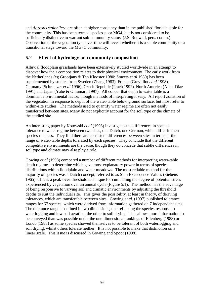and *Agrostis stolonifera* are often at higher constancy than in the published floristic table for the community. This has been termed species-poor MG4, but is not considered to be sufficiently distinctive to warrant sub-community status (J.S. Rodwell, pers. comm.). Observation of the vegetation type over time will reveal whether it is a stable community or a transitional stage toward the MG7C community.

#### **5.2 Effect of hydrology on community composition**

Alluvial floodplain grasslands have been extensively studied worldwide in an attempt to discover how their composition relates to their physical environment. The early work from the Netherlands (eg Grootjans & Ten Klooster 1980; Smeets *et al* 1980) has been supplemented by studies from Sweden (Zhang 1983), France (Grevilliot *et al* 1998), Germany (Schrautzer *et al* 1996), Czech Republic (Prach 1992), North America (Allen-Diaz 1991) and Japan (Yabe & Oniumaru 1997). All concur that depth to water table is a dominant environmental factor, though methods of interpreting it vary. All report zonation of the vegetation in response to depth of the water-table below ground surface, but most refer to within-site studies. The methods used to quantify water regime are often not easily transferred between sites. Many do not explicitly account for the soil type or the climate of the studied site.

An interesting paper by Kotowski *et al* (1998) investigates the differences in species tolerance to water regime between two sites, one Dutch, one German, which differ in their species richness. They find there are consistent differences between sites in terms of the range of water-table depths tolerated by each species. They conclude that the different competitive environments are the cause, though they do concede that subtle differences in soil type and climate may also play a role.

Gowing *et al* (1998) compared a number of different methods for interpreting water-table depth regimes to determine which gave most explanatory power in terms of species distributions within floodplain and water meadows. The most reliable method for the majority of species was a Dutch concept, referred to as Sum Exceedence Values (Siebens 1965). This is a peak-over-threshold technique for cumulating the degree of potential stress experienced by vegetation over an annual cycle (Figure 5.1). The method has the advantage of being responsive to varying soil and climatic environments by adjusting the threshold depths to suit the individual site. This gives the possibility, at least in theory, of deriving tolerances, which are transferable between sites. Gowing *et al*. (1997) published tolerance ranges for 67 species, which were derived from information gathered on 7 independent sites. The tolerance range is defined in two dimensions, one reflecting the species response to waterlogging and low soil aeration, the other to soil drying. This allows more information to be conveyed than was possible under the one-dimensional rankings of Ellenberg (1988) or Londo (1988) as some species showed themselves to be tolerant of both waterlogging and soil drying, whilst others tolerate neither. It is not possible to make that distinction on a linear scale. This issue is discussed in Gowing and Spoor (1998).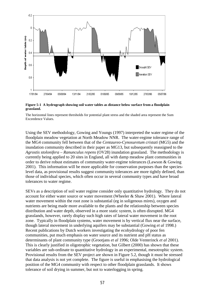

**Figure 5-1 A hydrograph showing soil water tables as distance below surface from a floodplain grassland.**

The horizontal lines represent thresholds for potential plant stress and the shaded area represent the Sum Exceedence Values.

Using the SEV methodology, Gowing and Youngs (1997) interpreted the water regime of the floodplain meadow vegetation at North Meadow NNR. The water-regime tolerance range of the MG4 community fell between that of the *Centaureo-Cynosuretum cristati* (MG5) and the inundation community described in their paper as MG13, but subsequently reassigned to the *Agrostis stolonifera – Ranunculus repens* (OV28) inundation grassland. The methodology is currently being applied to 20 sites in England, all with damp meadow plant communities in order to derive robust estimates of community water-regime tolerances (Lawson & Gowing 2001). This information will be more applicable for conservation purposes than the specieslevel data, as provisional results suggest community tolerances are more tightly defined, than those of individual species, which often occur in several community types and have broad tolerances to water regime.

SEVs as a description of soil water regime consider only quantitative hydrology. They do not account for either water source or water movement (Wheeler & Shaw 2001). Where lateral water movement within the root zone is substantial (eg in soligenous mires), oxygen and nutrients are being made more available to the plants and the relationship between species distribution and water depth, observed in a more static system, is often disrupted. MG4 grasslands, however, rarely display such high rates of lateral water movement in the root zone. Typically in floodplain systems, water movement is by vertical flux near the surface, though lateral movement in underlying aquifers may be substantial (Gowing *et al* 1998.) Recent publications by Dutch workers investigating the ecohydrology of poor fen communities, put much emphasis on water source and its nutrient and pH status as determinants of plant community type (Grootjans *et al* 1996; Olde Venterinck *et al* 2001). This is clearly justified in oligotrophic vegetation, but Gilbert (2000) has shown that these variables are sub-ordinate to quantitative hydrology in an experimental, mesotrophic system. Provisional results from the SEV project are shown in Figure 5.2, though it must be stressed that data analysis is not yet complete. The figure is useful in emphasising the hydrological position of the MG4 community with respect to other floodplain grasslands. It shows tolerance of soil drying in summer, but not to waterlogging in spring.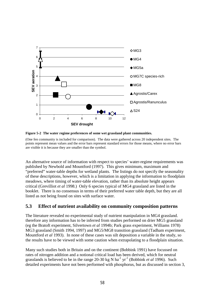

**Figure 5-2 The water regime preferences of some wet grassland plant communities.**

(One fen community is included for comparison). The data were gathered across 20 independent sites. The points represent mean values and the error bars represent standard errors for those means, where no error bars are visible it is because they are smaller than the symbol.

An alternative source of information with respect to species' water-regime requirements was published by Newbold and Mountford (1997). This gives minimum, maximum and "preferred" water-table depths for wetland plants. The listings do not specify the seasonality of these descriptions, however, which is a limitation in applying the information to floodplain meadows, where timing of water-table elevation, rather than its absolute height appears critical (Grevilliot *et al* 1998.) Only 6 species typical of MG4 grassland are listed in the booklet. There is no consensus in terms of their preferred water table depth, but they are all listed as not being found on sites with surface water.

#### **5.3 Effect of nutrient availability on community composition patterns**

The literature revealed no experimental study of nutrient manipulation in MG4 grassland. therefore any information has to be inferred from studies performed on drier MG5 grassland (eg the Bratoft experiment, Silvertown *et al* 1994b; Park grass experiment, Williams 1978) MG3 grassland (Smith 1994, 1997) and MG5/MG8 transition grassland (Tadham experiment, Mountford *et al* 1993). In none of these cases was silt deposition a variable in the study, so the results have to be viewed with some caution when extrapolating to a floodplain situation.

Many such studies both in Britain and on the continent (Bobbink 1991) have focussed on rates of nitrogen addition and a notional critical load has been derived, which for neutral grasslands is believed to be in the range  $20-30$  kg N ha<sup>-1</sup> yr<sup>-1</sup> (Bobbink *et al* 1996). Such detailed experiments have not been performed with phosphorus, but as discussed in section 3,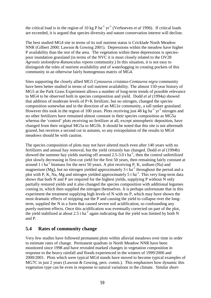the critical load is in the region of  $10 \text{ kg P ha}^{-1} \text{ yr}^{-1}$  (Verhoeven *et al* 1996). If critical loads are exceeded, it is argued that species diversity and nature conservation interest will decline.

The best studied MG4 site in terms of its soil nutrient status is Cricklade North Meadow NNR (Gilbert 2000; Lawson & Gowing 2001). Depressions within the meadow have higher P availability than the rest of the area. The vegetation within these depressions is speciespoor inundation grassland (in terms of the NVC it is most closely related to the OV28 *Agrostis stolonifera*-*Ranunculus repens* community.) In this situation, it is not easy to distinguish the roles of nutrient availability and of waterlogging in creating pockets of this community in an otherwise fairly homogenous matrix of MG4.

Sites supporting the closely allied MG5 *Cynosurus cristatus-Centaurea nigra* community have been better studied in terms of soil nutrient availability. The almost 150-year history of MG5 at the Park Grass Experiment allows a number of long-term trends of possible relevance to MG4 to be observed both in species composition and yield. Dodd *et al* (1994a) showed that addition of moderate levels of P+K fertilizer, but no nitrogen, changed the species composition somewhat and in the direction of an MG1e community, a tall ranker grassland. However this took in the region of 100 years. Plots receiving just 48 kg ha<sup>-1</sup> yr<sup>-1</sup> nitrogen and no other fertilizers have remained almost constant in their species composition as MG5a whereas the 'control' plots receiving no fertilizer at all, except atmospheric deposition, have changed from their original MG5a to MG5b. It should be noted that this site is not aftermath grazed, but receives a second cut in autumn, so any extrapolation of the results to MG4 meadows should be with caution.

The species composition of plots may not have altered much even after 140 years with no fertilizers and annual hay removal, but the yield certainly has changed. Dodd *et al* (1994b) showed the summer hay yields starting off around  $2.5-3.0$  t ha<sup>-1</sup>, then the control unfertilized plot slowly decreasing in first-cut yield for the first 50 years, then remaining fairly constant at around 1 t ha<sup>-1</sup> biomass for the next 50 years. A plot receiving P, K, sodium (Na) and magnesium (Mg), but no nitrogen yielded approximately 3 t ha<sup>-1</sup> throughout the period and a plot with P, K, Na, Mg and nitrogen yielded approximately 5 t ha<sup>-1</sup>. This very long-term data shows that both N and P are required for the highest yields, supplying P without N only partially restored yields and it also changed the species composition with additional legumes coming in, which then supplied the nitrogen themselves. It is perhaps unfortunate that in this experiment the treatment supplying high levels of N with no P, which may have shown the most dramatic effects of stripping out the P and causing the yield to collapse over the longterm, supplied the N in a form that caused severe soil acidification, so confounding any purely nutrient effects. Once this acidification was eventually corrected on part of the plot, the yield stabilized at about 2.5 t ha<sup>-1</sup> again indicating that the yield was limited by both N and P.

#### **5.4 Rates of community change**

Very few studies have followed permanent plots within alluvial meadows over time in order to estimate rates of change. Permanent quadrats in North Meadow NNR have been monitored since 1998 and have revealed marked changes in vegetation composition in response to the heavy rainfall and floods experienced in the winters of 1999/2000 and 2000/2001. Plots which were typical MG4 stands have moved to become typical examples of MG7C in just 2 years (Lawson & Gowing, pers. comm.). This emphasises how dynamic this vegetation type can be even in response to natural variations in the climate. Similar short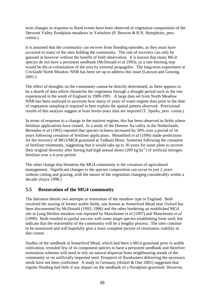term changes in response to flood events have been observed in vegetation composition of the Derwent Valley floodplain meadows in Yorkshire (P. Benyon & R.N. Humphries, pers. comm.)

It is assumed that the community can recover from flooding episodes, as they must have occurred in many of the sites holding the community. The rate of recovery can only be guessed at however without the benefit of field observation. It is known that many MG4 species do not have a persistent seedbank (McDonald *et al* 1993), so a rate-limiting step would be the re-colonisation of the area by external propagules. The long-term experiment at Cricklade North Meadow NNR has been set up to address this issue (Lawson and Gowing, 2001.)

The effect of droughts on the community cannot be directly determined, as there appears to be a dearth of data which chronicles the vegetation through a drought period such as the one experienced in the south of England in 1989-1991. A large data set from North Meadow NNR has been analysed to ascertain how many of years of water-regime data prior to the date of vegetation sampling is required to best explain the spatial pattern observed. Provisional results of this analysis suggest at least seven-years data are required (T. Sparks, pers. comm.)

In terms of response to a change in the nutrient regime, this has been observed in fields where fertiliser applications have ceased. In a study of the Drentse Aa valley in the Netherlands, Berendse *et al* (1992) reported that species richness increased by 50% over a period of 16 years following cessation of fertiliser application. Mountford *et al* (1996) made predictions for the recovery of MG5/MG8 grassland at Tadham Moor, Somerset following the cessation of fertiliser treatments, suggesting that it would take up to 30 years for some plots to recover their original diversity after having had high annual doses  $(200 \text{ kg ha}^{-1})$  of artificial nitrogen fertiliser over a 4-year period.

The other change that threatens the MG4 community is the cessation of agricultural management. Significant changes to the species composition can occur in just 2 years without cutting and grazing, with the nature of the vegetation changing considerably within a decade (Joyce 1998.)

#### **5.5 Restoration of the MG4 community**

The literature details two attempts at restoration of the meadow type in England. Both involved the sowing of former arable fields, one known as Somerford Mead near Oxford has been documented by McDonald (1993, 1996) and the other bordering an established MG4 site at Long Herdon meadow was reported by Manchester *et al* (1997) and Manchester *et al* (1999). Both resulted in partial success with some target species establishing from seed, but indicate that the reassembly of the community will be a lengthy process. The sites continue to be monitored and will hopefully give a more complete picture of restoration viability in due course.

Studies of the seedbank at Somerford Mead, which had been a MG4 grassland prior to arable cultivation, revealed few of its component species to have a persistent seedbank and therefore restoration schemes will need to rely on natural dispersal from neighbouring stands of the community or on artificially imported seed. Prospects of floodwaters delivering the necessary seeds have not been confirmed. A study in Germany (Holzel & Otte 2001) suggested that regular flooding had little if any impact on the seedbank of a floodplain grassland. However,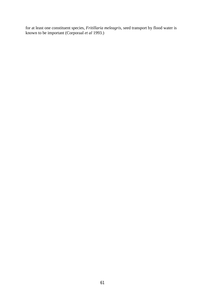for at least one constituent species, *Fritillaria meleagris,* seed transport by flood water is known to be important (Corporaal *et al* 1993.)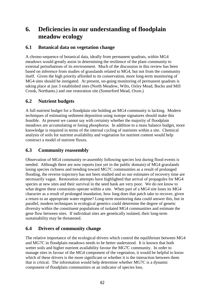# **6. Deficiencies in our understanding of floodplain meadow ecology**

#### **6.1 Botanical data on vegetation change**

A chrono-sequence of botanical data, ideally from permanent quadrats, within MG4 meadows would greatly assist in determining the resilience of the plant community to external perturbations of its environment. Much of the discussion in this review has been based on inference from studies of grasslands related to MG4, but not from the community itself. Given the high priority afforded to its conservation, more long-term monitoring of MG4 sites should be instigated. At present, on-going monitoring of permanent quadrats is taking place at just 3 established sites (North Meadow, Wilts, Oxley Mead, Bucks and Mill Crook, Northants.) and one restoration site (Somerford Mead, Oxon.)

#### **6.2 Nutrient budgets**

A full nutrient budget for a floodplain site holding an MG4 community is lacking. Modern techniques of estimating sediment deposition using isotope signatures should make this feasible. At present we cannot say with certainty whether the majority of floodplain meadows are accumulating or losing phosphorus. In addition to a mass balance budget, more knowledge is required in terms of the internal cycling of nutrients within a site. Chemical analysis of soils for nutrient availability and vegetation for nutrient content would help construct a model of nutrient fluxes.

### **6.3 Community reassembly**

Observation of MG4 community re-assembly following species lost during flood events is needed. Although there are now reports (not yet in the public domain) of MG4 grasslands losing species richness and trending toward MG7C communities as a result of prolonged flooding, the reverse trajectory has not been studied and so our estimates of recovery time are necessarily vague. Restoration attempts have highlighted that arrival of propagules for MG4 species at new sites and their survival in the seed bank are very poor. We do not know to what degree these constraints operate within a site. When part of a MG4 site loses its MG4 character as a result of prolonged inundation, how long does that patch take to recover, given a return to an appropriate water regime? Long-term monitoring data could answer this, but in parallel, modern techniques in ecological genetics could determine the degree of genetic diversity within the constituent populations of isolated MG4 communities and estimate the gene flow between sites. If individual sites are genetically isolated, their long-term sustainability may be threatened.

## **6.4 Drivers of community change**

The relative importance of the ecological drivers which control the equilibrium between MG4 and MG7C in floodplain meadows needs to be better understood. It is known that both wetter soils and higher nutrient availability favour the MG7C community. In order to manage sites in favour of the MG4 component of the vegetation, it would be helpful to know which of these drivers is the more significant or whether it is the interaction between them that is critical. The information would help determine whether MG7C is a dynamic component of floodplain communities or an indicator of species loss.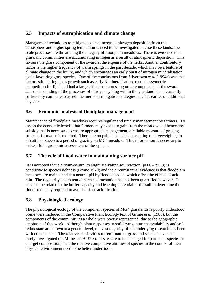## **6.5 Impacts of eutrophication and climate change**

Management techniques to mitigate against increased nitrogen deposition from the atmosphere and higher spring temperatures need to be investigated in case these landscapescale processes are threatening the integrity of floodplain meadows. There is evidence that grassland communities are accumulating nitrogen as a result of atmospheric deposition. This favours the grass component of the sward at the expense of the herbs. Another contributory factor is the higher frequency of warm springs in the past decade, which may be a feature of climate change in the future, and which encourages an early burst of nitrogen mineralisation again favouring grass species. One of the conclusions from Silvertown *et al* (1994a) was that factors stimulating grass growth such as early N mineralisation, caused assymetric competition for light and had a large effect in suppressing other components of the sward. Our understanding of the processes of nitrogen cycling within the grassland is not currently sufficiently complete to assess the merits of mitigation strategies, such as earlier or additional hay cuts.

#### **6.6 Economic analysis of floodplain management**

Maintenance of floodplain meadows requires regular and timely management by farmers. To assess the economic benefit that farmers may expect to gain from the meadow and hence any subsidy that is necessary to ensure appropriate management, a reliable measure of grazing stock performance is required. There are no published data sets relating the liveweight gain of cattle or sheep to a period of grazing on MG4 meadow. This information is necessary to make a full agronomic assessment of the system.

## **6.7 The role of flood water in maintaining surface pH**

It is accepted that a circum-neutral to slightly alkaline soil reaction ( $pH$  6 –  $pH$  8) is conducive to species richness (Grime 1979) and the circumstantial evidence is that floodplain meadows are maintained at a neutral pH by flood deposits, which offset the effects of acid rain. The regularity and extent of such sedimentation has not been quantified however. It needs to be related to the buffer capacity and leaching potential of the soil to determine the flood frequency required to avoid surface acidification.

#### **6.8 Physiological ecology**

The physiological ecology of the component species of MG4 grasslands is poorly understood. Some were included in the Comparative Plant Ecology text of Grime *et al* (1988), but the components of the community as a whole were poorly represented, due to the geographic emphasis of that work. Although plant responses to soil drying, nutrient availability and soil redox state are known at a general level, the vast majority of the underlying research has been with crop species. The relative sensitivities of semi-natural grassland species have been rarely investigated (eg Milnes *et al* 1998). If sites are to be managed for particular species or a target composition, then the relative competitive abilities of species in the context of their physical environment need to be better understood.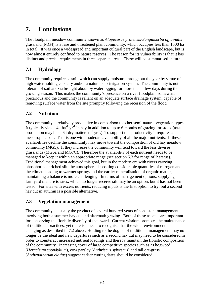# **7. Conclusions**

The floodplain meadow community known as *Alopecurus pratensis-Sanguisorba officinalis*  grassland (MG4) is a rare and threatened plant community, which occupies less than 1500 ha in total. It was once a widespread and important cultural part of the English landscape, but is now almost entirely confined to nature reserves. The reason for its vulnerability is that it has distinct and precise requirements in three separate areas. These will be summarised in turn.

## **7.1 Hydrology**

The community requires a soil, which can supply moisture throughout the year by virtue of a high water holding capacity and/or a natural sub-irrigation system. The community is not tolerant of soil anoxia brought about by waterlogging for more than a few days during the growing season. This makes the community's presence on a river floodplain somewhat precarious and the community is reliant on an adequate surface drainage system, capable of removing surface water from the site promptly following the recession of the flood.

## **7.2 Nutrition**

The community is relatively productive in comparison to other semi-natural vegetation types. It typically yields 4 t ha<sup>-1</sup> yr<sup>-1</sup> in hay in addition to up to 6 months of grazing for stock (total production may be c. 6 t dry matter ha<sup>-1</sup> yr<sup>-1</sup>.) To support this productivity it requires a mesotrophic soil. That is one with moderate availability of all the major nutrients. If these availabilities decline the community may move toward the composition of old hay meadow community (MG5). If they increase the community will tend toward the less diverse grasslands (MG6a and MG7C). Therefore the availability of each nutrient needs to be managed to keep it within an appropriate range (see section 5.3 for range of P status). Traditional management achieved this goal, but in the modern era with rivers carrying phosphorus-enriched silt, the atmosphere depositing considerable quantities of nitrogen and the climate leading to warmer springs and the earlier mineralisation of organic matter, maintaining a balance is more challenging. In terms of management options, supplying farmyard manure to sites, which no longer receive silt may be an option, but it has not been tested. For sites with excess nutrients, reducing inputs is the first option to try, but a second hay cut in autumn is a possible alternative.

#### **7.3 Vegetation management**

The community is usually the product of several hundred years of consistent management involving both a summer hay cut and aftermath grazing. Both of these aspects are important for conserving the floristic diversity of the sward. Current wisdom promotes the maintenance of traditional practices, yet there is a need to recognise that the wider environment is changing as described in 7.2 above. Holding to the dogma of traditional management may no longer be the ideal and new departures such as a second hay cut may need to be considered in order to counteract increased nutrient loadings and thereby maintain the floristic composition of the community. Increasing cover of large competitive species such as as hogweed (*Heracleum spondylium*), cow parsley (*Anthriscus sylvestris*) and tall oat-grass (*Arrhenatherum elatius*) suggest earlier cutting dates should be considered.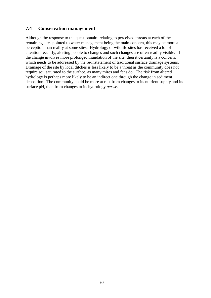#### **7.4 Conservation management**

Although the response to the questionnaire relating to perceived threats at each of the remaining sites pointed to water management being the main concern, this may be more a perception than reality at some sites. Hydrology of wildlife sites has received a lot of attention recently, alerting people to changes and such changes are often readily visible. If the change involves more prolonged inundation of the site, then it certainly is a concern, which needs to be addressed by the re-instatement of traditional surface drainage systems. Drainage of the site by local ditches is less likely to be a threat as the community does not require soil saturated to the surface, as many mires and fens do. The risk from altered hydrology is perhaps more likely to be an indirect one through the change in sediment deposition. The community could be more at risk from changes to its nutrient supply and its surface pH, than from changes to its hydrology *per se*.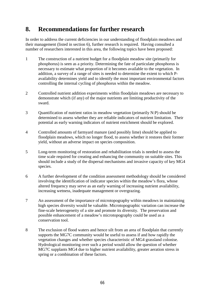# **8. Recommendations for further research**

In order to address the current deficiencies in our understanding of floodplain meadows and their management (listed in section 6), further research is required. Having consulted a number of researchers interested in this area, the following topics have been proposed:

- 1 The construction of a nutrient budget for a floodplain meadow site (primarily for phosphorus) is seen as a priority. Determining the fate of particulate phosphorus is necessary to estimate what proportion of it becomes available to the vegetation. In addition, a survey of a range of sites is needed to determine the extent to which Pavailability determines yield and to identify the most important environmental factors controlling the internal cycling of phosphorus within the meadow.
- 2 Controlled nutrient addition experiments within floodplain meadows are necessary to demonstrate which (if any) of the major nutrients are limiting productivity of the sward.
- 3 Quantification of nutrient ratios in meadow vegetation (primarily N:P) should be determined to assess whether they are reliable indicators of nutrient limitation. Their potential as early warning indicators of nutrient enrichment should be explored.
- 4 Controlled amounts of farmyard manure (and possibly lime) should be applied to floodplain meadows, which no longer flood, to assess whether it restores their former yield, without an adverse impact on species composition.
- 5 Long-term monitoring of restoration and rehabilitation trials is needed to assess the time scale required for creating and enhancing the community on suitable sites. This should include a study of the dispersal mechanisms and invasive capacity of key MG4 species.
- 6 A further development of the condition assessment methodology should be considered involving the identification of indicator species within the meadow's flora, whose altered frequency may serve as an early warning of increasing nutrient availability, increasing wetness, inadequate management or overgrazing.
- 7 An assessment of the importance of microtopography within meadows in maintaining high species diversity would be valuable. Microtopographic variation can increase the fine-scale heterogeneity of a site and promote its diversity. The preservation and possible enhancement of a meadow's microtopography could be used as a conservation tool.
- 8 The exclusion of flood waters and hence silt from an area of floodplain that currently supports the MG7C community would be useful to assess if and how rapidly the vegetation changes and whether species characteristic of MG4 grassland colonise. Hydrological monitoring over such a period would allow the question of whether MG7C supplants MG4 due to higher nutrient availability, greater aeration stress in spring or a combination of these factors.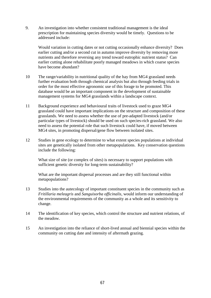9. An investigation into whether consistent traditional management is the ideal prescription for maintaining species diversity would be timely. Questions to be addressed include:

Would variation in cutting dates or not cutting occasionally enhance diversity? Does earlier cutting and/or a second cut in autumn improve diversity by removing more nutrients and therefore reversing any trend toward eutrophic nutrient status? Can earlier cutting alone rehabilitate poorly managed meadows in which coarse species have become abundant?

- 10 The range/variability in nutritional quality of the hay from MG4 grassland needs further evaluation both through chemical analysis but also through feeding trials in order for the most effective agronomic use of this forage to be promoted. This database would be an important component in the development of sustainable management systems for MG4 grasslands within a landscape context.
- 11 Background experience and behavioural traits of livestock used to graze MG4 grassland could have important implications on the structure and composition of these grasslands. We need to assess whether the use of pre-adapted livestock (and/or particular types of livestock) should be used on such species-rich grassland. We also need to assess the potential role that such livestock could have, if moved between MG4 sites, in promoting dispersal/gene flow between isolated sites.
- 12 Studies in gene ecology to determine to what extent species populations at individual sites are genetically isolated from other metapopulations. Key conservation questions include the following:

What size of site (or complex of sites) is necessary to support populations with sufficient genetic diversity for long-term sustainability?

What are the important dispersal processes and are they still functional within metapopulations?

- 13 Studies into the autecology of important constituent species in the community such as *Fritillaria meleagris* and *Sanguisorba officinalis,* would inform our understanding of the environmental requirements of the community as a whole and its sensitivity to change.
- 14 The identification of key species, which control the structure and nutrient relations, of the meadow.
- 15 An investigation into the reliance of short-lived annual and biennial species within the community on cutting date and intensity of aftermath grazing.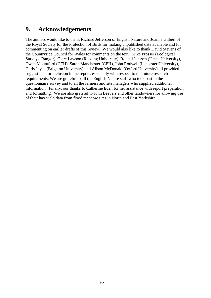# **9. Acknowledgements**

The authors would like to thank Richard Jefferson of English Nature and Joanne Gilbert of the Royal Society for the Protection of Birds for making unpublished data available and for commenting on earlier drafts of this review. We would also like to thank David Stevens of the Countryside Council for Wales for comments on the text. Mike Prosser (Ecological Surveys, Bangor), Clare Lawson (Reading University), Roland Janssen (Umea University), Owen Mountford (CEH), Sarah Manchester (CEH), John Rodwell (Lancaster University), Chris Joyce (Brighton University) and Alison McDonald (Oxford University) all provided suggestions for inclusion in the report, especially with respect to the future research requirements. We are grateful to all the English Nature staff who took part in the questionnaire survey and to all the farmers and site managers who supplied additional information. Finally, our thanks to Catherine Eden for her assistance with report preparation and formatting. We are also grateful to John Beevers and other landowners for allowing use of their hay yield data from flood meadow sites in North and East Yorkshire.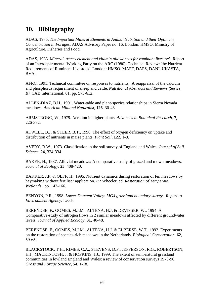# **10. Bibliography**

ADAS, 1975. *The Important Mineral Elements in Animal Nutrition and their Optimum Concentration in Forages*. ADAS Advisory Paper no. 16. London: HMSO. Ministry of Agriculture, Fisheries and Food.

ADAS, 1983. *Mineral, traces element and vitamin allowances for ruminant livestock*. Report of an Interdepartmental Working Party on the ARC (1980): Technical Review: 'the Nutrient Requirements of Ruminent Livestock'. London: HMSO. MAFF, DAFS, DANI, UKASTA, BVA.

AFRC, 1991. Technical committee on responses to nutrients. A reappraisal of the calcium and phosphorus requirement of sheep and cattle. *Nutritional Abstracts and Reviews (Series B).* CAB International. 61, pp. 573-612.

ALLEN-DIAZ, B.H., 1991. Water-table and plant-species relationships in Sierra Nevada meadows. *American Midland Naturalist*, **126**, 30-43.

ARMSTRONG, W., 1979. Aeration in higher plants. *Advances in Botanical Research*, **7**, 226-332.

ATWELL, B.J. & STEER, B.T., 1990. The effect of oxygen deficiency on uptake and distribution of nutrients in maize plants. *Plant Soil*, **122**, 1-8.

AVERY, B.W., 1973. Classification in the soil survey of England and Wales. *Journal of Soil Science*, **24**, 324-334.

BAKER, H., 1937. Alluvial meadows: A comparative study of grazed and mown meadows. *Journal of Ecology*, **25**, 408-420.

BAKKER, J.P. & OLFF, H., 1995. Nutrient dynamics during restoration of fen meadows by haymaking without fertiliser application. *In:* Wheeler, ed. *Restoration of Temperate Wetlands.* pp. 143-166.

BENYON, P.R., 1998. *Lower Derwent Valley: MG4 grassland boundary survey. Report to Environment Agency*. Leeds.

BERENDSE, F., OOMES, M.J.M., ALTENA, H.J. & DEVISSER, W., 1994. A Comparative-study of nitrogen flows in 2 similar meadows affected by different groundwater levels. *Journal of Applied Ecology*, **31**, 40-48.

BERENDSE, F., OOMES, M.J.M., ALTENA, H.J. & ELBERSE, W.T., 1992. Experiments on the restoration of species-rich meadows in the Netherlands. *Biological Conservation*, **62**, 59-65.

BLACKSTOCK, T.H., RIMES, C.A., STEVENS, D.P., JEFFERSON, R.G., ROBERTSON, H.J., MACKINTOSH, J. & HOPKINS, J.J., 1999. The extent of semi-natural grassland communities in lowland England and Wales: a review of conservation surveys 1978-96. *Grass and Forage Science*, **54**, 1-18.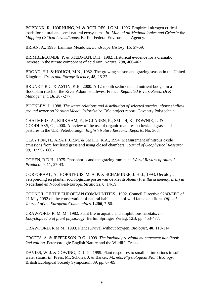BOBBINK, R., HORNUNG, M. & ROELOFS, J.G.M., 1996. Empirical nitrogen critical loads for natural and semi-natural ecosystems. *In: Manual on Methodologies and Criteria for Mapping Critical Levels/Loads*. Berlin: Federal Environment Agency.

BRIAN, A., 1993. Lammas Meadows. *Landscape History*, **15**, 57-69.

BRIMBLECOMBE, P. & STEDMAN, D.H., 1982. Historical evidence for a dramatic increase in the nitrate component of acid rain. *Nature*, **298**, 460-462.

BROAD, H.J. & HOUGH, M.N., 1982. The growing season and grazing season in the United Kingdom. *Grass and Forage Science*, **48**, 26-37.

BRUNET, R.C. & ASTIN, K.B., 2000. A 12-month sediment and nutrient budget in a floodplain reach of the River Adour, southwest France. *Regulated Rivers-Research & Management*, **16**, 267-277.

BUCKLEY, J., 1988. *The water relations and distribution of selected species, above shallow ground water on Yarnton Mead, Oxfordshire*. BSc project report. Coventry Polytechnic.

CHALMERS, A., KIRKHAM, F., MCLAREN, R., SMITH, K., DOWNIE, L. & GOODLASS, G., 2000. A review of the use of organic manures on lowland grassland pastures in the U.K. Peterborough: *English Nature Research Reports*, No. 368.

CLAYTON, H., ARAH, J.R.M. & SMITH, K.A., 1994. Measurement of nitrous oxide emissions from fertilised grassland using closed chambers. *Journal of Geophysical Research*, **99**, 16599-16607.

COHEN, R.D.H., 1975. Phosphorus and the grazing ruminant. *World Review of Animal Production*, **11**, 27-43.

CORPORAAL, A., HORSTHUIS, M. A. P. & SCHAMINEE, J. H. J., 1993. Oecologie, verspreiding en planten sociologische postie van de kievitsbloem (*Fritillaria meleagris L.*) in Nederland en Noordwest-Europa. *Stratiotes*, **6**, 14-39.

COUNCIL OF THE EUROPEAN COMMUNITIES., 1992. Council Directive 92/43/EEC of 21 May 1992 on the conservation of natural habitats and of wild fauna and flora. *Official Journal of the European Communities*, **L206**, 7-50.

CRAWFORD, R. M. M., 1982. Plant life in aquatic and amphibious habitats. *In: Encyclopaedia of plant physiology*. Berlin: Springer Verlag. 12B. pp. 453-477.

CRAWFORD, R.M.M., 1993. Plant survival without oxygen. *Biologist*, **40**, 110-114.

CROFTS, A. & JEFFERSON, R.G., 1999. *The lowland grassland management handbook. 2nd edition*. Peterborough: English Nature and the Wildlife Trusts.

DAVIES, W. J. & GOWING, D. J. G., 1999. Plant responses to small perturbations in soil water status. *In:* Press, M., Scholes, J. & Barker, M., eds. *Physiological Plant Ecology*. British Ecological Society Symposium 39. pp. 67-89.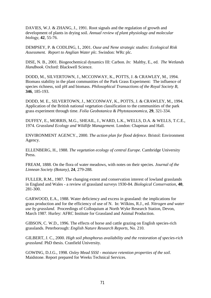DAVIES, W.J. & ZHANG, J., 1991. Root signals and the regulation of growth and development of plants in drying soil. *Annual review of plant physiology and molecular biology*, **42**, 55-76.

DEMPSEY, P. & CODLING, I., 2001. *Ouse and Nene strategic studies: Ecological Risk Assessment. Report to Anglian Water plc*. Swindon: WRc plc.

DISE, N. B., 2001. Biogeochemical dynamics III: Carbon. *In:* Maltby, E., ed. *The Wetlands Handbook*. Oxford: Blackwell Science.

DODD, M., SILVERTOWN, J., MCCONWAY, K., POTTS, J. & CRAWLEY, M., 1994. Biomass stability in the plant communities of the Park Grass Experiment: The influence of species richness, soil pH and biomass. *Philosophical Transactions of the Royal Society B*, **346**, 185-193.

DODD, M. E., SILVERTOWN, J., MCCONWAY, K., POTTS, J. & CRAWLEY, M., 1994. Application of the British national vegetation classification to the communities of the park grass experiment through time. *Folia Geobotanica & Phytotaxonomica*, **29**, 321-334.

DUFFEY, E., MORRIS, M.G., SHEAIL, J., WARD, L.K., WELLS, D.A. & WELLS, T.C.E., 1974. *Grassland Ecology and Wildlife Management*. London: Chapman and Hall.

ENVIRONMENT AGENCY., 2000. *The action plan for flood defence*. Bristol: Environment Agency.

ELLENBERG, H., 1988. *The vegetation ecology of central Europe*. Cambridge University Press.

FREAM, 1888. On the flora of water meadows, with notes on their species. *Journal of the Linnean Society (Botany)*, **24**, 279-288.

FULLER, R.M., 1987. The changing extent and conservation interest of lowland grasslands in England and Wales - a review of grassland surveys 1930-84. *Biological Conservation*, **40**, 281-300.

GARWOOD, E.A., 1988. Water deficiency and excess in grassland: the implications for grass production and for the efficiency of use of N. In: Wilkins, R.J., ed. *Nitrogen and water use by grassland*. Proceedings of Colloquium at North Wyke Research Station, Devon, March 1987. Hurley: AFRC Institute for Grassland and Animal Production.

GIBSON, C. W.D., 1996. The effects of horse and cattle grazing on English species-rich grasslands. Peterborough: *English Nature Research Reports*, No. 210.

GILBERT, J. C., 2000. *High soil phosphorus availability and the restoration of species-rich grassland*. PhD thesis. Cranfield University.

GOWING, D.J.G., 1998. *Oxley Mead SSSI - moisture retention properties of the soil*. Maidstone. Report prepared for Weeks Technical Services.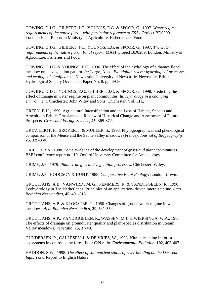GOWING, D.J.G., GILBERT, J.C., YOUNGS, E.G. & SPOOR, G., 1997. *Water regime requirements of the native flora - with particular reference to ESAs*. Project BD0209. London: Final Report to Ministry of Agriculture, Fisheries and Food.

GOWING, D.J.G., GILBERT, J.C., YOUNGS, E.G. & SPOOR, G., 1997. *The water requirements of the native flora. Final report*. MAFF project BD0209. London: Ministry of Agriculture, Fisheries and Food.

GOWING, D.J.G. & YOUNGS, E.G., 1996. The effect of the hydrology of a thames flood meadow on its vegetation pattern. *In:* Large, A. ed. *Floodplain rivers: hydrological processes and ecological significance.* Newcastle: University of Newcastle. Newcastle. British Hydrological Society Occasional Paper No. 8. pp. 69-80.

GOWING, D.J.G., YOUNGS, E.G., GILBERT, J.C. & SPOOR, G., 1998. Predicting the effect of change in water regime on plant communites. In: *Hydrology in a changing environment*. Chichester: John Wiley and Sons. Chichester. Vol. I.H.,

GREEN, B.H., 1990. Agricultural Intensification and the Loss of Habitat, Species and Amenity in British Grasslands - a Review of Historical Change and Assessment of Future-Prospects. *Grass and Forage Science*, **45**, 365-372.

GREVILLIOT, F., BROYER, J. & MULLER, S., 1998. Phytogeographical and phenological comparison of the Meuse and the Saone valley meadows (France). *Journal of Biogeography*, **25**, 339-360.

GRIEG, J.R.A., 1988. *Some evidence of the development of grassland plant communities*. BSBI conference report no. 19. Oxford University Committee for Archaeology.

GRIME, J.P., 1979. *Plant strategies and vegetation processes*. Chichester: Wiley.

GRIME, J.P., HODGSON & HUNT, 1988. *Comparative Plant Ecology*. London: Unwin.

GROOTJANS, A.B., VANWIRDUM, G., KEMMERS, R. & VANDIGGELEN, R., 1996. Ecohydrology in The Netherlands: Principles of an application- driven interdiscipline. *Acta Botanica Neerlandica*, **45**, 491-516.

GROOTJANS, A.P. & KLOOSTER, T., 1980. Changes of ground water regime in wet meadows. *Acta Botanica Neerlandica*, **29**, 541-554.

GROOTJANS, A.P., VANDIGGELEN, R., WASSEN, M.J. & WIERSINGA, W.A., 1988. The effects of drainage on groundwater quality and plant-species distribution in Stream Valley meadows. *Vegetatio*, **75**, 37-48.

GUNDERSEN, P., CALLESEN, I. & DE VRIES, W., 1998. Nitrate leaching in forest ecosystems in controlled by forest floor C/N ratio. *Environmental Pollution*, **102**, 403-407.

HADDON, S.W., 1998. *The effect of soil nutrient status of river flooding on the Derwent Ings*. York. Report to English Nature.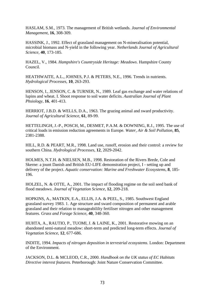HASLAM, S.M., 1973. The management of British wetlands. *Journal of Environmental Management*, **16**, 308-309.

HASSINK, J., 1992. Effect of grassland management on N-mineralisation potential, microbial biomass and N-yield in the following year. *Netherlands Journal of Agricultural Science*, **40**, 173-185.

HAZEL, V., 1984. *Hampshire's Countryside Heritage: Meadows*. Hampshire County Council.

HEATHWAITE, A.L., JOHNES, P.J. & PETERS, N.E., 1996. Trends in nutrients. *Hydrological Processes*, **10**, 263-293.

HENSON, I., JENSON, C. & TURNER, N., 1989. Leaf gas exchange and water relations of lupins and wheat. I. Shoot response to soil water deficits. *Australian Journal of Plant Phsiology*, **16**, 401-413.

HERRIOT, J.B.D. & WELLS, D.A., 1963. The grazing animal and sward productivity. *Journal of Agricultural Science*, **61**, 89-99.

HETTELINGH, J.-P., POSCH, M., DESMET, P.A.M. & DOWNING, R.J., 1995. The use of critical loads in emission reduction agreements in Europe. *Water, Air & Soil Pollution*, **85**, 2381-2388.

HILL, R.D. & PEART, M.R., 1998. Land use, runoff, erosion and their control: a review for southern China. *Hydrological Processes*, **12**, 2029-2042.

HOLMES, N.T.H. & NIELSEN, M.B., 1998. Restoration of the Rivers Brede, Cole and Skerne: a jount Danish and British EU-LIFE demonstration project, I - setting up and delivery of the project. *Aquatic conservation: Marine and Freshwater Ecosystems*, **8**, 185- 196.

HOLZEL, N. & OTTE, A., 2001. The impact of flooding regime on the soil seed bank of flood meadows. *Journal of Vegetation Science*, **12**, 209-218.

HOPKINS, A., MATKIN, E.A., ELLIS, J.A. & PEEL, S., 1985. Southwest England grassland survey 1983. 1. Age structure and sward composition of permanent and arable grassland and their relation to manageabililty fertiliser nitrogen and other management features. *Grass and Forage Science*, **40**, 348-360.

HUHTA, A., RAUTIO, P., TUOMI, J. & LAINE, K., 2001. Restorative mowing on an abandoned semi-natural meadow: short-term and predicted long-term effects. *Journal of Vegetation Science*, **12**, 677-686.

INDITE, 1994. *Impacts of nitrogen deposition in terrestrial ecosystems*. London: Department of the Environment.

JACKSON, D.L. & MCLEOD, C.R., 2000. *Handbook on the UK status of EC Habitats Directive interest features.* Peterborough: Joint Nature Conservation Committee.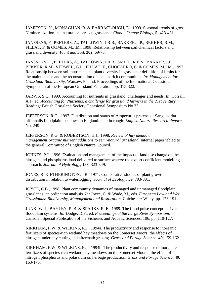JAMIESON, N., MONAGHAN, R. & BARRACLOUGH, D., 1999. Seasonal trends of gross N mineralization in a natural calcareous grassland. *Global Change Biology*, **5**, 423-431.

JANSSENS, F., PEETERS, A., TALLOWIN, J.R.B., BAKKER, J.P., BEKKER, R.M., FILLAT, F. & OOMES, M.J.M., 1998. Relationship between soil chemical factors and grassland diversity. *Plant and Soil*, **202**, 69-78.

JANSSENS, F., PEETERS, A., TALLOWIN, J.R.B., SMITH, R.E.N., BAKKER, J.P., BEKKER, R.M., VERWEIJ, G.L., FILLAT, F., CHOCARRO, C. & OOMES, M.J.M., 1997. Relationship between soil nutrients and plant diversity in grassland: definition of limits for the maintenance and the reconstruction of species-rich communities. *In: Management for Grassland Biodiversity.* Warsaw, Poland. Proceedings of the International Occasional Symposium of the European Grassland Federation. pp. 315-322.

JARVIS, S.C., 1999. Accounting for nutrients in grassland: challenges and needs. *In*: Corrall, A.J., ed. *Accounting for Nutrients, a challenge for grassland farmers in the 21st century.*  Reading: British Grassland Society Occasional Symposium No 33.

JEFFERSON, R.G., 1997. Distribution and status of Alopecurus pratensis - Sanguisorba officinalis floodplain meadows in England*.* Peterborough: *English Nature Research Reports*, No. 249.

JEFFERSON, R.G. & ROBERTSON, H.J., 1998. *Review of hay meadow management:organic nutrient additions to semi-natural grassland*. Internal paper tabled to the general Committee of English Nature Council.

JOHNES, P.J., 1996. Evaluation and management of the impact of land use change on the nitrogen and phosphorus load delivered to surface waters: the export coefficient modelling approach. *Journal of Hydrology*, **183**, 323-349.

JONES, R. & ETHERINGTON, J.R., 1971. Comparative studies of plant growth and distribution in relation to waterlogging. *Journal of Ecology*, **59**, 793-801.

JOYCE, C.B., 1998. Plant community dynamics of managed and unmanaged floodplain grasslands: an ordination analysis. *In:* Joyce, C. & Wade, M., eds. *European Lowland Wet Grasslands: Biodiversity, Management and Restoration*. Chichester: Wiley. pp. 173-191.

JUNK, W. J., BAYLEY, P. B. & SPARKS, R. E., 1989. The flood pulse concept in riverfloodplain systems. *In:* Dodge, D.P., ed. *Proceedings of the Large River Symposium.*  Canadian Special Publication of the Fisheries and Aquatic Sciences. 106, pp. 110-127.

KIRKHAM, F.W. & WILKINS, R.J., 1994a. The productivity and response to inorganic fertilizers of species-rich wetland hay meadows on the Somerset Moors: the effects of nitrogen under hay cutting and aftermath grazing. *Grass and Forage Science*, **49**, 159-162.

KIRKHAM, F.W. & WILKINS, R.J., 1994b. The productivity and response to inorganic fertilizers of species-rich wetland hay meadows on the Somerset Moors: the effect of nitrogen phosphorus and potassium on herbage production. *Grass and Forage Science*, **49**, 163-175.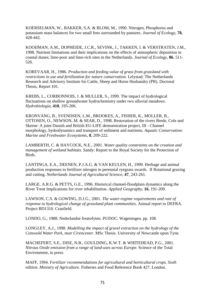KOERSELMAN, W., BAKKER, S.A. & BLOM, M., 1990. Nitrogen, Phosphorus and potassium mass balances for two small fens surrounded by pastures. *Journal of Ecology*, **78**, 428-442.

KOOIJMAN, A.M., DOPHEIDE, J.C.R., SEVINK, J., TAKKEN, I. & VERSTRATEN, J.M., 1998. Nutrient limitations and their implications on the effects of atmospheric deposition in coastal dunes; lime-poor and lime-rich sites in the Netherlands. *Journal of Ecology*, **86**, 511- 526.

KOREVAAR, H., 1986. *Production and feeding value of grass from grassland with restrictions in use and fertilization for nature conservation.* Lelystad: The Netherlands Research and Advisory Institute for Cattle, Sheep and Horse Husbandry (PR). Doctoral Thesis, Report 101.

KREBS, L., CORBONNOIS, J. & MULLER, S., 1999. The impact of hydrological fluctuations on shallow groundwater hydrochemistry under two alluvial meadows. *Hydrobiologia*, **410**, 195-206.

KRONVANG, B., SVENDSEN, L.M., BROOKES, A., FISHER, K., MOLLER, B., OTTOSEN, O., NEWSON, M. & SEAR, D., 1998. Restoration of the rivers Brede, Cole and Skerne: A joint Danish and British EU-LIFE demonstration project, III - Channel morphology, hydrodynamics and transport of sediment and nutrients. *Aquatic Conservation: Marine and Freshwater Ecosystems*, **8**, 209-222.

LAMBERTH, C. & HAYCOCK, N.E., 2001. *Water quality constraints on the creation and management of wetland habitats.* Sandy: Report to the Royal Society for the Protection of Birds.

LANTINGA, E.A., DEENEN, P.J.A.G. & VAN KEULEN, H., 1999. Herbage and animal production responses to fertilizer nitrogen in perennial ryegrass swards. II Rotational grazing and cutting. *Netherlands Journal of Agricultural Science*, **47**, 243-261.

LARGE, A.R.G. & PETTS, G.E., 1996. Historical channel-floodplain dynamics along the River Trent Implications for river rehabilitation. *Applied Geography*, **16**, 191-209.

LAWSON, C.S. & GOWING, D.J.G., 2001. *The water-regime requirements and rate of response to hydrological change of grassland plant communities*. Annual report to DEFRA. Project BD1310. Cranfield.

LONDO, G., 1988. Nederlandse freatofyten. *PUDOC*. Wageningen. pp. 108.

LONGLEY, A.J., 1998. *Modelling the impact of gravel extraction on the hydrology of the Cotswold Water Park, near Cirencester*. MSc Thesis. University of Newcastle upon Tyne.

MACHEFERT, S.E., DISE, N.B., GOULDING, K.W.T. & WHITEHEAD, P.G., 2001. *Nitrous Oxide emission from a range of land-uses across Europe*. Science of the Total Environment, in press.

MAFF, 1994. *Fertilizer recommendations for agricultural and horticultural crops. Sixth edition. Ministry of Agriculture*. Fisheries and Food Reference Book 427. London.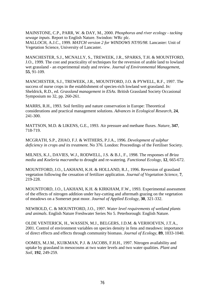MAINSTONE, C.P., PARR, W. & DAY, M., 2000. *Phosphorus and river ecology - tacking sewage inputs*. Report to English Nature. Swindon: WRc plc. MALLOCH, A.J.C., 1999. *MATCH version 2 for WINDOWS NT/95/98*. Lancaster: Unit of Vegetation Science, University of Lancaster.

MANCHESTER, S.J., MCNALLY, S., TREWEEK, J.R., SPARKS, T.H. & MOUNTFORD, J.O., 1999. The cost and practicality of techniques for the reversion of arable land to lowland wet grassland - an experimental study and review. *Journal of Environmental Management*, **55**, 91-109.

MANCHESTER, S.J., TREWEEK, J.R., MOUNTFORD, J.O. & PYWELL, R.F., 1997. The success of nurse crops in the establishment of species-rich lowland wet grassland. *In:*  Sheldrick, R.D., ed. *Grassland management in ESAs.* British Grassland Society Occasional Symposium no 32, pp. 260-261.

MARRS, R.H., 1993. Soil fertility and nature conservation in Europe: Theoretical considerations and practical management solutions. *Advances in Ecological Research*, **24**, 241-300.

MATTSON, M.D. & LIKENS, G.E., 1993. Air pressure and methane fluxes. *Nature*, **347**, 718-719.

MCGRATH, S.P., ZHAO, F.J. & WITHERS, P.J.A., 1996. *Development of sulphur deficiency in crops and its treatment*. No 376. London: Proceedings of the Fertiliser Society.

MILNES, K.J., DAVIES, W.J., RODWELL, J.S. & B.J., F., 1998. The responses of *Briza media* and *Koeleria macrantha* to drought and re-watering. *Functional Ecology*, **12**, 665-672.

MOUNTFORD, J.O., LAKHANI, K.H. & HOLLAND, R.J., 1996. Reversion of grassland vegetation following the cessation of fertilizer application. *Journal of Vegetation Science*, **7**, 219-228.

MOUNTFORD, J.O., LAKHANI, K.H. & KIRKHAM, F.W., 1993. Experimental assessment of the effects of nitrogen addition under hay-cutting and aftermath grazing on the vegetation of meadows on a Somerset peat moor. *Journal of Applied Ecology*, **30**, 321-332.

NEWBOLD, C. & MOUNTFORD, J.O., 1997. *Water level requirements of wetland plants and animals*. English Nature Freshwater Series No 5. Peterborough: English Nature.

OLDE VENTERICK, H., WASSEN, M.J., BELGERS, J.D.M. & VERHOEVEN, J.T.A., 2001. Control of environment variables on species density in fens and meadows: importance of direct effects and effects through community biomass. *Journal of Ecology*, **89**, 1033-1040.

OOMES, M.J.M., KUIKMAN, P.J. & JACOBS, F.H.H., 1997. Nitrogen availability and uptake by grassland in mesocosms at two water levels and two water qualities. *Plant and Soil*, **192**, 249-259.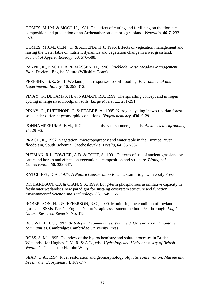OOMES, M.J.M. & MOOI, H., 1981. The effect of cutting and fertilizing on the floristic composition and production of an Arrhenatherion-elatioris grassland. *Vegetatio*, **46-7**, 233- 239.

OOMES, M.J.M., OLFF, H. & ALTENA, H.J., 1996. Effects of vegetation management and raising the water table on nutrient dynamics and vegetation change in a wet grassland. *Journal of Applied Ecology*, **33**, 576-588.

PAYNE, K., KNOTT, A. & MASSEN, D., 1998. *Cricklade North Meadow Management Plan*. Devizes: English Nature (Wiltshire Team).

PEZESHKI, S.R., 2001. Wetland plant responses to soil flooding. *Environmental and Experimental Botany*, **46**, 299-312.

PINAY, G., DECAMPS, H. & NAIMAN, R.J., 1999. The spiralling concept and nitrogen cycling in large river floodplain soils. *Large Rivers*, **11**, 281-291.

PINAY, G., RUFFINONI, C. & FEABRE, A., 1995. Nitrogen cycling in two riparian forest soils under different geomorphic conditions. *Biogeochemistry*, **430**, 9-29.

PONNAMPERUMA, F.M., 1972. The chemistry of submerged soils. *Advances in Agronomy*, **24**, 29-96.

PRACH, K., 1992. Vegetation, microtopography and water table in the Luznice River floodplain, South Bohemia, Czechoslovakia. *Preslia*, **64**, 357-367.

PUTMAN, R.J., FOWLER, A.D. & TOUT, S., 1991. Patterns of use of ancient grassland by cattle and horses and effects on vegetational composition and structure. *Biological Conservation*, **56**, 329-347.

RATCLIFFE, D.A., 1977. *A Nature Conservation Review*. Cambridge University Press.

RICHARDSON, C.J. & QIAN, S.S., 1999. Long-term phosphorous assimilative capacity in freshwater wetlands: a new paradigm for sustaing ecosystem structure and function. *Environmental Science and Technology*, **33**, 1545-1551.

ROBERTSON, H.J. & JEFFERSON, R.G., 2000. Monitoring the condition of lowland grassland SSSIs. Part 1 - English Nature's rapid assessment method. Peterborough: *English Nature Research Reports*, No. 315.

RODWELL, J. S., 1992. *British plant communities. Volume 3. Grasslands and montane communities.* Cambridge: Cambridge University Press.

ROSS, S. M., 1995. Overview of the hydrochemistry and solute processes in British Wetlands. *In:* Hughes, J. M. R. & A.L., eds. *Hydrology and Hydrochemistry of British Wetlands*. Chichester: H. John Wiley.

SEAR, D.A., 1994. River restoration and geomorphology. *Aquatic conservation: Marine and Freshwater Ecosystems*, **4**, 169-177.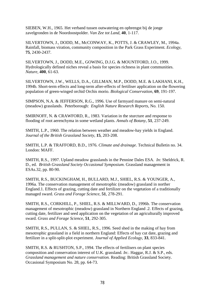SIEBEN, W.H., 1965. Het verband tussen outwatering en opbrengst bij de jonge zavelgronden in de Noordoostpolder. *Van Zee tot Land*, **40**, 1-117.

SILVERTOWN, J., DODD, M., McCONWAY, K., POTTS, J. & CRAWLEY, M., 1994a. Rainfall, biomass viration, community composition in the Park Grass Experiment. *Ecology*, **75**, 2430-2437.

SILVERTOWN, J., DODD, M.E., GOWING, D.J.G. & MOUNTFORD, J.O., 1999. Hydrologically defined niches reveal a basis for species richness in plant communities. *Nature*, **400**, 61-63.

SILVERTOWN, J.W., WELLS, D.A., GILLMAN, M.P., DODD, M.E. & LAKHANI, K.H., 1994b. Short-term effects and long-term after-effects of fertiliser application on the flowering population of green-winged orchid Orchis morio. *Biological Conservation*, **69**, 191-197.

SIMPSON, N.A. & JEFFERSON, R.G., 1996. Use of farmyard manure on semi-natural (meadow) grasslands. Peterborough: *English Nature Research Reports*, No. 150.

SMIRNOFF, N. & CRAWFORD, R., 1983. Variation in the sturcture and response to flooding of root aerenchyma in some wetland plants. *Annals of Botany*, **51**, 237-249.

SMITH, L.P., 1960. The relation between weather and meadow-hay yields in England. *Journal of the British Grassland Society*, **15**, 203-208.

SMITH, L.P. & TRAFFORD, B.D., 1976. *Climate and drainage*. Technical Bulletin no. 34. London: MAFF.

SMITH, R.S., 1997. Upland meadow grasslands in the Pennine Dales ESA. *In:* Sheldrick, R. D., ed. *British Grassland Society Occasional Symposium.* Grassland management in ESAs.32, pp. 80-90.

SMITH, R.S., BUCKINGHAM, H., BULLARD, M.J., SHIEL, R.S. & YOUNGER, A., 1996a. The conservation management of mesotrophic (meadow) grassland in norther England.1. Effects of grazing, cutting date and fertilizer on the vegetation of a traditionally managed sward. *Grass and Forage Science*, **51**, 278-291.

SMITH, R.S., CORKHILL, P., SHIEL, R.S. & MILLWARD, D., 1996b. The conservation management of mesotrophic (meadow) grassland in Northern England .2. Effects of grazing, cutting date, fertilizer and seed application on the vegetation of an agriculturally improved sward. *Grass and Forage Science*, **51**, 292-305.

SMITH, R.S., PULLAN, S. & SHIEL, R.S., 1996. Seed shed in the making of hay from mesotrophic grassland in a field in northern England: Effects of hay cut date, grazing and fertilizer in a split-split-plot experiment. *Journal of Applied Ecology*, **33**, 833-841.

SMITH, R.S. & RUSHTON, S.P., 1994. The effects of fertilisers on plant species composition and conservation interest of U.K. grassland. *In:*. Haggar, R.J. & S.P., eds. *Grassland management and nature conservation.* Reading: British Grassland Society. Occasional Symposium No. 28, pp. 64-73.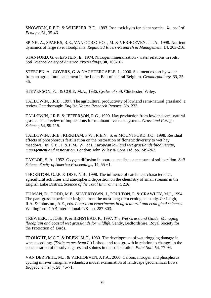SNOWDEN, R.E.D. & WHEELER, B.D., 1993. Iron toxicity to fen plant species. *Journal of Ecology*, **81**, 35-46.

SPINK, A., SPARKS, R.E., VAN OORSCHOT, M. & VERHOEVEN, J.T.A., 1998. Nutrient dynamics of large river floodplains. *Regulated Rivers-Research & Management*, **14**, 203-216.

STANFORD, G. & EPSTEIN, E., 1974. Nitrogen mineralisation - water relations in soils. *Soil ScienceSociety of America Proceedings*, **38**, 103-107.

STEEGEN, A., GOVERS, G. & NACHTERGAELE, J., 2000. Sediment export by water from an agricultural catchment in the Loam Belt of central Belgium. *Geomorphology*, **33**, 25- 36.

STEVENSON, F.J. & COLE, M.A., 1986. *Cycles of soil*. Chichester: Wiley.

TALLOWIN, J.R.B., 1997. The agricultural productivity of lowland semi-natural grassland: a review. Peterborough: *English Nature Research Reports,* No. 233.

TALLOWIN, J.R.B. & JEFFERSON, R.G., 1999. Hay production from lowland semi-natural grasslands: a review of implications for ruminant livestock systems. *Grass and Forage Science*, **54**, 99-115.

TALLOWIN, J.R.B., KIRKHAM, F.W., R.E.N., S. & MOUNTFORD, J.O., 1998. Residual effects of phosphorous fertilisation on the restoration of floristic diversity to wet hay meadows. *In:* C.B., J. & P.M., W., eds. *European lowland wet grasslands:biodiversity, management and restoration*. London: John Wiley & Sons Ltd. pp. 249-263.

TAYLOR, S. A., 1952. Oxygen diffusion in pourous media as a measure of soil aeration. *Soil Science Socity of America Proceedings*, **14**, 55-61.

THORNTON, G.J.P. & DISE, N.B., 1998. The influence of catchment characteristics, agricultural activities and atmospheric deposition on the chemistry of small streams in the English Lake District. *Science of the Total Environment*, **216**,

TILMAN, D., DODD, M.E., SILVERTOWN, J., POULTON, P. & CRAWLEY, M.J., 1994. The park grass experiment: insights from the most long-term ecological study. *In:* Leigh, R.A. & Johnston., A.E., eds. *Long-term experiments in agricultural and ecological sciences*. Wallingford: CAB International. UK. pp. 287-303.

TREWEEK, J., JOSE, P. & BENSTEAD, P., 1997. *The Wet Grassland Guide: Managing floodplain and coastal wet grasslands for wildlife*. Sandy, Bedfordshire. Royal Society for the Protection of Birds.

TROUGHT, M.C.T. & DREW, M.C., 1980. The development of waterlogging damage in wheat seedlings (*Triticum aestivum L.*) I. shoot and root growth in relation to changes in the concentration of dissolved gases and solutes in the soil solution. *Plant Soil*, **54**, 77-94.

VAN DER PEIJL, M.J. & VERHOEVEN, J.T.A., 2000. Carbon, nitrogen and phosphorus cycling in river marginal wetlands; a model examination of landscape geochemical flows. *Biogeochemistry*, **50**, 45-71.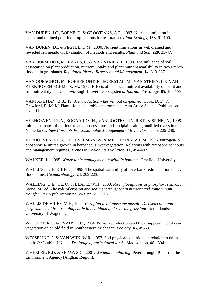VAN DUREN, I.C., BOEYE, D. & GROOTJANS, A.P., 1997. Nutrient limitation in an extant and drained poor fen: implications for restoration. *Plant Ecology*, **133**, 91-100.

VAN DUREN, I.C. & PEGTEL, D.M., 2000. Nutrient limitations in wet, drained and rewetted fen meadows: Evaluation of methods and results. *Plant and Soil*, **220**, 35-47.

VAN OORSCHOT, M., HAYES, C. & VAN STRIEN, I., 1998. The influence of soil desiccation on plant production, nutrient uptake and plant nutrient availability in two French floodplain grasslands. *Regulated Rivers: Research and Management*, **14**, 313-327.

VAN OORSCHOT, M., ROBBEMONT, E., BOERSTAL, M., VAN STRIEN, I. & VAN KERKHOVEN-SCHMITZ, M., 1997. Effects of enhanced nutrient availability on plant and soil nutrient dynamics in two English riverine ecosystems. *Journal of Ecology*, **85**, 167-179.

VARTAPETIAN, B.B., 1978. *Introduction - life without oxygen*. ed. Hook, D. D. & Crawford, R. M. M. Plant life in anaerobic environments. Ann Arbor Science Publications. pp. 1-11.

VERHOEVEN, J.T.A., BOGAARDS, H., VAN LOGTESTIJN, R.S.P. & SPINK, A., 1998. Initial estimates of nutrient-related process rates in floodplains along modified rivers in the Netherlands. *New Concepts For Sustainable Management of River Basins*. pp. 229-240.

VERHOEVEN, J.T.A., KOERSELMAN, W. & MEULEMAN, A.F.M., 1996. Nitrogen- or phosphorus-limited growth in herbaceous, wet vegetation: Relations with atmospheric inputs and management regimes. *Trends in Ecology & Evolution*, **11**, 494-497.

WALKER, L., 1995. *Water-table management in wildlife habitats*. Cranfield University.

WALLING, D.E. & HE, Q., 1998. The spatial variability of overbank sedimentation on river floodplains. *Geomorphology*, **24**, 209-223.

WALLING, D.E., HE, Q. & BLAKE, W.H., 2000. *River floodplains as phosphorus sinks*. *In:*  Stone, M., ed. *The role of erosion and sediment transport in nutrient and contaminant transfer.* IAHS publication no. 263, pp. 211-218.

WALLIS DE VRIES, M.F., 1994. *Foraging in a landscape mosaic. Diet selection and performance of free-ranging cattle in heathland and riverine grasslant.* Netherlands: University of Wageningen.

WEIGERT, R.G. & EVANS, F.C., 1964. Primary production and the disappearance of dead vegetation on an old field in Southeastern Michagan. *Ecology*, **45**, 49-63.

WESSELING, J. & VAN WIJK, W.R., 1957. Soil physical conditions in relation to drain depth. *In:* Luthin, J.N., ed. *Drainage of agricultural lands*. Madison. pp. 461-504.

WHEELER, B.D. & SHAW, S.C., 2001. *Wetland monitoring*. Peterborough: Report to the Environment Agency (Anglian Region).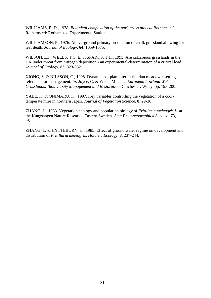WILLIAMS, E. D., 1978. *Botanical composition of the park grass plots at Rothamsted*. Rothamsted: Rothamsted Experimental Station.

WILLIAMSON, P., 1976. Above-ground primary production of chalk grassland allowing for leaf death. *Journal of Ecology*, **64**, 1059-1075.

WILSON, E.J., WELLS, T.C. E. & SPARKS, T.H., 1995. Are calcareous grasslands in the UK under threat from nitrogen deposition - an experimental-determination of a critical load. *Journal of Ecology*, **83**, 823-832.

XIONG, S. & NILSSON, C., 1998. Dynamics of plan litter in riparian meadows: setting a reference for management. *In:* Joyce, C. & Wade, M., eds. *European Lowland Wet Grasslands: Biodiversity Management and Restoration*. Chichester: Wiley. pp. 193-200.

YABE, K. & ONIMARU, K., 1997. Key variables controlling the vegetation of a cooltemperate mire in northern Japan. *Journal of Vegetation Science*, **8**, 29-36.

ZHANG, L., 1983. Vegetation ecology and population biology of *Fritillaria meleagris L*. at the Kungsangen Nature Researve, Eastern Sweden. *Acta Phytogeographica Suecica*, **73**, 1- 95.

ZHANG, L. & HYTTEBORN, H., 1985. Effect of ground water regime on development and distribution of *Fritillaria meleagris*. *Holartic Ecology*, **8**, 237-244.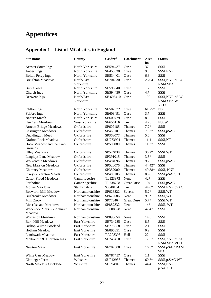## **Appendices**

## **Appendix 1 List of MG4 sites in England**

| Site name                           | County                  | Gridref<br><b>Catchment</b> |                   | Area<br>ha | <b>Status</b>                                     |  |
|-------------------------------------|-------------------------|-----------------------------|-------------------|------------|---------------------------------------------------|--|
| <b>Acaster South Ings</b>           | North Yorkshire         | SE594437                    | Ouse              | 37         | SSSI                                              |  |
| <b>Aubert Ings</b>                  | North Yorkshire         | SE453538                    | Ouse              | 9.6        | SSSI, NNR                                         |  |
| <b>Bolton Percy Ings</b>            | North Yorkshire         | SE534401                    | Ouse              | 6.8        | <b>SSSI</b>                                       |  |
| <b>Breighton Meadows</b>            | North/East<br>Yorkshire | SE704330                    | Ouse              | 26.04      | SSSI, NNR pSAC<br><b>RAM SPA</b>                  |  |
| <b>Burr Closes</b>                  | North Yorkshire         | SE596340                    | Ouse              | 1.2        | <b>SSSI</b>                                       |  |
| Church Ings                         | North Yorkshire         | SE594456                    | Ouse              | 4.7        | SSSI                                              |  |
| Derwent Ings                        | North/East<br>Yorkshire | SE 695410                   | Ouse              | 190        | SSSI, NNR pSAC<br><b>RAM SPA WT</b><br><b>VCO</b> |  |
| <b>Clifton Ings</b>                 | North Yorkshire         | SE582532                    | Ouse              | $61.25*$   | <b>NS</b>                                         |  |
| <b>Fulford Ings</b>                 | North Yorkshire         | SE608491                    | Ouse              | 3.7        | <b>SSSI</b>                                       |  |
| Naburn Marsh                        | North Yorkshire         | SE600479                    | Ouse              | 8          | <b>SSSI</b>                                       |  |
| Fen Carr Meadows                    | West Yorkshire          | SE656156                    | Trent             | 4.25       | NS, WT                                            |  |
| <b>Arncott Bridge Meadows</b>       | Oxfordshire             | SP609185                    | Thames            | $7.2*$     | SSSI                                              |  |
| <b>Cassington Meadows</b>           | Oxfordshire             | SP463101                    | Thames            | $7.03*$    | SSSI, pSAC                                        |  |
| Ducklington Mead                    | Oxfordshire             | SP363077                    | Thames            | 5.6        | SSSI                                              |  |
| <b>Grafton Lock Meadow</b>          | Oxfordshire             | SU273991                    | Thames            | 11.1       | SSSI,NT                                           |  |
| Hook Meadow and the Trap<br>Grounds | Oxfordshire             | SP500089                    | Thames            | $11.3*$    | SSSI                                              |  |
| <b>Iffley Meadows</b>               | Oxfordshire             | SP524038                    | Thames            | $36.2*$    | SSSI, WT                                          |  |
| <b>Langleys Lane Meadow</b>         | Oxfordshire             | SP391015                    | Thames            | $3.5*$     | SSSI                                              |  |
| <b>Wolvercote Meadows</b>           | Oxfordshire             | SP484096                    | Thames            | 9.2        | SSSI,pSAC                                         |  |
| <b>New Marston Meadows</b>          | Oxfordshire             | SP520076                    | Thames            | 44.42*     | <b>SSSI</b>                                       |  |
| <b>Chimney Meadows</b>              | Oxfordshire             | SP352000                    | Thames            | 49.38*     | SSSI, NNR                                         |  |
| Pixey & Yarnton Meads               | Oxfordshire             | SP480105                    | Thames            | 85.6       | SSSI, pSAC, CL                                    |  |
| <b>Castor Flood Meadows</b>         | Cambridgesire           | TL123973                    | Nene              | 42*        | <b>SSSI</b>                                       |  |
| Portholme                           | Cambridgeshire          | TL238708                    | <b>Great Ouse</b> | 104        | SSSI, pSAC                                        |  |
| <b>Mottey Meadows</b>               | Staffordshire           | SJ840134                    | Trent             | 44.6*      | SSSI, NNR pSAC                                    |  |
| <b>Bosworth Mill Meadow</b>         | Northamptonshire        | SP628822                    | Severn            | $5.2*$     | SSSI, WT                                          |  |
| <b>Bugbrooke Meadows</b>            | Northamptonshire        | SP672586                    | Nene              | $9.8*$     | SSSI, WT                                          |  |
| Mill Crook                          | Northamptonshire        | SP773464                    | <b>Great Ouse</b> | $5.7*$     | SSSI, WT                                          |  |
| River Ise and Meadows               | Northamptonshire        | SP882832                    | Nene              | $14*$      | SSSI, WT                                          |  |
| Wadenhoe Marsh & Achurch<br>Meadow  | Northamptonshire        | TL008828                    | Nene              | $47.4*$    | SSSI                                              |  |
| <b>Wollaston Meadows</b>            | Northamptonshire        | SP898650                    | Nene              | 14.6       | SSSI                                              |  |
| <b>Barn Hill Meadows</b>            | East Yorkshire          | SE734285                    | Ouse              | 8.5        | SSSI                                              |  |
| <b>Bishop Wilton Poorland</b>       | East Yorkshire          | SE778558                    | Ouse              | 2.1        | SSSI                                              |  |
| Hotham Meadow                       | East Yorkshire          | SE895351                    | Ouse              | 0.9        | <b>SSSI</b>                                       |  |
| <b>Lambwath Meadows</b>             | East Yorkshire          | TA208398                    | Hull              | 22         | SSSI                                              |  |
| Melbourne & Thornton Ings           | East Yorkshire          | SE745450                    | Ouse              | $17.5*$    | SSSI, NNR pSAC<br><b>RAM SPA VCO</b>              |  |
| Newton Mask                         | East Yorkshire          | SE707500                    | Ouse              | $16.5*$    | SSSI, pSAC RAM<br><b>SPA</b>                      |  |
| White Carr Meadow                   | East Yorkshire          | SE787457                    | Ouse              | 1.1        | SSSI                                              |  |
| <b>Clattinger Farm</b>              | Wiltshire               | SU012933                    | Thames            | $60.3*$    | SSSI, p.SAC WT                                    |  |
| North Meadow Cricklade              | Wiltshire               | SU094946                    | Thames            | 44.4       | SSSI, NNR<br>p.SAC,CL                             |  |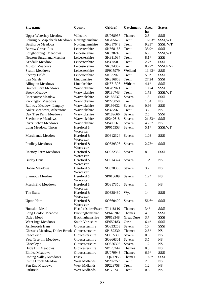| Site name                                          | County                  | <b>Gridref</b>  | <b>Catchment</b>  | Area<br>ha   | <b>Status</b> |
|----------------------------------------------------|-------------------------|-----------------|-------------------|--------------|---------------|
| <b>Upper Waterhay Meadow</b>                       | Wiltshire               | SU068937        | Thames            | 2.8          | SSSI          |
| Eakring & Maplebeck Meadows                        | Nottinghamshire         | SK705622        | Trent             | $16.03*$     | SSSI, WT      |
| <b>Besthorpe Meadows</b>                           | Nottinghamshire         | SK817643        | Trent             | $9.23*$      | SSSI, WT      |
| <b>Barrow Gravel Pits</b>                          | Leicestershire          | SK568166        | Trent             | 35.9*        | <b>SSSI</b>   |
| Loughborough Meadows                               | Leicestershire          | SK538218        | Trent             | 63.5         | SSSI, WT      |
|                                                    | Leicestershire          | SK381084        | Trent             | $8.1*$       | SSSI          |
| <b>Newton Burgoland Marshes</b><br>Kendalls Meadow | Leicestershire          | SP394981        | Trent             |              |               |
|                                                    |                         |                 |                   | $2.7*$       | SSSI          |
| <b>Muston Meadows</b>                              | Leicestershire          | SK824367        | Trent             | 8.77*        | SSSI, NNR     |
| <b>Seaton Meadows</b>                              | Leicestershire          | SP915979        | Welland           | $11.43*$     | <b>SSSI</b>   |
| <b>Sheepy Fields</b>                               | Leicestershire          | SK332025        | Trent             | $5.3*$       | SSSI          |
| Lea Marsh                                          | Lincolnshire            | SK816868        | Trent             | 27.24        | SSSI          |
| <b>Allington Meadows</b>                           | Lincolnshire            | SK871398        | Witham            | $4.1*$       | SSSI          |
| <b>Birches Barn Meadows</b>                        | Warwickshire            | SK282021        | Trent             | 10.74        | SSSI          |
| <b>Brook Meadow</b>                                | Warwickshire            | SP180743        | Trent             | 1.73         | SSSI, WT      |
| Racecourse Meadow                                  | Warwickshire            | SP186537        | Severn            | 1.5          | <b>SSSI</b>   |
| <b>Packington Meadows</b>                          | Warwickshire            | SP228858        | Trent             | 1.04         | NS            |
| Railway Meadow, Langley                            | Warwickshire            | SP199632        | Severn            | 0.96         | <b>SSSI</b>   |
| Anker Meadows, Atherstone                          | Warwickshire            | SP327961        | Trent             | 3.25         | NS            |
| <b>Oak Tree Farm Meadows</b>                       | Warwickshire            | SP189666        | Severn            | 2.5          | SSSI          |
| <b>Sherbourne Meadows</b>                          | Warwickshire            | SP242618        | Severn            | 21.53*       | SSSI          |
| <b>River Itchen Meadows</b>                        | Warwickshire            | SP403561        | Severn            | $45.3*$      | <b>NS</b>     |
| Long Meadow, Thorn                                 | Hereford &              | SP015553        | Severn            | $5.1*$       | SSSI, WT      |
|                                                    | Worcester               |                 |                   |              |               |
| <b>Marshlands Meadow</b>                           | Hereford &              | SO812324        | Severn            | 1.08         | <b>SSSI</b>   |
|                                                    | Worcester               |                 |                   |              |               |
| Poolhay Meadows                                    | Hereford &              | SO829308        | Severn            | $2.75*$      | <b>SSSI</b>   |
|                                                    | Worcester               |                 |                   |              |               |
| <b>Rectory Farm Meadows</b>                        | Hereford &              | SO922382        | Severn            | 8            | <b>SSSI</b>   |
|                                                    | Worcester               |                 |                   |              |               |
| <b>Burley Dene</b>                                 | Hereford &              | SO814324        | Severn            | $13*$        | <b>NS</b>     |
|                                                    | Worcester               |                 |                   |              |               |
| <b>Hooze Meadows</b>                               | Hereford &              | SO820335        | Severn            | 3.2          | <b>NS</b>     |
|                                                    | Worcester               |                 |                   |              |               |
| Shurnock Meadow                                    | Hereford &<br>Worcester | SP018609        | Severn            | $1.2*$       | <b>NS</b>     |
| Marsh End Meadows                                  | Hereford &              | SO817356 Severn |                   | $\mathbf{1}$ | <b>NS</b>     |
|                                                    | Worcester               |                 |                   |              |               |
| The Sturts                                         | Hereford &              | SO338480        | Wye               | 14           | <b>SSSI</b>   |
|                                                    | Worcester               |                 |                   |              |               |
| <b>Upton Ham</b>                                   | Hereford &              | SO860400        | Severn            | 56.6*        | <b>SSSI</b>   |
|                                                    | Worcester               |                 |                   |              |               |
| Hunsdon Mead                                       | Hertfordshire/Essex     | TL418110        | <b>Thames</b>     | $34*$        | SSSI          |
| Long Herdon Meadow                                 | Buckinghamshire         | SP648202        | Thames            | 4.5          | SSSI          |
| Oxley Mead                                         | Buckinghamshire         | SP819348        | <b>Great Ouse</b> | 3.7          | SSSI          |
| Went Ings Meadows                                  | South Yorkshire         | SE650183        | Ouse              | $6.4*$       | SSSI          |
| Ashleworth Ham                                     | Gloucestershire         | SO833263        | Severn            | 10           | SSSI          |
| Chessels Meadow, Dikler Brook Gloucestershire      |                         | SP187230        | Thames            | $2.6*$       | <b>NS</b>     |
| Chaceley b                                         | Gloucestershire         | SO855305        | Severn            | 0.3          | <b>NS</b>     |
| Yew Tree Inn Meadows                               | Gloucestershire         | SO866301        | Severn            | 3.5          | <b>NS</b>     |
| Chaceley a                                         | Gloucestershire         | SO856303        | Severn            | 1.2          | <b>NS</b>     |
|                                                    | Gloucestershire         |                 |                   | 0.5          |               |
| Hyde Hill Meadows<br>Elmlea Meadows                |                         | SP178244        | Thames            | $6.9*$       | <b>NS</b>     |
|                                                    | Gloucestershire         | SU079948        | Thames            |              | SSSI          |
| Roding Valley Meadows<br><b>Essex</b>              |                         | TQ436953        | Thames            | 19.8*        | <b>SSSI</b>   |
| <b>Cuttle Brook Meadow</b>                         | West Midlands           | SP202757        | Trent             | 2            | <b>NS</b>     |
| Fen End Meadows<br>West Midlands                   |                         | SP229758        | Trent             | 1.2          | <b>NS</b>     |
| Parkfield<br>West Midlands                         |                         | SP170741        | Trent             | 0.6          | NS            |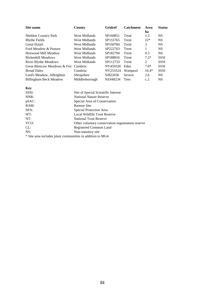| Site name                     | Gridref<br>County |          | <b>Catchment</b> | Area<br>ha | <b>Status</b> |  |
|-------------------------------|-------------------|----------|------------------|------------|---------------|--|
| <b>Sheldon Country Park</b>   | West Midlands     | SP160851 | Trent            | 1.5        | <b>NS</b>     |  |
| <b>Blythe Fields</b>          | West Midlands     | SP155765 | Trent            | $22*$      | <b>NS</b>     |  |
| Great Hytail                  | West Midlands     | SP160784 | Trent            | 3          | <b>NS</b>     |  |
| Ford Meadow & Pasture         | West Midlands     | SP222763 | Trent            |            | <b>NS</b>     |  |
| Henwood Mill Meadow           | West Midlands     | SP182794 | Trent            | 0.3        | <b>NS</b>     |  |
| Bickenhill Meadows            | West Midlands     | SP188816 | Trent            | $7.2*$     | <b>SSSI</b>   |  |
| <b>River Blythe Meadows</b>   | West Midlands     | SP112733 | Trent            | 2          | <b>SSSI</b>   |  |
| Great Blencow Meadows & Fen   | Cumbria           | NY459326 | Eden             | $7.6*$     | <b>SSSI</b>   |  |
| <b>Broad Dales</b>            | Cumbria           | NY253524 | Wampool          | $16.4*$    | <b>SSSI</b>   |  |
| Lord's Meadow, Albrighton     | Shropshire        | SJ822036 | Severn           | 2.6        | <b>NS</b>     |  |
| <b>Billingham Beck Meadow</b> | Middlesborough    | NZ448234 | <b>Tees</b>      | c.2        | <b>NS</b>     |  |

| Key      |                                                           |
|----------|-----------------------------------------------------------|
| SSSI:    | Site of Special Scientific Interest                       |
| NNR:     | <b>National Nature Reserve</b>                            |
| $pSAC$ : | Special Area of Conservation                              |
| RAM:     | Ramsar Site                                               |
| SPA:     | Special Protection Area                                   |
| WT:      | Local Wildlife Trust Reserve                              |
| NT:      | <b>National Trust Reserve</b>                             |
| VCO:     | Other voluntary conservation organisation reserve         |
| CL:      | Registered Common Land                                    |
| NS:      | Non-statutory site                                        |
|          | * Site area includes plant communities in addition to MG4 |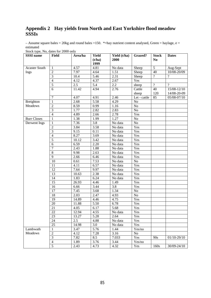## **Appendix 2 Hay yields from North and East Yorkshire flood meadow SSSIs**

– Assume square bales = 20kg and round bales = 150. \*= hay nutrient content analysed, Green = haylage,  $e =$ estimated

| $5000$ eV and $5000$ $2000$ $0$ $0$<br><b>SSSI</b> name | Field                    | Area/ha | <b>Yield</b><br>(t/ha)<br>1999 | Yield (t/ha)<br>2000 | <b>Grazed?</b>  | <b>Stock</b><br>N <sub>0</sub> | <b>Dates</b>   |
|---------------------------------------------------------|--------------------------|---------|--------------------------------|----------------------|-----------------|--------------------------------|----------------|
| Acaster South                                           | 1                        | 4.57    | 4.81                           | No data              | Sheep           | $\overline{5}$                 | Aug-Sept       |
| Ings                                                    | $\overline{2}$           | 7.97    | 4.64                           | 1.51                 | Sheep           | $\overline{40}$                | 10/08-20/09    |
|                                                         | $\overline{3}$           | 10.4    | 5.46                           | 2.31                 | Sheep           | $\overline{?}$                 | $\overline{?}$ |
|                                                         | $\overline{\mathcal{L}}$ | 4.12    | 4.37                           | 2.67                 | Yes             |                                |                |
|                                                         | 5                        | 2.5     | 5.4                            | $2.2\,$              | sheep           | $\overline{?}$                 | $\overline{?}$ |
|                                                         | 6                        | 11.42   | 4.94                           | 2.76                 | Cattle          | 40                             | 15/08-12/10    |
|                                                         |                          |         |                                |                      | sheep           | 120                            | 14/08-20-09    |
|                                                         | 7                        | 4.07    | 4.91                           | 2.46                 | Let - cattle    | 85                             | 05/08-07/10    |
| Breighton                                               | $\mathbf{1}$             | 2.68    | 5.58                           | 4.29                 | $\rm No$        |                                |                |
| Meadows                                                 | $\overline{2}$           | 8.59    | 0.99                           | 1.16                 | $\overline{No}$ |                                |                |
|                                                         | $\overline{3}$           | 1.77    | 2.82                           | 2.83                 | No              |                                |                |
|                                                         | $\overline{4}$           | 4.89    | 2.66                           | 2.78                 | Yes             |                                |                |
| <b>Burr Closes</b>                                      | 1                        | 1.38    | 1.99                           | 1.27                 | No              |                                |                |
| Derwent Ings                                            | $\mathbf{1}$             | 7.36    | $\overline{3.8}$               | No data              | No              |                                |                |
|                                                         | $\overline{2}$           | 3.84    | 3.58                           | No data              | Yes             |                                |                |
|                                                         | $\overline{3}$           | 9.15    | 0.11                           | No data              | Yes             |                                |                |
|                                                         | $\overline{4}$           | 8.27    | 3.69                           | No data              | Yes             |                                |                |
|                                                         | 5                        | 10.12   | 3.42                           | No data              | Yes             |                                |                |
|                                                         | 6                        | 6.59    | 2.20                           | No data              | Yes             |                                |                |
|                                                         | 7                        | 2.43    | 1.88                           | No data              | Yes             |                                |                |
|                                                         | $\overline{8}$           | 9.98    | 2.63                           | No data              | Yes             |                                |                |
|                                                         | $\overline{9}$           | 2.66    | 6.46                           | No data              | Yes             |                                |                |
|                                                         | 10                       | 0.61    | 7.53                           | No data              | $\overline{No}$ |                                |                |
|                                                         | 11                       | 4.11    | 6.57                           | No data              | Yes             |                                |                |
|                                                         | $\overline{12}$          | 7.64    | 9.97                           | No data              | Yes             |                                |                |
|                                                         | 13                       | 10.63   | 2.38                           | No data              | Yes             |                                |                |
|                                                         | 14                       | 1.83    | 6.24                           | No data              | Yes             |                                |                |
|                                                         | 15                       | 26.93   | 4.46                           | 1.49                 | Yes             |                                |                |
|                                                         | 16                       | 6.66    | 3.44                           | $\overline{3.8}$     | Yes             |                                |                |
|                                                         | $\overline{17}$          | 7.45    | 3.68                           | 1.34                 | No              |                                |                |
|                                                         | $\overline{18}$          | 2.03    | 2.47                           | 4.93                 | No              |                                |                |
|                                                         | $\overline{19}$          | 14.89   | 4.46                           | 4.75                 | Yes             |                                |                |
|                                                         | $\overline{20}$          | 11.88   | 5.50                           | 6.78                 | Yes             |                                |                |
|                                                         | 21                       | 4.05    | 6.17                           | 5.68                 | Yes             |                                |                |
|                                                         | 22                       | 12.94   | 4.55                           | No data              | Yes             |                                |                |
|                                                         | 23                       | 13.27   | 5.28                           | 2.64                 | Yes             |                                |                |
|                                                         | 24                       | 2.5     | 4.88                           | No data              | Yes             |                                |                |
|                                                         | 25                       | 14.98   | 3.0                            | No data              | Yes             |                                |                |
| Lambwath                                                | 1                        | 3.47    | 5.76                           | 1.44                 | Yes/no          |                                |                |
| Meadows                                                 | $\overline{2}$           | 4.12    | 7.28                           | 3.16                 | N <sub>o</sub>  |                                |                |
|                                                         | 3                        | 7.82    | 8.5                            | 7.033                | Yes             | 90s                            | 01/10-29/10    |
|                                                         | $\overline{\mathcal{A}}$ | 1.89    |                                | 3.44                 | Yes/no          |                                |                |
|                                                         | 5                        |         | 3.76                           |                      |                 |                                | 30/09-24/10    |
|                                                         |                          | 2.43    | 4.73                           | 4.32                 | Yes             | 160s                           |                |

Stock type, No, dates for 2000 only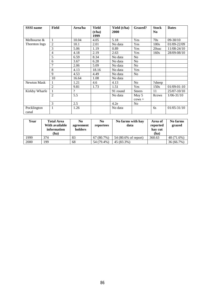| <b>SSSI</b> name     | Field          | Area/ha | Yield<br>(t/ha)<br>1999 | Yield (t/ha)<br>2000 | Grazed?           | <b>Stock</b><br>N <sub>0</sub> | <b>Dates</b>      |
|----------------------|----------------|---------|-------------------------|----------------------|-------------------|--------------------------------|-------------------|
| Melbourne $&$        | 1              | 10.04   | 4.05                    | 5.18                 | Yes               | 70s                            | $09 - 30/10$      |
| Thornton Ings        | $\overline{2}$ | 10.1    | 2.01                    | No data              | Yes               | 100s                           | 01/09-22/09       |
|                      | 3              | 5.06    | 1.19                    | 0.89                 | Yes               | 20suc                          | 11/08-24/10       |
|                      | $\overline{4}$ | 4.18    | 2.19                    | 2.63                 | Yes               | 160s                           | 28/09-08/10       |
|                      | 5              | 6.59    | 8.34                    | No data              | N <sub>0</sub>    |                                |                   |
|                      | 6              | 3.67    | 6.28                    | No data              | N <sub>o</sub>    |                                |                   |
|                      |                | 2.06    | 5.09                    | No data              | N <sub>o</sub>    |                                |                   |
|                      | 8              | 4.13    | 18.16                   | No data              | Yes               |                                |                   |
|                      | 9              | 4.53    | 4.49                    | No data              | N <sub>o</sub>    |                                |                   |
|                      | 10             | 16.64   | 1.08                    | No data              |                   |                                |                   |
| Newton Mask          | 1              | 1.21    | 4.6                     | 4.13                 | No                | ?sheep                         |                   |
|                      | 2              | 9.81    | 1.73                    | 1.51                 | Yes               | 150s                           | $01/09 - 01 - 10$ |
| Kirkby Wharfe        |                | ?       |                         | 91 round             | <b>Steers</b>     | 11                             | 25/07-10/10       |
|                      | $\overline{2}$ | 5.5     |                         | No data              | May 5<br>$cows +$ | 8cows                          | $1/06 - 31/10$    |
|                      | 3              | 2.5     |                         | 4.2e                 | N <sub>o</sub>    |                                |                   |
| Pocklington<br>canal | 1              | 1.26    |                         | No data              |                   | 6s                             | $01/05 - 31/10$   |

| Year | <b>Total Area</b><br>With available<br>information<br>(ha) | No<br>agreement<br>holders | N <sub>0</sub><br>reportees | No farms with hav<br>data | Area of<br>reported<br>hay cut<br>(ha) | No farms<br>grazed |
|------|------------------------------------------------------------|----------------------------|-----------------------------|---------------------------|----------------------------------------|--------------------|
| 1999 | 374                                                        | 83                         | 67(80.7%)                   | 54 (80.6% of report)      | 360.63                                 | 48 (71.6%)         |
| 2000 | 199                                                        | 68                         | 54 (79.4%)                  | 45 (83.3%)                |                                        | 36 (66.7%)         |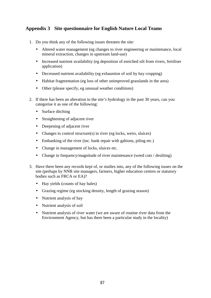## **Appendix 3 Site questionnaire for English Nature Local Teams**

- 1. Do you think any of the following issues threaten the site:
	- Altered water management (eg changes to river engineering or maintenance, local mineral extraction, changes in upstream land-use)
	- Increased nutrient availability (eg deposition of enriched silt from rivers, fertiliser application)
	- Decreased nutrient availability (eg exhaustion of soil by hay cropping)
	- Habitat fragmentation (eg loss of other unimproved grasslands in the area)
	- Other (please specify, eg unusual weather conditions)
- 2. If there has been an alteration to the site's hydrology in the past 30 years, can you categorise it as one of the following:
	- Surface ditching
	- Straightening of adjacent river
	- Deepening of adjacent river
	- Changes to control structure $(s)$  in river (eg locks, weirs, sluices)
	- Embanking of the river (inc. bank repair with gabions, piling etc.)
	- Change in management of locks, sluices etc.
	- Change in frequency/magnitude of river maintenance (weed cuts / desilting)
- 3. Have there been any records kept of, or studies into, any of the following issues on the site (perhaps by NNR site managers, farmers, higher education centres or statutory bodies such as FRCA or EA)?
	- Hay yields (counts of hay bales)
	- Grazing regime (eg stocking density, length of grazing season)
	- Nutrient analysis of hay
	- Nutrient analysis of soil
	- Nutrient analysis of river water (we are aware of routine river data from the Environment Agency, but has there been a particular study in the locality)